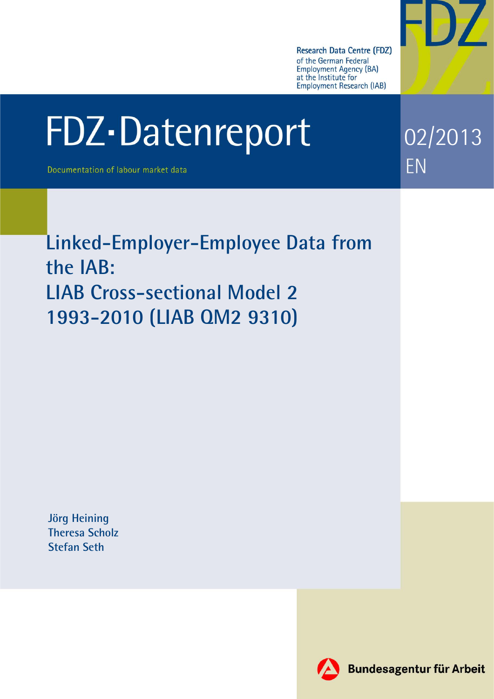

02/2013

EN

# FDZ-Datenreport

Documentation of labour market data

**Linked-Employer-Employee Data from the IAB: LIAB Cross-sectional Model 2 1993-2010 (LIAB QM2 9310)** 

**Jörg Heining Theresa Scholz Stefan Seth**

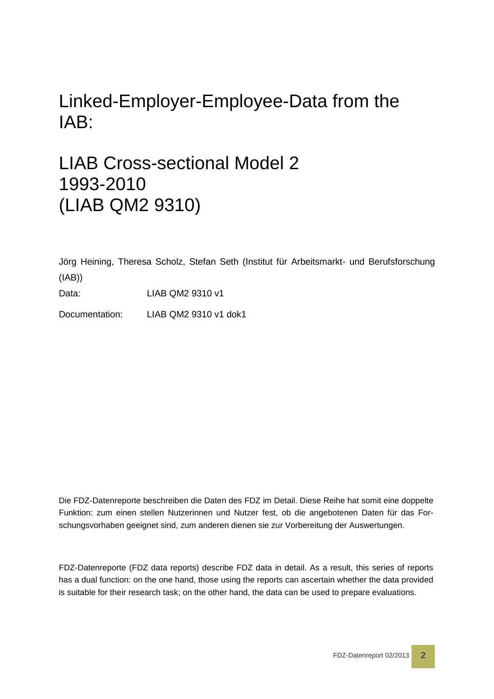# Linked-Employer-Employee-Data from the IAB:

# LIAB Cross-sectional Model 2 1993-2010 (LIAB QM2 9310)

Jörg Heining, Theresa Scholz, Stefan Seth (Institut für Arbeitsmarkt- und Berufsforschung (IAB))

Data: LIAB QM2 9310 v1

Documentation: LIAB QM2 9310 v1 dok1

Die FDZ-Datenreporte beschreiben die Daten des FDZ im Detail. Diese Reihe hat somit eine doppelte Funktion: zum einen stellen Nutzerinnen und Nutzer fest, ob die angebotenen Daten für das Forschungsvorhaben geeignet sind, zum anderen dienen sie zur Vorbereitung der Auswertungen.

FDZ-Datenreporte (FDZ data reports) describe FDZ data in detail. As a result, this series of reports has a dual function: on the one hand, those using the reports can ascertain whether the data provided is suitable for their research task; on the other hand, the data can be used to prepare evaluations.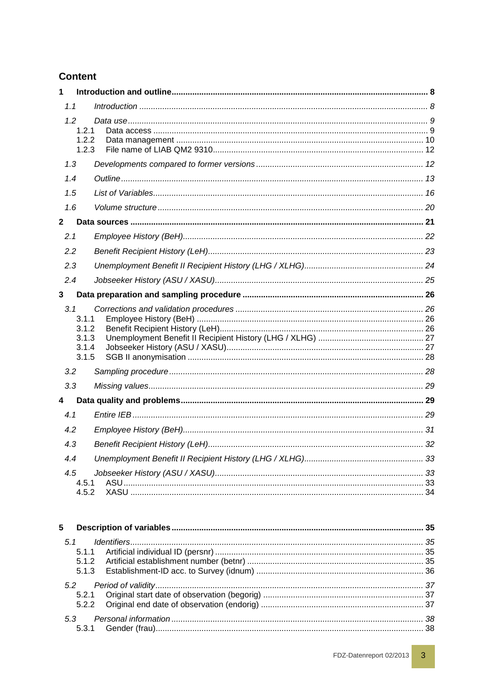# **Content**

| 1                                                |  |
|--------------------------------------------------|--|
| 1.1                                              |  |
| 1.2<br>1.2.1<br>1.2.2<br>1.2.3                   |  |
| 1.3                                              |  |
| 1.4                                              |  |
| 1.5                                              |  |
| 1.6                                              |  |
| $\mathbf 2$                                      |  |
| 2.1                                              |  |
| 2.2                                              |  |
| 2.3                                              |  |
| 2.4                                              |  |
| 3                                                |  |
| 3.1<br>3.1.1<br>3.1.2<br>3.1.3<br>3.1.4<br>3.1.5 |  |
| 3.2                                              |  |
| 3.3                                              |  |
| 4                                                |  |
| 4.1                                              |  |
| 4.2                                              |  |
| 4.3                                              |  |
| 4.4                                              |  |
| 4.5<br>4.5.1<br>4.5.2                            |  |
| 5                                                |  |
| 5.1                                              |  |
| 5.1.1<br>5.1.2                                   |  |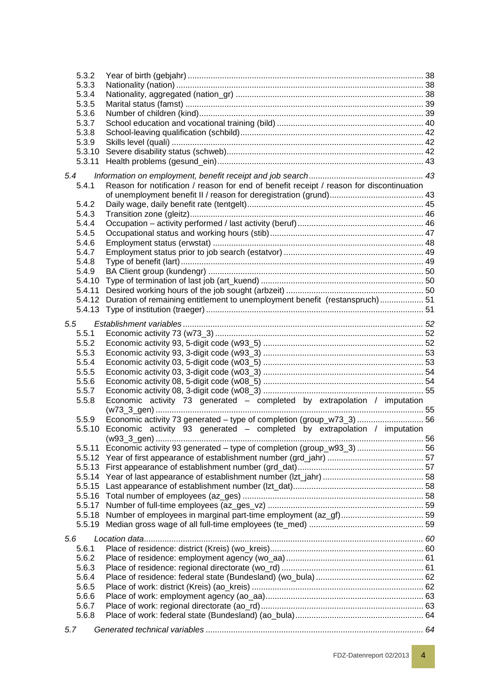| 5.3.2  |                                                                                          |  |
|--------|------------------------------------------------------------------------------------------|--|
| 5.3.3  |                                                                                          |  |
| 5.3.4  |                                                                                          |  |
| 5.3.5  |                                                                                          |  |
| 5.3.6  |                                                                                          |  |
| 5.3.7  |                                                                                          |  |
| 5.3.8  |                                                                                          |  |
| 5.3.9  |                                                                                          |  |
| 5.3.10 |                                                                                          |  |
| 5.3.11 |                                                                                          |  |
| 5.4    |                                                                                          |  |
| 5.4.1  | Reason for notification / reason for end of benefit receipt / reason for discontinuation |  |
|        |                                                                                          |  |
| 5.4.2  |                                                                                          |  |
| 5.4.3  |                                                                                          |  |
| 5.4.4  |                                                                                          |  |
| 5.4.5  |                                                                                          |  |
| 5.4.6  |                                                                                          |  |
| 5.4.7  |                                                                                          |  |
| 5.4.8  |                                                                                          |  |
| 5.4.9  |                                                                                          |  |
| 5.4.10 |                                                                                          |  |
| 5.4.11 |                                                                                          |  |
|        |                                                                                          |  |
|        | 5.4.12 Duration of remaining entitlement to unemployment benefit (restanspruch) 51       |  |
|        |                                                                                          |  |
| 5.5    |                                                                                          |  |
| 5.5.1  |                                                                                          |  |
| 5.5.2  |                                                                                          |  |
| 5.5.3  |                                                                                          |  |
| 5.5.4  |                                                                                          |  |
| 5.5.5  |                                                                                          |  |
| 5.5.6  |                                                                                          |  |
| 5.5.7  |                                                                                          |  |
| 5.5.8  | Economic activity 73 generated - completed by extrapolation / imputation                 |  |
|        |                                                                                          |  |
| 5.5.9  | Economic activity 73 generated - type of completion (group_w73_3)  56                    |  |
| 5.5.10 | Economic activity 93 generated - completed by extrapolation / imputation                 |  |
|        |                                                                                          |  |
|        | 5.5.11 Economic activity 93 generated - type of completion (group_w93_3)  56             |  |
|        |                                                                                          |  |
|        |                                                                                          |  |
|        |                                                                                          |  |
|        |                                                                                          |  |
|        |                                                                                          |  |
|        |                                                                                          |  |
| 5.5.18 |                                                                                          |  |
| 5.5.19 |                                                                                          |  |
|        |                                                                                          |  |
| 5.6    |                                                                                          |  |
| 5.6.1  |                                                                                          |  |
| 5.6.2  |                                                                                          |  |
| 5.6.3  |                                                                                          |  |
| 5.6.4  |                                                                                          |  |
| 5.6.5  |                                                                                          |  |
| 5.6.6  |                                                                                          |  |
| 5.6.7  |                                                                                          |  |
| 5.6.8  |                                                                                          |  |
| 5.7    |                                                                                          |  |
|        |                                                                                          |  |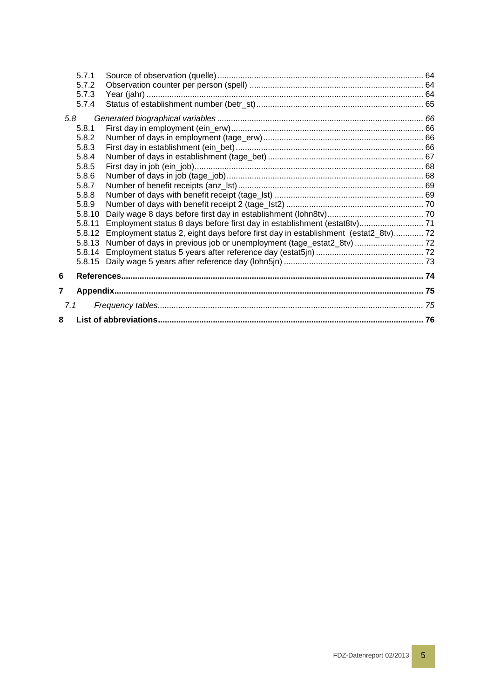| 8   |                |                                                                                   |  |
|-----|----------------|-----------------------------------------------------------------------------------|--|
| 7.1 |                |                                                                                   |  |
| 7   |                |                                                                                   |  |
| 6   |                |                                                                                   |  |
|     | 5.8.15         |                                                                                   |  |
|     | 5.8.14         |                                                                                   |  |
|     | 5.8.13         | Number of days in previous job or unemployment (tage_estat2_8tv)  72              |  |
|     | 5.8.12         | Employment status 2, eight days before first day in establishment (estat2_8tv) 72 |  |
|     | 5.8.11         | Employment status 8 days before first day in establishment (estat8tv) 71          |  |
|     | 5.8.10         |                                                                                   |  |
|     | 5.8.8<br>5.8.9 |                                                                                   |  |
|     | 5.8.7          |                                                                                   |  |
|     | 5.8.6          |                                                                                   |  |
|     | 5.8.5          |                                                                                   |  |
|     | 5.8.4          |                                                                                   |  |
|     | 5.8.3          |                                                                                   |  |
|     | 5.8.2          |                                                                                   |  |
| 5.8 | 5.8.1          |                                                                                   |  |
|     |                |                                                                                   |  |
|     | 5.7.4          |                                                                                   |  |
|     | 5.7.3          |                                                                                   |  |
|     | 5.7.2          |                                                                                   |  |
|     | 5.7.1          |                                                                                   |  |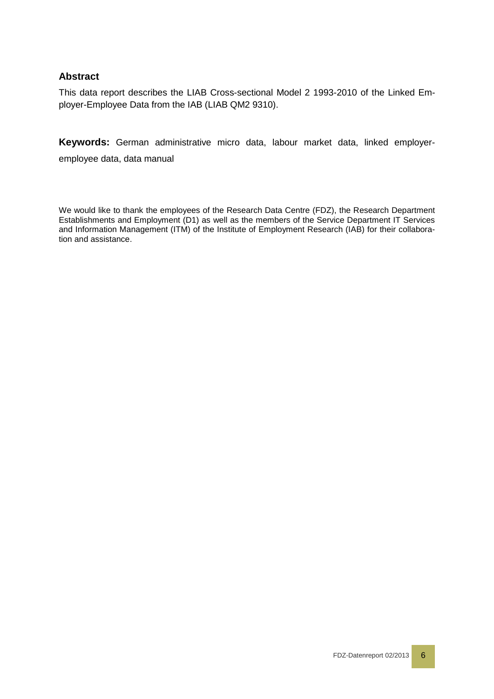### **Abstract**

This data report describes the LIAB Cross-sectional Model 2 1993-2010 of the Linked Employer-Employee Data from the IAB (LIAB QM2 9310).

**Keywords:** German administrative micro data, labour market data, linked employeremployee data, data manual

We would like to thank the employees of the Research Data Centre (FDZ), the Research Department Establishments and Employment (D1) as well as the members of the Service Department IT Services and Information Management (ITM) of the Institute of Employment Research (IAB) for their collaboration and assistance.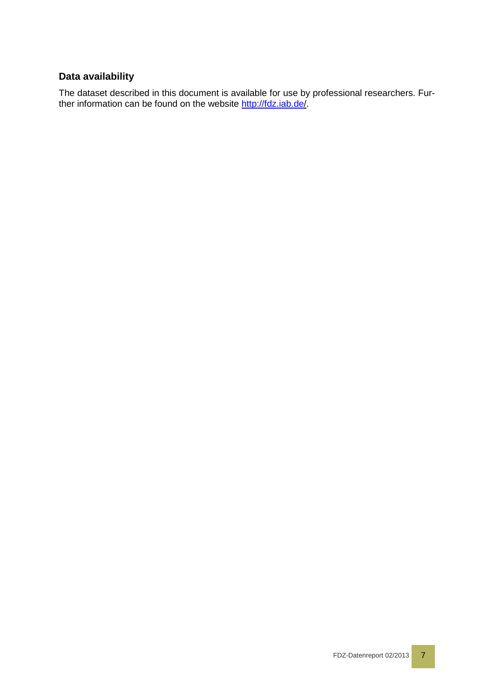# **Data availability**

The dataset described in this document is available for use by professional researchers. Further information can be found on the website<http://fdz.iab.de/>.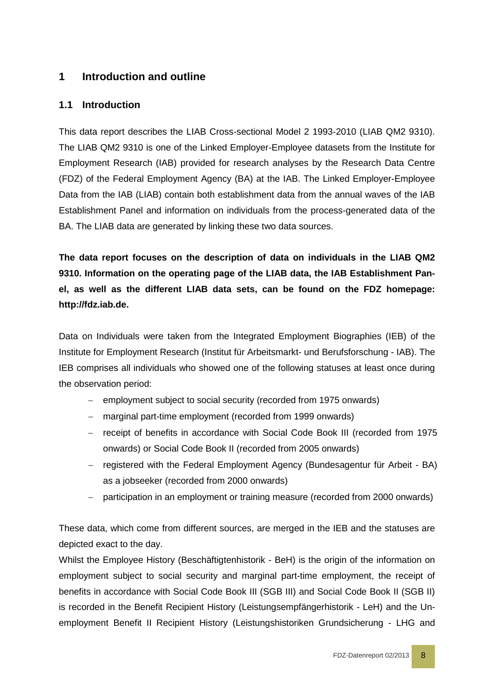# <span id="page-7-0"></span>**1 Introduction and outline**

# <span id="page-7-1"></span>**1.1 Introduction**

This data report describes the LIAB Cross-sectional Model 2 1993-2010 (LIAB QM2 9310). The LIAB QM2 9310 is one of the Linked Employer-Employee datasets from the Institute for Employment Research (IAB) provided for research analyses by the Research Data Centre (FDZ) of the Federal Employment Agency (BA) at the IAB. The Linked Employer-Employee Data from the IAB (LIAB) contain both establishment data from the annual waves of the IAB Establishment Panel and information on individuals from the process-generated data of the BA. The LIAB data are generated by linking these two data sources.

**The data report focuses on the description of data on individuals in the LIAB QM2 9310. Information on the operating page of the LIAB data, the IAB Establishment Panel, as well as the different LIAB data sets, can be found on the FDZ homepage: http://fdz.iab.de.**

Data on Individuals were taken from the Integrated Employment Biographies (IEB) of the Institute for Employment Research (Institut für Arbeitsmarkt- und Berufsforschung - IAB). The IEB comprises all individuals who showed one of the following statuses at least once during the observation period:

- − employment subject to social security (recorded from 1975 onwards)
- − marginal part-time employment (recorded from 1999 onwards)
- − receipt of benefits in accordance with Social Code Book III (recorded from 1975 onwards) or Social Code Book II (recorded from 2005 onwards)
- − registered with the Federal Employment Agency (Bundesagentur für Arbeit BA) as a jobseeker (recorded from 2000 onwards)
- − participation in an employment or training measure (recorded from 2000 onwards)

These data, which come from different sources, are merged in the IEB and the statuses are depicted exact to the day.

Whilst the Employee History (Beschäftigtenhistorik - BeH) is the origin of the information on employment subject to social security and marginal part-time employment, the receipt of benefits in accordance with Social Code Book III (SGB III) and Social Code Book II (SGB II) is recorded in the Benefit Recipient History (Leistungsempfängerhistorik - LeH) and the Unemployment Benefit II Recipient History (Leistungshistoriken Grundsicherung - LHG and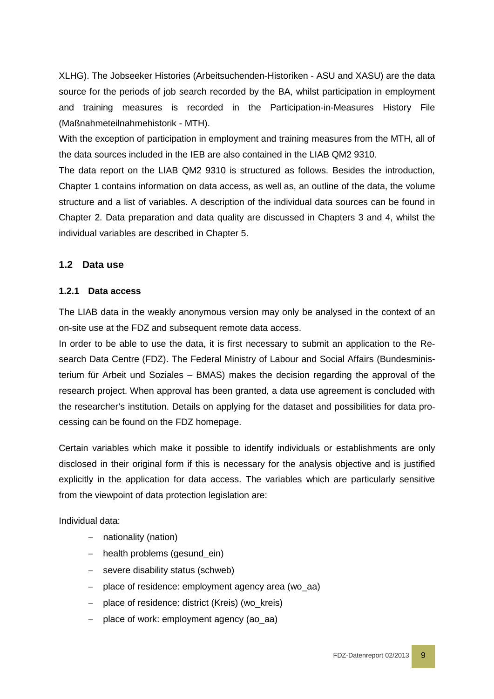XLHG). The Jobseeker Histories (Arbeitsuchenden-Historiken - ASU and XASU) are the data source for the periods of job search recorded by the BA, whilst participation in employment and training measures is recorded in the Participation-in-Measures History File (Maßnahmeteilnahmehistorik - MTH).

With the exception of participation in employment and training measures from the MTH, all of the data sources included in the IEB are also contained in the LIAB QM2 9310.

The data report on the LIAB QM2 9310 is structured as follows. Besides the introduction, Chapter 1 contains information on data access, as well as, an outline of the data, the volume structure and a list of variables. A description of the individual data sources can be found in Chapter 2. Data preparation and data quality are discussed in Chapters 3 and 4, whilst the individual variables are described in Chapter 5.

# <span id="page-8-0"></span>**1.2 Data use**

#### <span id="page-8-1"></span>**1.2.1 Data access**

The LIAB data in the weakly anonymous version may only be analysed in the context of an on-site use at the FDZ and subsequent remote data access.

In order to be able to use the data, it is first necessary to submit an application to the Research Data Centre (FDZ). The Federal Ministry of Labour and Social Affairs (Bundesministerium für Arbeit und Soziales – BMAS) makes the decision regarding the approval of the research project. When approval has been granted, a data use agreement is concluded with the researcher's institution. Details on applying for the dataset and possibilities for data processing can be found on the FDZ homepage.

Certain variables which make it possible to identify individuals or establishments are only disclosed in their original form if this is necessary for the analysis objective and is justified explicitly in the application for data access. The variables which are particularly sensitive from the viewpoint of data protection legislation are:

Individual data:

- − nationality (nation)
- − health problems (gesund\_ein)
- − severe disability status (schweb)
- − place of residence: employment agency area (wo\_aa)
- − place of residence: district (Kreis) (wo\_kreis)
- − place of work: employment agency (ao\_aa)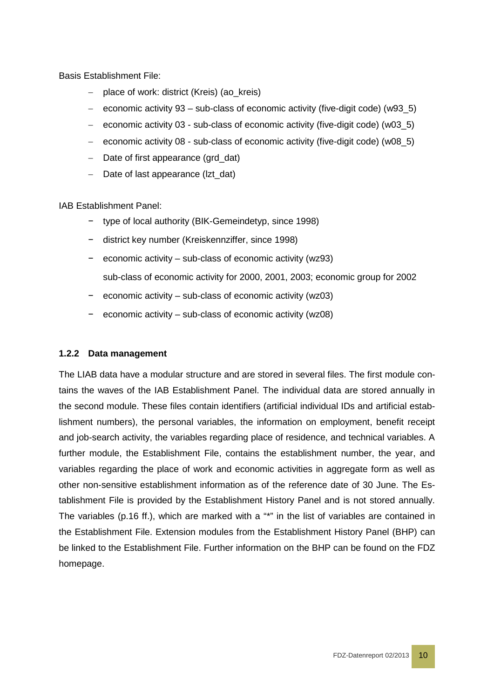Basis Establishment File:

- − place of work: district (Kreis) (ao\_kreis)
- − economic activity 93 sub-class of economic activity (five-digit code) (w93\_5)
- − economic activity 03 sub-class of economic activity (five-digit code) (w03\_5)
- − economic activity 08 sub-class of economic activity (five-digit code) (w08\_5)
- − Date of first appearance (grd\_dat)
- − Date of last appearance (lzt\_dat)

IAB Establishment Panel:

- − type of local authority (BIK-Gemeindetyp, since 1998)
- − district key number (Kreiskennziffer, since 1998)
- − economic activity sub-class of economic activity (wz93) sub-class of economic activity for 2000, 2001, 2003; economic group for 2002
- − economic activity sub-class of economic activity (wz03)
- − economic activity sub-class of economic activity (wz08)

#### <span id="page-9-0"></span>**1.2.2 Data management**

The LIAB data have a modular structure and are stored in several files. The first module contains the waves of the IAB Establishment Panel. The individual data are stored annually in the second module. These files contain identifiers (artificial individual IDs and artificial establishment numbers), the personal variables, the information on employment, benefit receipt and job-search activity, the variables regarding place of residence, and technical variables. A further module, the Establishment File, contains the establishment number, the year, and variables regarding the place of work and economic activities in aggregate form as well as other non-sensitive establishment information as of the reference date of 30 June. The Establishment File is provided by the Establishment History Panel and is not stored annually. The variables (p.16 ff.), which are marked with a "\*" in the list of variables are contained in the Establishment File. Extension modules from the Establishment History Panel (BHP) can be linked to the Establishment File. Further information on the BHP can be found on the FDZ homepage.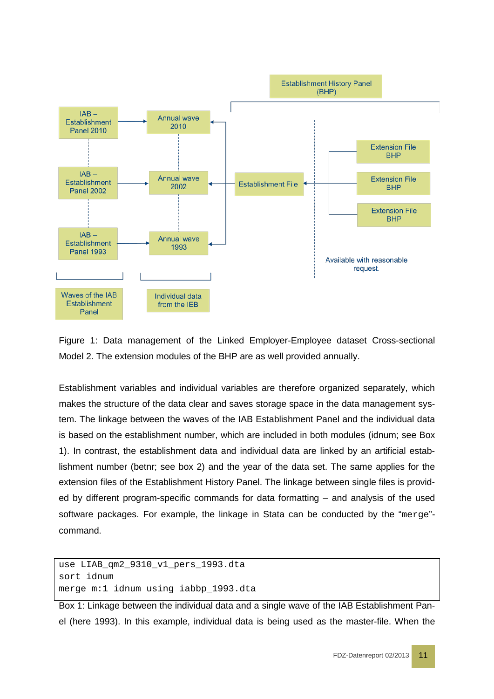

Figure 1: Data management of the Linked Employer-Employee dataset Cross-sectional Model 2. The extension modules of the BHP are as well provided annually.

Establishment variables and individual variables are therefore organized separately, which makes the structure of the data clear and saves storage space in the data management system. The linkage between the waves of the IAB Establishment Panel and the individual data is based on the establishment number, which are included in both modules (idnum; see Box 1). In contrast, the establishment data and individual data are linked by an artificial establishment number (betnr; see box 2) and the year of the data set. The same applies for the extension files of the Establishment History Panel. The linkage between single files is provided by different program-specific commands for data formatting – and analysis of the used software packages. For example, the linkage in Stata can be conducted by the "merge"command.

```
use LIAB_qm2_9310_v1_pers_1993.dta
sort idnum
merge m:1 idnum using iabbp_1993.dta
```
Box 1: Linkage between the individual data and a single wave of the IAB Establishment Panel (here 1993). In this example, individual data is being used as the master-file. When the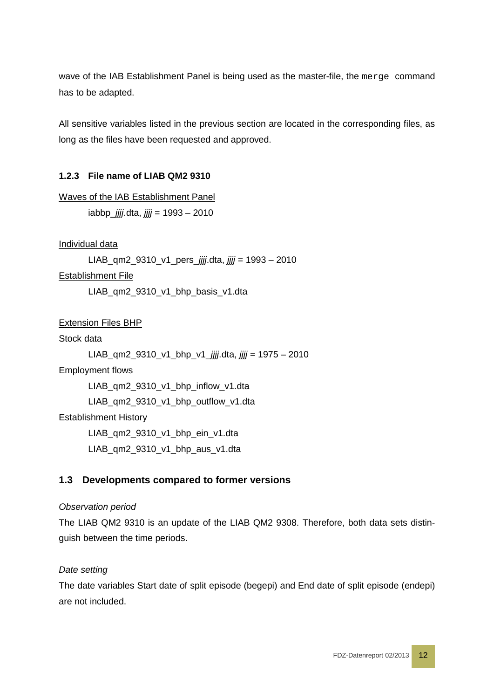wave of the IAB Establishment Panel is being used as the master-file, the merge command has to be adapted.

All sensitive variables listed in the previous section are located in the corresponding files, as long as the files have been requested and approved.

#### <span id="page-11-0"></span>**1.2.3 File name of LIAB QM2 9310**

Waves of the IAB Establishment Panel iabbp\_*jjjj*.dta, *jjjj* = 1993 – 2010

Individual data

LIAB\_qm2\_9310\_v1\_pers\_*jjjj*.dta, *jjjj* = 1993 – 2010

Establishment File

LIAB\_qm2\_9310\_v1\_bhp\_basis\_v1.dta

Extension Files BHP

Stock data

```
LIAB_qm2_9310_v1_bhp_v1_jjjj.dta, jjjj = 1975 – 2010
Employment flows
      LIAB_qm2_9310_v1_bhp_inflow_v1.dta 
      LIAB_qm2_9310_v1_bhp_outflow_v1.dta
Establishment History
      LIAB_qm2_9310_v1_bhp_ein_v1.dta
      LIAB_qm2_9310_v1_bhp_aus_v1.dta
```
#### <span id="page-11-1"></span>**1.3 Developments compared to former versions**

#### *Observation period*

The LIAB QM2 9310 is an update of the LIAB QM2 9308. Therefore, both data sets distinguish between the time periods.

#### *Date setting*

The date variables Start date of split episode (begepi) and End date of split episode (endepi) are not included.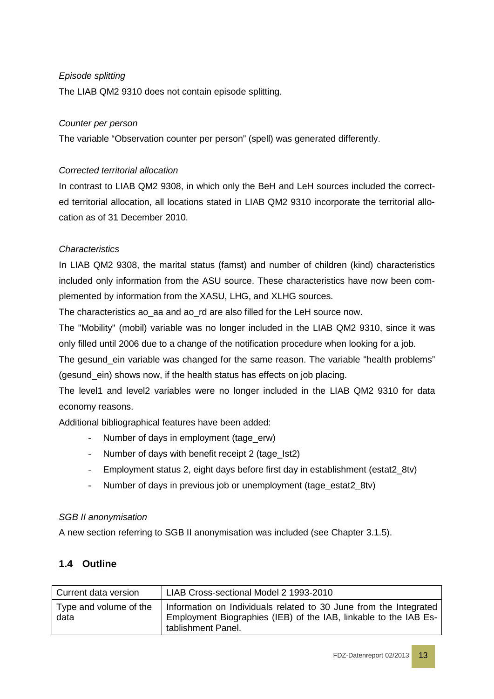# *Episode splitting*

The LIAB QM2 9310 does not contain episode splitting.

#### *Counter per person*

The variable "Observation counter per person" (spell) was generated differently.

#### *Corrected territorial allocation*

In contrast to LIAB QM2 9308, in which only the BeH and LeH sources included the corrected territorial allocation, all locations stated in LIAB QM2 9310 incorporate the territorial allocation as of 31 December 2010.

#### *Characteristics*

In LIAB QM2 9308, the marital status (famst) and number of children (kind) characteristics included only information from the ASU source. These characteristics have now been complemented by information from the XASU, LHG, and XLHG sources.

The characteristics ao aa and ao rd are also filled for the LeH source now.

The "Mobility" (mobil) variable was no longer included in the LIAB QM2 9310, since it was only filled until 2006 due to a change of the notification procedure when looking for a job.

The gesund ein variable was changed for the same reason. The variable "health problems" (gesund\_ein) shows now, if the health status has effects on job placing.

The level1 and level2 variables were no longer included in the LIAB QM2 9310 for data economy reasons.

Additional bibliographical features have been added:

- Number of days in employment (tage\_erw)
- Number of days with benefit receipt 2 (tage\_Ist2)
- Employment status 2, eight days before first day in establishment (estat2\_8tv)
- Number of days in previous job or unemployment (tage\_estat2\_8tv)

#### *SGB II anonymisation*

<span id="page-12-0"></span>A new section referring to SGB II anonymisation was included (see Chapter [3.1.5\)](#page-27-0).

#### **1.4 Outline**

| Current data version           | LIAB Cross-sectional Model 2 1993-2010                                                                                                                      |
|--------------------------------|-------------------------------------------------------------------------------------------------------------------------------------------------------------|
| Type and volume of the<br>data | Information on Individuals related to 30 June from the Integrated<br>Employment Biographies (IEB) of the IAB, linkable to the IAB Es-<br>tablishment Panel. |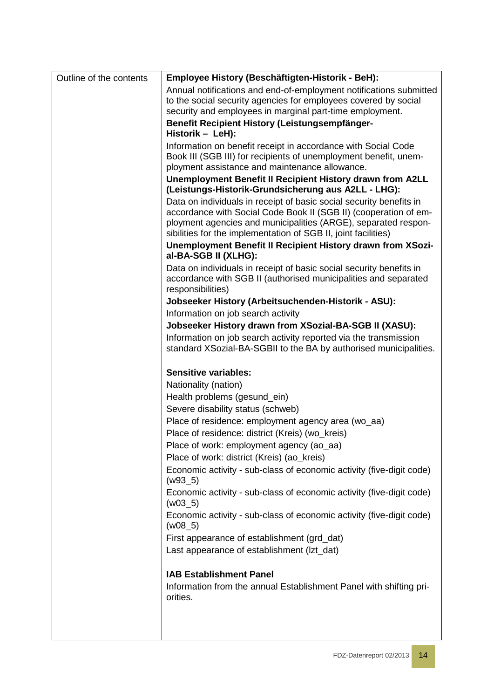| Outline of the contents | Employee History (Beschäftigten-Historik - BeH):                                                                                                                                                                                                                            |
|-------------------------|-----------------------------------------------------------------------------------------------------------------------------------------------------------------------------------------------------------------------------------------------------------------------------|
|                         | Annual notifications and end-of-employment notifications submitted                                                                                                                                                                                                          |
|                         | to the social security agencies for employees covered by social                                                                                                                                                                                                             |
|                         | security and employees in marginal part-time employment.<br>Benefit Recipient History (Leistungsempfänger-                                                                                                                                                                  |
|                         | Historik - LeH):                                                                                                                                                                                                                                                            |
|                         | Information on benefit receipt in accordance with Social Code<br>Book III (SGB III) for recipients of unemployment benefit, unem-<br>ployment assistance and maintenance allowance.                                                                                         |
|                         | Unemployment Benefit II Recipient History drawn from A2LL                                                                                                                                                                                                                   |
|                         | (Leistungs-Historik-Grundsicherung aus A2LL - LHG):                                                                                                                                                                                                                         |
|                         | Data on individuals in receipt of basic social security benefits in<br>accordance with Social Code Book II (SGB II) (cooperation of em-<br>ployment agencies and municipalities (ARGE), separated respon-<br>sibilities for the implementation of SGB II, joint facilities) |
|                         | Unemployment Benefit II Recipient History drawn from XSozi-<br>al-BA-SGB II (XLHG):                                                                                                                                                                                         |
|                         | Data on individuals in receipt of basic social security benefits in<br>accordance with SGB II (authorised municipalities and separated<br>responsibilities)                                                                                                                 |
|                         | Jobseeker History (Arbeitsuchenden-Historik - ASU):                                                                                                                                                                                                                         |
|                         | Information on job search activity                                                                                                                                                                                                                                          |
|                         | Jobseeker History drawn from XSozial-BA-SGB II (XASU):                                                                                                                                                                                                                      |
|                         | Information on job search activity reported via the transmission<br>standard XSozial-BA-SGBII to the BA by authorised municipalities.                                                                                                                                       |
|                         | <b>Sensitive variables:</b>                                                                                                                                                                                                                                                 |
|                         | Nationality (nation)                                                                                                                                                                                                                                                        |
|                         | Health problems (gesund_ein)                                                                                                                                                                                                                                                |
|                         | Severe disability status (schweb)                                                                                                                                                                                                                                           |
|                         | Place of residence: employment agency area (wo_aa)                                                                                                                                                                                                                          |
|                         | Place of residence: district (Kreis) (wo_kreis)                                                                                                                                                                                                                             |
|                         | Place of work: employment agency (ao_aa)                                                                                                                                                                                                                                    |
|                         | Place of work: district (Kreis) (ao_kreis)                                                                                                                                                                                                                                  |
|                         | Economic activity - sub-class of economic activity (five-digit code)<br>$(w93_5)$                                                                                                                                                                                           |
|                         | Economic activity - sub-class of economic activity (five-digit code)<br>$(w03_5)$                                                                                                                                                                                           |
|                         | Economic activity - sub-class of economic activity (five-digit code)<br>$(w08_5)$                                                                                                                                                                                           |
|                         | First appearance of establishment (grd_dat)                                                                                                                                                                                                                                 |
|                         | Last appearance of establishment (Izt_dat)                                                                                                                                                                                                                                  |
|                         | <b>IAB Establishment Panel</b>                                                                                                                                                                                                                                              |
|                         | Information from the annual Establishment Panel with shifting pri-<br>orities.                                                                                                                                                                                              |
|                         |                                                                                                                                                                                                                                                                             |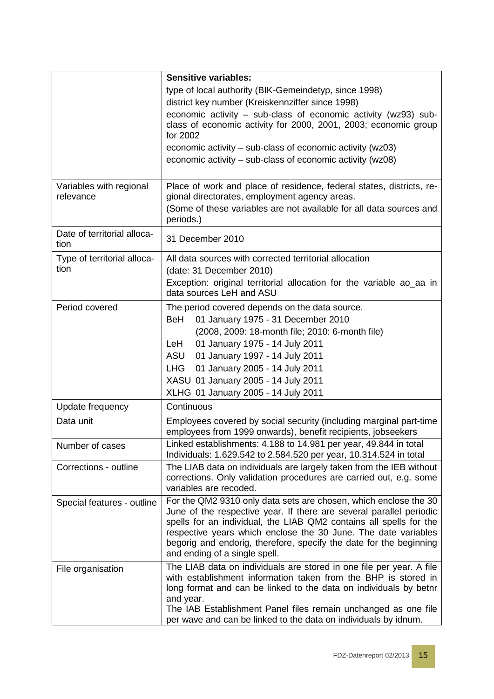|                                      | <b>Sensitive variables:</b>                                                                                                                                         |
|--------------------------------------|---------------------------------------------------------------------------------------------------------------------------------------------------------------------|
|                                      | type of local authority (BIK-Gemeindetyp, since 1998)                                                                                                               |
|                                      | district key number (Kreiskennziffer since 1998)                                                                                                                    |
|                                      | economic activity - sub-class of economic activity (wz93) sub-                                                                                                      |
|                                      | class of economic activity for 2000, 2001, 2003; economic group<br>for 2002                                                                                         |
|                                      | economic activity – sub-class of economic activity (wz03)                                                                                                           |
|                                      | economic activity – sub-class of economic activity (wz08)                                                                                                           |
|                                      |                                                                                                                                                                     |
| Variables with regional<br>relevance | Place of work and place of residence, federal states, districts, re-<br>gional directorates, employment agency areas.                                               |
|                                      | (Some of these variables are not available for all data sources and<br>periods.)                                                                                    |
| Date of territorial alloca-<br>tion  | 31 December 2010                                                                                                                                                    |
| Type of territorial alloca-          | All data sources with corrected territorial allocation                                                                                                              |
| tion                                 | (date: 31 December 2010)                                                                                                                                            |
|                                      | Exception: original territorial allocation for the variable ao_aa in<br>data sources LeH and ASU                                                                    |
| Period covered                       | The period covered depends on the data source.                                                                                                                      |
|                                      | BeH<br>01 January 1975 - 31 December 2010                                                                                                                           |
|                                      | (2008, 2009: 18-month file; 2010: 6-month file)                                                                                                                     |
|                                      | 01 January 1975 - 14 July 2011<br>LeH                                                                                                                               |
|                                      | 01 January 1997 - 14 July 2011<br>ASU                                                                                                                               |
|                                      | 01 January 2005 - 14 July 2011<br>LHG                                                                                                                               |
|                                      | XASU 01 January 2005 - 14 July 2011                                                                                                                                 |
|                                      | XLHG 01 January 2005 - 14 July 2011                                                                                                                                 |
| Update frequency                     | Continuous                                                                                                                                                          |
| Data unit                            | Employees covered by social security (including marginal part-time                                                                                                  |
|                                      | employees from 1999 onwards), benefit recipients, jobseekers                                                                                                        |
| Number of cases                      | Linked establishments: 4.188 to 14.981 per year, 49.844 in total<br>Individuals: 1.629.542 to 2.584.520 per year, 10.314.524 in total                               |
| Corrections - outline                | The LIAB data on individuals are largely taken from the IEB without<br>corrections. Only validation procedures are carried out, e.g. some<br>variables are recoded. |
| Special features - outline           | For the QM2 9310 only data sets are chosen, which enclose the 30<br>June of the respective year. If there are several parallel periodic                             |
|                                      | spells for an individual, the LIAB QM2 contains all spells for the                                                                                                  |
|                                      | respective years which enclose the 30 June. The date variables                                                                                                      |
|                                      | begorig and endorig, therefore, specify the date for the beginning                                                                                                  |
|                                      | and ending of a single spell.                                                                                                                                       |
| File organisation                    | The LIAB data on individuals are stored in one file per year. A file                                                                                                |
|                                      | with establishment information taken from the BHP is stored in                                                                                                      |
|                                      | long format and can be linked to the data on individuals by bethr                                                                                                   |
|                                      | and year.<br>The IAB Establishment Panel files remain unchanged as one file                                                                                         |
|                                      | per wave and can be linked to the data on individuals by idnum.                                                                                                     |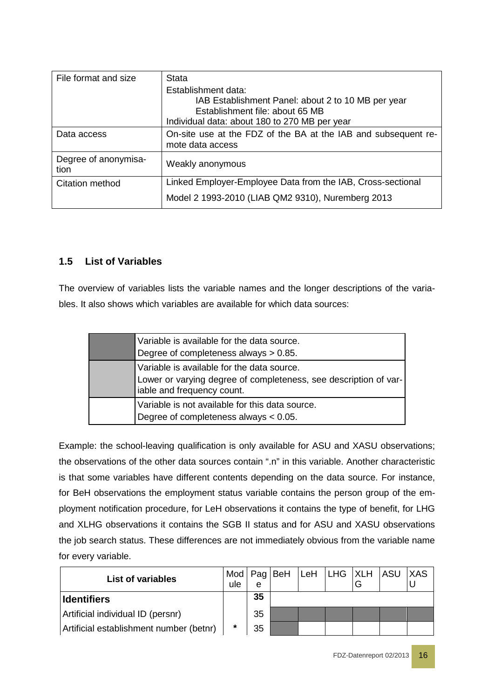| File format and size         | Stata                                                          |
|------------------------------|----------------------------------------------------------------|
|                              | Establishment data:                                            |
|                              | IAB Establishment Panel: about 2 to 10 MB per year             |
|                              | Establishment file: about 65 MB                                |
|                              | Individual data: about 180 to 270 MB per year                  |
| Data access                  | On-site use at the FDZ of the BA at the IAB and subsequent re- |
|                              | mote data access                                               |
| Degree of anonymisa-<br>tion | Weakly anonymous                                               |
| Citation method              | Linked Employer-Employee Data from the IAB, Cross-sectional    |
|                              | Model 2 1993-2010 (LIAB QM2 9310), Nuremberg 2013              |

# <span id="page-15-0"></span>**1.5 List of Variables**

The overview of variables lists the variable names and the longer descriptions of the variables. It also shows which variables are available for which data sources:

| Variable is available for the data source.<br>Degree of completeness always $> 0.85$ .                                                       |
|----------------------------------------------------------------------------------------------------------------------------------------------|
| Variable is available for the data source.<br>Lower or varying degree of completeness, see description of var-<br>iable and frequency count. |
| Variable is not available for this data source.<br>Degree of completeness always $< 0.05$ .                                                  |

Example: the school-leaving qualification is only available for ASU and XASU observations; the observations of the other data sources contain ".n" in this variable. Another characteristic is that some variables have different contents depending on the data source. For instance, for BeH observations the employment status variable contains the person group of the employment notification procedure, for LeH observations it contains the type of benefit, for LHG and XLHG observations it contains the SGB II status and for ASU and XASU observations the job search status. These differences are not immediately obvious from the variable name for every variable.

| <b>List of variables</b>                | ule     | e  |  |  | Mod   Pag   BeH   LeH   LHG   XLH   ASU   XAS |  |
|-----------------------------------------|---------|----|--|--|-----------------------------------------------|--|
| <b>Identifiers</b>                      |         | 35 |  |  |                                               |  |
| Artificial individual ID (persnr)       |         | 35 |  |  |                                               |  |
| Artificial establishment number (betnr) | $\star$ | 35 |  |  |                                               |  |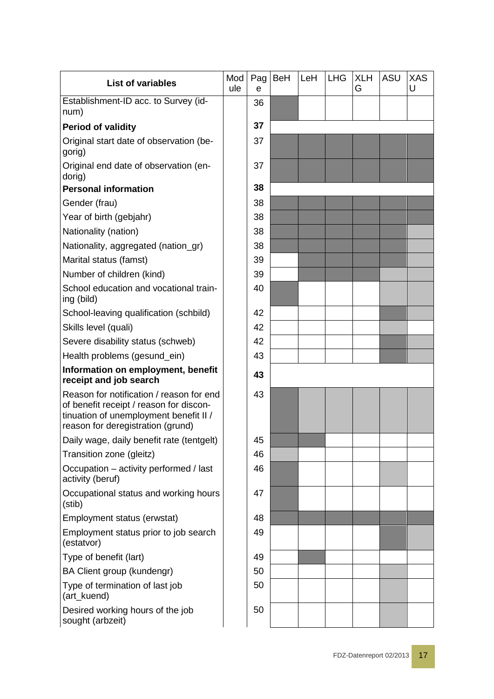| <b>List of variables</b>                                                                                                                                           | Mod<br>ule | Pag<br>e | <b>BeH</b> | LeH | <b>LHG</b> | <b>XLH</b><br>G | <b>ASU</b> | <b>XAS</b><br>U |
|--------------------------------------------------------------------------------------------------------------------------------------------------------------------|------------|----------|------------|-----|------------|-----------------|------------|-----------------|
| Establishment-ID acc. to Survey (id-<br>num)                                                                                                                       |            | 36       |            |     |            |                 |            |                 |
| <b>Period of validity</b>                                                                                                                                          |            | 37       |            |     |            |                 |            |                 |
| Original start date of observation (be-<br>gorig)                                                                                                                  |            | 37       |            |     |            |                 |            |                 |
| Original end date of observation (en-<br>dorig)                                                                                                                    |            | 37       |            |     |            |                 |            |                 |
| <b>Personal information</b>                                                                                                                                        |            | 38       |            |     |            |                 |            |                 |
| Gender (frau)                                                                                                                                                      |            | 38       |            |     |            |                 |            |                 |
| Year of birth (gebjahr)                                                                                                                                            |            | 38       |            |     |            |                 |            |                 |
| Nationality (nation)                                                                                                                                               |            | 38       |            |     |            |                 |            |                 |
| Nationality, aggregated (nation_gr)                                                                                                                                |            | 38       |            |     |            |                 |            |                 |
| Marital status (famst)                                                                                                                                             |            | 39       |            |     |            |                 |            |                 |
| Number of children (kind)                                                                                                                                          |            | 39       |            |     |            |                 |            |                 |
| School education and vocational train-<br>ing (bild)                                                                                                               |            | 40       |            |     |            |                 |            |                 |
| School-leaving qualification (schbild)                                                                                                                             |            | 42       |            |     |            |                 |            |                 |
| Skills level (quali)                                                                                                                                               |            | 42       |            |     |            |                 |            |                 |
| Severe disability status (schweb)                                                                                                                                  |            | 42       |            |     |            |                 |            |                 |
| Health problems (gesund_ein)                                                                                                                                       |            | 43       |            |     |            |                 |            |                 |
| Information on employment, benefit<br>receipt and job search                                                                                                       |            | 43       |            |     |            |                 |            |                 |
| Reason for notification / reason for end<br>of benefit receipt / reason for discon-<br>tinuation of unemployment benefit II /<br>reason for deregistration (grund) |            | 43       |            |     |            |                 |            |                 |
| Daily wage, daily benefit rate (tentgelt)                                                                                                                          |            | 45       |            |     |            |                 |            |                 |
| Transition zone (gleitz)                                                                                                                                           |            | 46       |            |     |            |                 |            |                 |
| Occupation - activity performed / last<br>activity (beruf)                                                                                                         |            | 46       |            |     |            |                 |            |                 |
| Occupational status and working hours<br>(stib)                                                                                                                    |            | 47       |            |     |            |                 |            |                 |
| Employment status (erwstat)                                                                                                                                        |            | 48       |            |     |            |                 |            |                 |
| Employment status prior to job search<br>(estatvor)                                                                                                                |            | 49       |            |     |            |                 |            |                 |
| Type of benefit (lart)                                                                                                                                             |            | 49       |            |     |            |                 |            |                 |
| BA Client group (kundengr)                                                                                                                                         |            | 50       |            |     |            |                 |            |                 |
| Type of termination of last job<br>(art_kuend)                                                                                                                     |            | 50       |            |     |            |                 |            |                 |
| Desired working hours of the job<br>sought (arbzeit)                                                                                                               |            | 50       |            |     |            |                 |            |                 |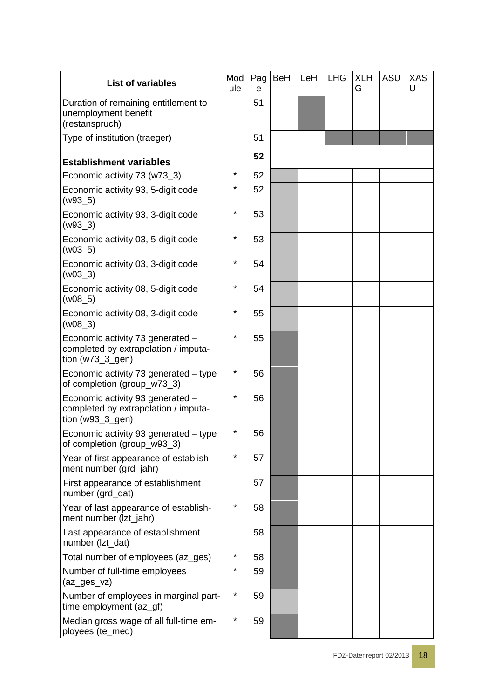| <b>List of variables</b>                                                                         | Mod<br>ule | Pag<br>e | <b>BeH</b> | LeH | <b>LHG</b> | <b>XLH</b><br>G | ASU | <b>XAS</b><br>U |
|--------------------------------------------------------------------------------------------------|------------|----------|------------|-----|------------|-----------------|-----|-----------------|
| Duration of remaining entitlement to<br>unemployment benefit<br>(restanspruch)                   |            | 51       |            |     |            |                 |     |                 |
| Type of institution (traeger)                                                                    |            | 51       |            |     |            |                 |     |                 |
| <b>Establishment variables</b>                                                                   |            | 52       |            |     |            |                 |     |                 |
| Economic activity 73 (w73_3)                                                                     | *          | 52       |            |     |            |                 |     |                 |
| Economic activity 93, 5-digit code<br>$(w93_5)$                                                  | *          | 52       |            |     |            |                 |     |                 |
| Economic activity 93, 3-digit code<br>$(w93_3)$                                                  | *          | 53       |            |     |            |                 |     |                 |
| Economic activity 03, 5-digit code<br>$(w03_5)$                                                  | *          | 53       |            |     |            |                 |     |                 |
| Economic activity 03, 3-digit code<br>$(w03_3)$                                                  | $\star$    | 54       |            |     |            |                 |     |                 |
| Economic activity 08, 5-digit code<br>$(w08_5)$                                                  | $\star$    | 54       |            |     |            |                 |     |                 |
| Economic activity 08, 3-digit code<br>$(w08_3)$                                                  | $\star$    | 55       |            |     |            |                 |     |                 |
| Economic activity 73 generated -<br>completed by extrapolation / imputa-<br>tion ( $w73_3_9$ en) | $^\star$   | 55       |            |     |            |                 |     |                 |
| Economic activity 73 generated - type<br>of completion (group_w73_3)                             | *          | 56       |            |     |            |                 |     |                 |
| Economic activity 93 generated -<br>completed by extrapolation / imputa-<br>tion ( $w93_3_$ gen) | $\star$    | 56       |            |     |            |                 |     |                 |
| Economic activity 93 generated - type<br>of completion (group_w93_3)                             | *          | 56       |            |     |            |                 |     |                 |
| Year of first appearance of establish-<br>ment number (grd_jahr)                                 | *          | 57       |            |     |            |                 |     |                 |
| First appearance of establishment<br>number (grd_dat)                                            |            | 57       |            |     |            |                 |     |                 |
| Year of last appearance of establish-<br>ment number (Izt_jahr)                                  | $\star$    | 58       |            |     |            |                 |     |                 |
| Last appearance of establishment<br>number (Izt_dat)                                             |            | 58       |            |     |            |                 |     |                 |
| Total number of employees (az_ges)                                                               | *          | 58       |            |     |            |                 |     |                 |
| Number of full-time employees<br>(az_ges_vz)                                                     | *          | 59       |            |     |            |                 |     |                 |
| Number of employees in marginal part-<br>time employment (az_gf)                                 | *          | 59       |            |     |            |                 |     |                 |
| Median gross wage of all full-time em-<br>ployees (te_med)                                       | *          | 59       |            |     |            |                 |     |                 |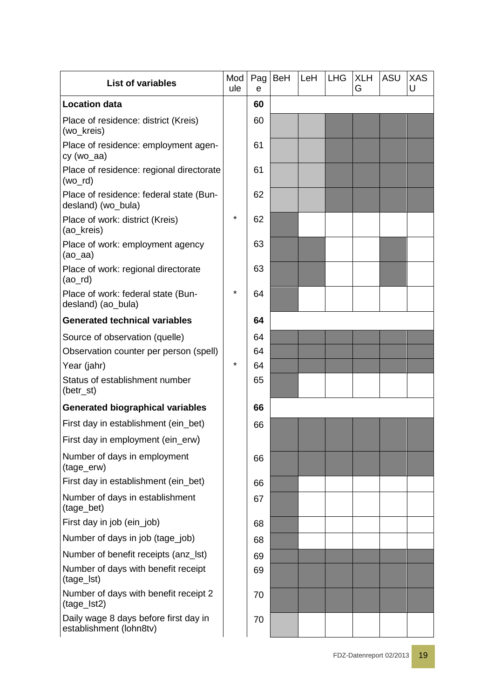| <b>List of variables</b>                                         | Mod<br>ule | Pag<br>e | <b>BeH</b> | LeH | <b>LHG</b> | <b>XLH</b><br>G | ASU | <b>XAS</b><br>U |
|------------------------------------------------------------------|------------|----------|------------|-----|------------|-----------------|-----|-----------------|
| <b>Location data</b>                                             |            | 60       |            |     |            |                 |     |                 |
| Place of residence: district (Kreis)<br>(wo_kreis)               |            | 60       |            |     |            |                 |     |                 |
| Place of residence: employment agen-<br>cy (wo_aa)               |            | 61       |            |     |            |                 |     |                 |
| Place of residence: regional directorate<br>$(wo_r d)$           |            | 61       |            |     |            |                 |     |                 |
| Place of residence: federal state (Bun-<br>desland) (wo_bula)    |            | 62       |            |     |            |                 |     |                 |
| Place of work: district (Kreis)<br>(ao_kreis)                    | $\star$    | 62       |            |     |            |                 |     |                 |
| Place of work: employment agency<br>(ao_aa)                      |            | 63       |            |     |            |                 |     |                 |
| Place of work: regional directorate<br>(ao_rd)                   |            | 63       |            |     |            |                 |     |                 |
| Place of work: federal state (Bun-<br>desland) (ao_bula)         | $\star$    | 64       |            |     |            |                 |     |                 |
| <b>Generated technical variables</b>                             |            | 64       |            |     |            |                 |     |                 |
| Source of observation (quelle)                                   |            | 64       |            |     |            |                 |     |                 |
| Observation counter per person (spell)                           |            | 64       |            |     |            |                 |     |                 |
| Year (jahr)                                                      | $\star$    | 64       |            |     |            |                 |     |                 |
| Status of establishment number<br>(betr_st)                      |            | 65       |            |     |            |                 |     |                 |
| <b>Generated biographical variables</b>                          |            | 66       |            |     |            |                 |     |                 |
| First day in establishment (ein_bet)                             |            | 66       |            |     |            |                 |     |                 |
| First day in employment (ein_erw)                                |            |          |            |     |            |                 |     |                 |
| Number of days in employment<br>(tage_erw)                       |            | 66       |            |     |            |                 |     |                 |
| First day in establishment (ein_bet)                             |            | 66       |            |     |            |                 |     |                 |
| Number of days in establishment<br>(tage_bet)                    |            | 67       |            |     |            |                 |     |                 |
| First day in job (ein_job)                                       |            | 68       |            |     |            |                 |     |                 |
| Number of days in job (tage_job)                                 |            | 68       |            |     |            |                 |     |                 |
| Number of benefit receipts (anz_lst)                             |            | 69       |            |     |            |                 |     |                 |
| Number of days with benefit receipt<br>(tage_lst)                |            | 69       |            |     |            |                 |     |                 |
| Number of days with benefit receipt 2<br>(tage_lst2)             |            | 70       |            |     |            |                 |     |                 |
| Daily wage 8 days before first day in<br>establishment (lohn8tv) |            | 70       |            |     |            |                 |     |                 |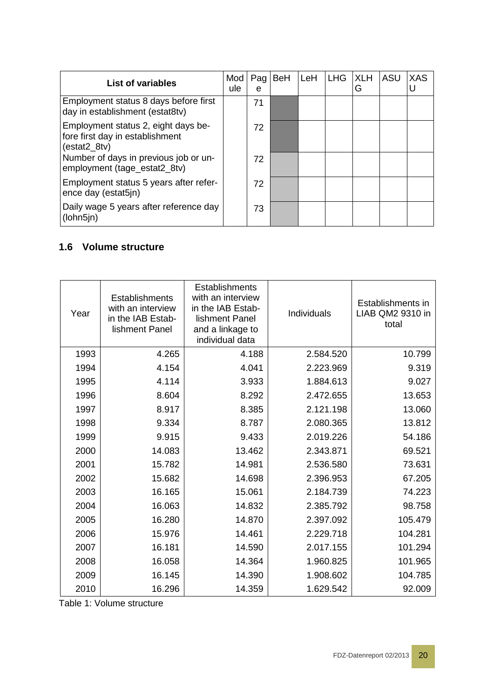| <b>List of variables</b>                                                               | Mod<br>ule | Pag<br>e | <b>BeH</b> | LeH | <b>LHG</b> | <b>XLH</b><br>G | ASU | XAS |
|----------------------------------------------------------------------------------------|------------|----------|------------|-----|------------|-----------------|-----|-----|
| Employment status 8 days before first<br>day in establishment (estat8tv)               |            | 71       |            |     |            |                 |     |     |
| Employment status 2, eight days be-<br>fore first day in establishment<br>(estat2 8tv) |            | 72       |            |     |            |                 |     |     |
| Number of days in previous job or un-<br>employment (tage_estat2_8tv)                  |            | 72       |            |     |            |                 |     |     |
| Employment status 5 years after refer-<br>ence day (estat5jn)                          |            | 72       |            |     |            |                 |     |     |
| Daily wage 5 years after reference day<br>(lohn5jn)                                    |            | 73       |            |     |            |                 |     |     |

# <span id="page-19-0"></span>**1.6 Volume structure**

| Year | <b>Establishments</b><br>with an interview<br>in the IAB Estab-<br>lishment Panel | Establishments<br>with an interview<br>in the IAB Estab-<br>lishment Panel<br>and a linkage to<br>individual data | Individuals | Establishments in<br>LIAB QM2 9310 in<br>total |
|------|-----------------------------------------------------------------------------------|-------------------------------------------------------------------------------------------------------------------|-------------|------------------------------------------------|
| 1993 | 4.265                                                                             | 4.188                                                                                                             | 2.584.520   | 10.799                                         |
| 1994 | 4.154                                                                             | 4.041                                                                                                             | 2.223.969   | 9.319                                          |
| 1995 | 4.114                                                                             | 3.933                                                                                                             | 1.884.613   | 9.027                                          |
| 1996 | 8.604                                                                             | 8.292                                                                                                             | 2.472.655   | 13.653                                         |
| 1997 | 8.917                                                                             | 8.385                                                                                                             | 2.121.198   | 13.060                                         |
| 1998 | 9.334                                                                             | 8.787                                                                                                             | 2.080.365   | 13.812                                         |
| 1999 | 9.915                                                                             | 9.433                                                                                                             | 2.019.226   | 54.186                                         |
| 2000 | 14.083                                                                            | 13.462                                                                                                            | 2.343.871   | 69.521                                         |
| 2001 | 15.782                                                                            | 14.981                                                                                                            | 2.536.580   | 73.631                                         |
| 2002 | 15.682                                                                            | 14.698                                                                                                            | 2.396.953   | 67.205                                         |
| 2003 | 16.165                                                                            | 15.061                                                                                                            | 2.184.739   | 74.223                                         |
| 2004 | 16.063                                                                            | 14.832                                                                                                            | 2.385.792   | 98.758                                         |
| 2005 | 16.280                                                                            | 14.870                                                                                                            | 2.397.092   | 105.479                                        |
| 2006 | 15.976                                                                            | 14.461                                                                                                            | 2.229.718   | 104.281                                        |
| 2007 | 16.181                                                                            | 14.590                                                                                                            | 2.017.155   | 101.294                                        |
| 2008 | 16.058                                                                            | 14.364                                                                                                            | 1.960.825   | 101.965                                        |
| 2009 | 16.145                                                                            | 14.390                                                                                                            | 1.908.602   | 104.785                                        |
| 2010 | 16.296                                                                            | 14.359                                                                                                            | 1.629.542   | 92.009                                         |

Table 1: Volume structure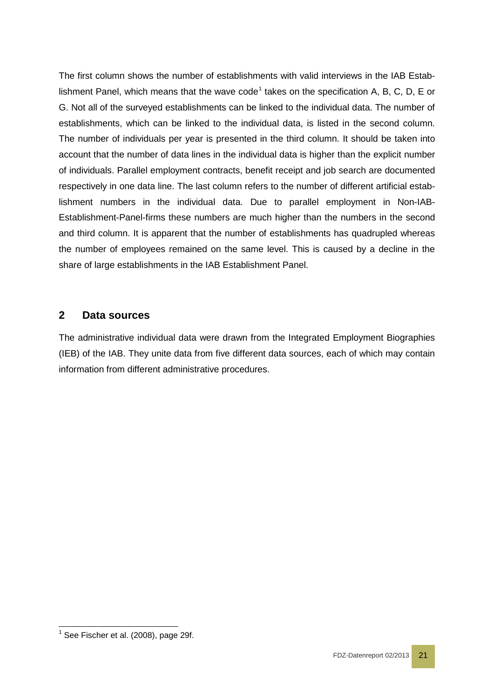The first column shows the number of establishments with valid interviews in the IAB Estab-lishment Panel, which means that the wave code<sup>[1](#page-20-1)</sup> takes on the specification A, B, C, D, E or G. Not all of the surveyed establishments can be linked to the individual data. The number of establishments, which can be linked to the individual data, is listed in the second column. The number of individuals per year is presented in the third column. It should be taken into account that the number of data lines in the individual data is higher than the explicit number of individuals. Parallel employment contracts, benefit receipt and job search are documented respectively in one data line. The last column refers to the number of different artificial establishment numbers in the individual data. Due to parallel employment in Non-IAB-Establishment-Panel-firms these numbers are much higher than the numbers in the second and third column. It is apparent that the number of establishments has quadrupled whereas the number of employees remained on the same level. This is caused by a decline in the share of large establishments in the IAB Establishment Panel.

# <span id="page-20-0"></span>**2 Data sources**

The administrative individual data were drawn from the Integrated Employment Biographies (IEB) of the IAB. They unite data from five different data sources, each of which may contain information from different administrative procedures.

<span id="page-20-1"></span> $<sup>1</sup>$  See Fischer et al. (2008), page 29f.</sup>  $\overline{a}$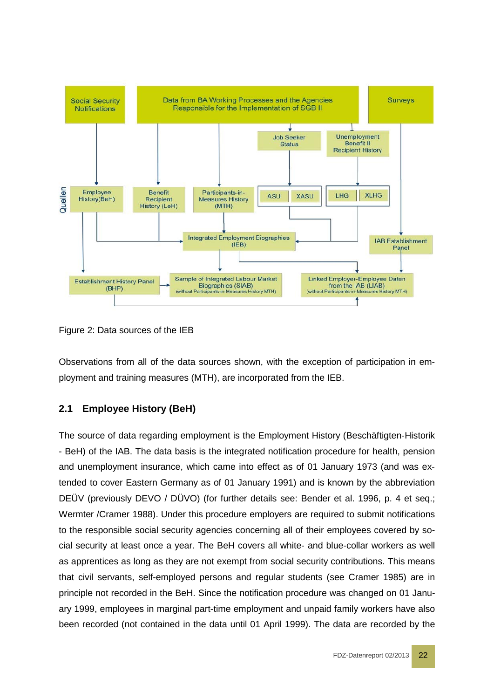

Figure 2: Data sources of the IEB

Observations from all of the data sources shown, with the exception of participation in employment and training measures (MTH), are incorporated from the IEB.

#### <span id="page-21-0"></span>**2.1 Employee History (BeH)**

The source of data regarding employment is the Employment History (Beschäftigten-Historik - BeH) of the IAB. The data basis is the integrated notification procedure for health, pension and unemployment insurance, which came into effect as of 01 January 1973 (and was extended to cover Eastern Germany as of 01 January 1991) and is known by the abbreviation DEÜV (previously DEVO / DÜVO) (for further details see: Bender et al. 1996, p. 4 et seq.; Wermter /Cramer 1988). Under this procedure employers are required to submit notifications to the responsible social security agencies concerning all of their employees covered by social security at least once a year. The BeH covers all white- and blue-collar workers as well as apprentices as long as they are not exempt from social security contributions. This means that civil servants, self-employed persons and regular students (see Cramer 1985) are in principle not recorded in the BeH. Since the notification procedure was changed on 01 January 1999, employees in marginal part-time employment and unpaid family workers have also been recorded (not contained in the data until 01 April 1999). The data are recorded by the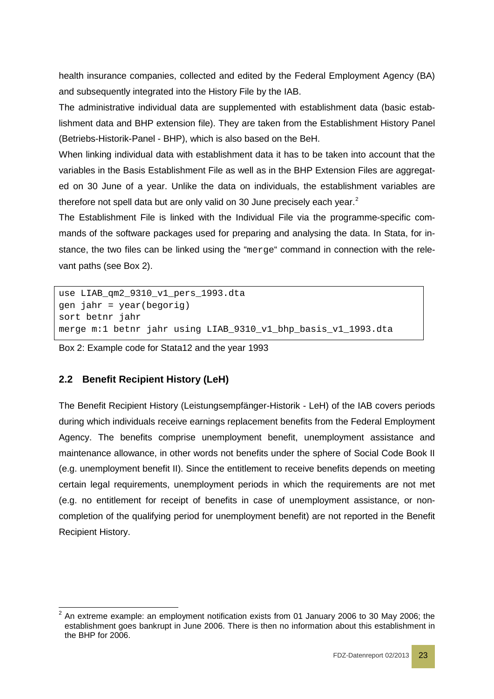health insurance companies, collected and edited by the Federal Employment Agency (BA) and subsequently integrated into the History File by the IAB.

The administrative individual data are supplemented with establishment data (basic establishment data and BHP extension file). They are taken from the Establishment History Panel (Betriebs-Historik-Panel - BHP), which is also based on the BeH.

When linking individual data with establishment data it has to be taken into account that the variables in the Basis Establishment File as well as in the BHP Extension Files are aggregated on 30 June of a year. Unlike the data on individuals, the establishment variables are therefore not spell data but are only valid on 30 June precisely each year.<sup>[2](#page-22-1)</sup>

The Establishment File is linked with the Individual File via the programme-specific commands of the software packages used for preparing and analysing the data. In Stata, for instance, the two files can be linked using the "merge" command in connection with the relevant paths (see Box 2).

```
use LIAB_qm2_9310_v1_pers_1993.dta
gen jahr = year(begorig)
sort betnr jahr
merge m:1 betnr jahr using LIAB_9310_v1_bhp_basis_v1_1993.dta
```
Box 2: Example code for Stata12 and the year 1993

# <span id="page-22-0"></span>**2.2 Benefit Recipient History (LeH)**

The Benefit Recipient History (Leistungsempfänger-Historik - LeH) of the IAB covers periods during which individuals receive earnings replacement benefits from the Federal Employment Agency. The benefits comprise unemployment benefit, unemployment assistance and maintenance allowance, in other words not benefits under the sphere of Social Code Book II (e.g. unemployment benefit II). Since the entitlement to receive benefits depends on meeting certain legal requirements, unemployment periods in which the requirements are not met (e.g. no entitlement for receipt of benefits in case of unemployment assistance, or noncompletion of the qualifying period for unemployment benefit) are not reported in the Benefit Recipient History.

<span id="page-22-1"></span><sup>2</sup> An extreme example: an employment notification exists from 01 January 2006 to 30 May 2006; the establishment goes bankrupt in June 2006. There is then no information about this establishment in the BHP for 2006.  $\overline{a}$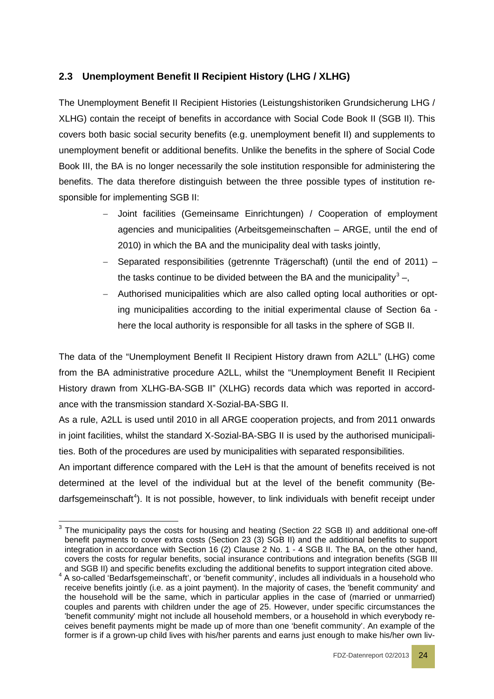# <span id="page-23-0"></span>**2.3 Unemployment Benefit II Recipient History (LHG / XLHG)**

The Unemployment Benefit II Recipient Histories (Leistungshistoriken Grundsicherung LHG / XLHG) contain the receipt of benefits in accordance with Social Code Book II (SGB II). This covers both basic social security benefits (e.g. unemployment benefit II) and supplements to unemployment benefit or additional benefits. Unlike the benefits in the sphere of Social Code Book III, the BA is no longer necessarily the sole institution responsible for administering the benefits. The data therefore distinguish between the three possible types of institution responsible for implementing SGB II:

- Joint facilities (Gemeinsame Einrichtungen) / Cooperation of employment agencies and municipalities (Arbeitsgemeinschaften – ARGE, until the end of 2010) in which the BA and the municipality deal with tasks jointly,
- − Separated responsibilities (getrennte Trägerschaft) (until the end of 2011) the tasks continue to be divided between the BA and the municipality<sup>[3](#page-23-1)</sup> –,
- − Authorised municipalities which are also called opting local authorities or opting municipalities according to the initial experimental clause of Section 6a here the local authority is responsible for all tasks in the sphere of SGB II.

The data of the "Unemployment Benefit II Recipient History drawn from A2LL" (LHG) come from the BA administrative procedure A2LL, whilst the "Unemployment Benefit II Recipient History drawn from XLHG-BA-SGB II" (XLHG) records data which was reported in accordance with the transmission standard X-Sozial-BA-SBG II.

As a rule, A2LL is used until 2010 in all ARGE cooperation projects, and from 2011 onwards in joint facilities, whilst the standard X-Sozial-BA-SBG II is used by the authorised municipalities. Both of the procedures are used by municipalities with separated responsibilities.

An important difference compared with the LeH is that the amount of benefits received is not determined at the level of the individual but at the level of the benefit community (Be-darfsgemeinschaft<sup>[4](#page-23-2)</sup>). It is not possible, however, to link individuals with benefit receipt under

<span id="page-23-1"></span> $3$  The municipality pays the costs for housing and heating (Section 22 SGB II) and additional one-off benefit payments to cover extra costs (Section 23 (3) SGB II) and the additional benefits to support integration in accordance with Section 16 (2) Clause 2 No. 1 - 4 SGB II. The BA, on the other hand, covers the costs for regular benefits, social insurance contributions and integration benefits (SGB III and SGB II) and specific benefits excluding the additional benefits to support integration cited above.  $\overline{a}$ 

<span id="page-23-2"></span><sup>&</sup>lt;sup>4</sup> A so-called 'Bedarfsgemeinschaft', or 'benefit community', includes all individuals in a household who receive benefits jointly (i.e. as a joint payment). In the majority of cases, the 'benefit community' and the household will be the same, which in particular applies in the case of (married or unmarried) couples and parents with children under the age of 25. However, under specific circumstances the 'benefit community' might not include all household members, or a household in which everybody receives benefit payments might be made up of more than one 'benefit community'. An example of the former is if a grown-up child lives with his/her parents and earns just enough to make his/her own liv-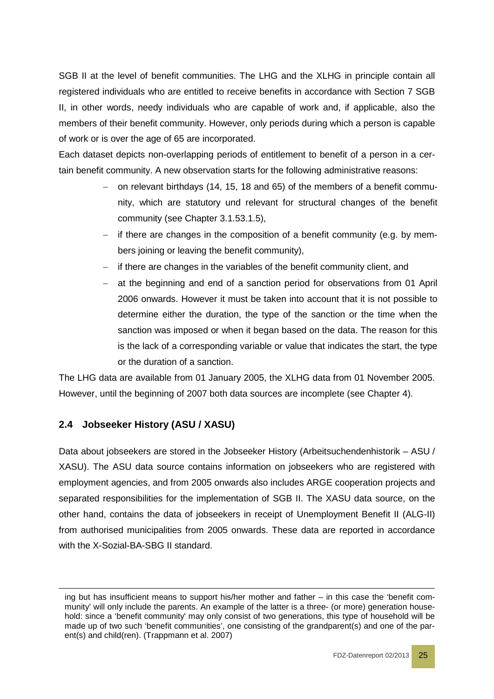SGB II at the level of benefit communities. The LHG and the XLHG in principle contain all registered individuals who are entitled to receive benefits in accordance with Section 7 SGB II, in other words, needy individuals who are capable of work and, if applicable, also the members of their benefit community. However, only periods during which a person is capable of work or is over the age of 65 are incorporated.

Each dataset depicts non-overlapping periods of entitlement to benefit of a person in a certain benefit community. A new observation starts for the following administrative reasons:

- − on relevant birthdays (14, 15, 18 and 65) of the members of a benefit community, which are statutory und relevant for structural changes of the benefit community (see Chapter [3.1.53.1.5\)](#page-27-0),
- − if there are changes in the composition of a benefit community (e.g. by members joining or leaving the benefit community),
- − if there are changes in the variables of the benefit community client, and
- − at the beginning and end of a sanction period for observations from 01 April 2006 onwards. However it must be taken into account that it is not possible to determine either the duration, the type of the sanction or the time when the sanction was imposed or when it began based on the data. The reason for this is the lack of a corresponding variable or value that indicates the start, the type or the duration of a sanction.

The LHG data are available from 01 January 2005, the XLHG data from 01 November 2005. However, until the beginning of 2007 both data sources are incomplete (see Chapter 4).

# <span id="page-24-0"></span>**2.4 Jobseeker History (ASU / XASU)**

-

Data about jobseekers are stored in the Jobseeker History (Arbeitsuchendenhistorik – ASU / XASU). The ASU data source contains information on jobseekers who are registered with employment agencies, and from 2005 onwards also includes ARGE cooperation projects and separated responsibilities for the implementation of SGB II. The XASU data source, on the other hand, contains the data of jobseekers in receipt of Unemployment Benefit II (ALG-II) from authorised municipalities from 2005 onwards. These data are reported in accordance with the X-Sozial-BA-SBG II standard.

ing but has insufficient means to support his/her mother and father – in this case the 'benefit community' will only include the parents. An example of the latter is a three- (or more) generation household: since a 'benefit community' may only consist of two generations, this type of household will be made up of two such 'benefit communities', one consisting of the grandparent(s) and one of the parent(s) and child(ren). (Trappmann et al. 2007)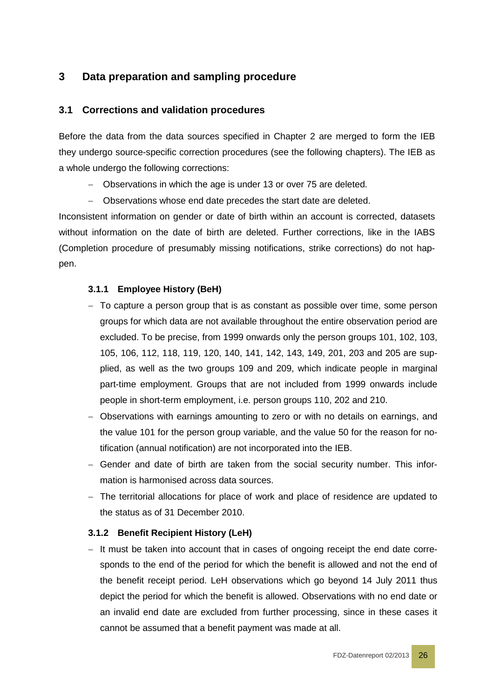# <span id="page-25-0"></span>**3 Data preparation and sampling procedure**

#### <span id="page-25-1"></span>**3.1 Corrections and validation procedures**

Before the data from the data sources specified in Chapter 2 are merged to form the IEB they undergo source-specific correction procedures (see the following chapters). The IEB as a whole undergo the following corrections:

- − Observations in which the age is under 13 or over 75 are deleted.
- − Observations whose end date precedes the start date are deleted.

Inconsistent information on gender or date of birth within an account is corrected, datasets without information on the date of birth are deleted. Further corrections, like in the IABS (Completion procedure of presumably missing notifications, strike corrections) do not happen.

#### <span id="page-25-2"></span>**3.1.1 Employee History (BeH)**

- − To capture a person group that is as constant as possible over time, some person groups for which data are not available throughout the entire observation period are excluded. To be precise, from 1999 onwards only the person groups 101, 102, 103, 105, 106, 112, 118, 119, 120, 140, 141, 142, 143, 149, 201, 203 and 205 are supplied, as well as the two groups 109 and 209, which indicate people in marginal part-time employment. Groups that are not included from 1999 onwards include people in short-term employment, i.e. person groups 110, 202 and 210.
- − Observations with earnings amounting to zero or with no details on earnings, and the value 101 for the person group variable, and the value 50 for the reason for notification (annual notification) are not incorporated into the IEB.
- − Gender and date of birth are taken from the social security number. This information is harmonised across data sources.
- − The territorial allocations for place of work and place of residence are updated to the status as of 31 December 2010.

#### <span id="page-25-3"></span>**3.1.2 Benefit Recipient History (LeH)**

− It must be taken into account that in cases of ongoing receipt the end date corresponds to the end of the period for which the benefit is allowed and not the end of the benefit receipt period. LeH observations which go beyond 14 July 2011 thus depict the period for which the benefit is allowed. Observations with no end date or an invalid end date are excluded from further processing, since in these cases it cannot be assumed that a benefit payment was made at all.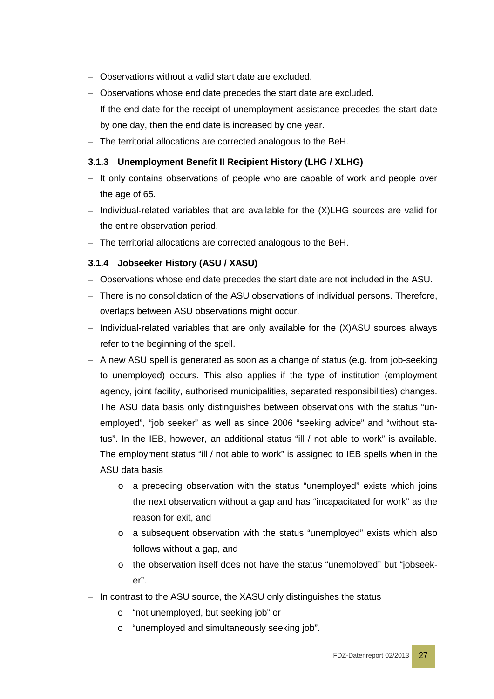- − Observations without a valid start date are excluded.
- − Observations whose end date precedes the start date are excluded.
- − If the end date for the receipt of unemployment assistance precedes the start date by one day, then the end date is increased by one year.
- − The territorial allocations are corrected analogous to the BeH.

#### <span id="page-26-0"></span>**3.1.3 Unemployment Benefit II Recipient History (LHG / XLHG)**

- − It only contains observations of people who are capable of work and people over the age of 65.
- − Individual-related variables that are available for the (X)LHG sources are valid for the entire observation period.
- − The territorial allocations are corrected analogous to the BeH.

#### <span id="page-26-1"></span>**3.1.4 Jobseeker History (ASU / XASU)**

- − Observations whose end date precedes the start date are not included in the ASU.
- − There is no consolidation of the ASU observations of individual persons. Therefore, overlaps between ASU observations might occur.
- − Individual-related variables that are only available for the (X)ASU sources always refer to the beginning of the spell.
- − A new ASU spell is generated as soon as a change of status (e.g. from job-seeking to unemployed) occurs. This also applies if the type of institution (employment agency, joint facility, authorised municipalities, separated responsibilities) changes. The ASU data basis only distinguishes between observations with the status "unemployed", "job seeker" as well as since 2006 "seeking advice" and "without status". In the IEB, however, an additional status "ill / not able to work" is available. The employment status "ill / not able to work" is assigned to IEB spells when in the ASU data basis
	- o a preceding observation with the status "unemployed" exists which joins the next observation without a gap and has "incapacitated for work" as the reason for exit, and
	- o a subsequent observation with the status "unemployed" exists which also follows without a gap, and
	- o the observation itself does not have the status "unemployed" but "jobseeker".
- − In contrast to the ASU source, the XASU only distinguishes the status
	- o "not unemployed, but seeking job" or
	- o "unemployed and simultaneously seeking job".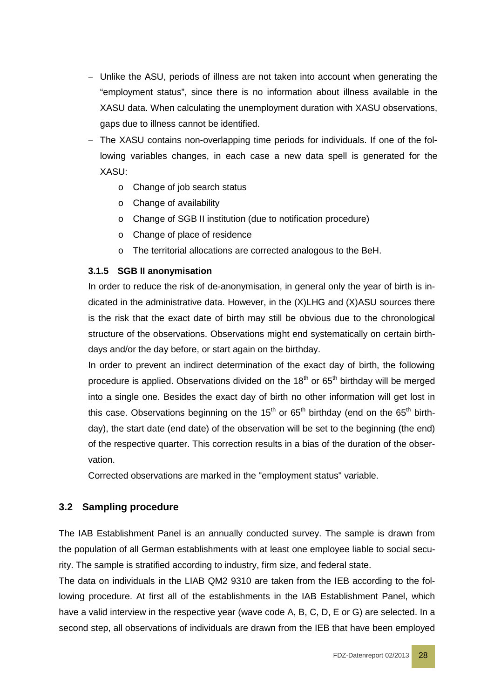- − Unlike the ASU, periods of illness are not taken into account when generating the "employment status", since there is no information about illness available in the XASU data. When calculating the unemployment duration with XASU observations, gaps due to illness cannot be identified.
- − The XASU contains non-overlapping time periods for individuals. If one of the following variables changes, in each case a new data spell is generated for the XASU:
	- o Change of job search status
	- o Change of availability
	- o Change of SGB II institution (due to notification procedure)
	- o Change of place of residence
	- o The territorial allocations are corrected analogous to the BeH.

#### <span id="page-27-0"></span>**3.1.5 SGB II anonymisation**

In order to reduce the risk of de-anonymisation, in general only the year of birth is indicated in the administrative data. However, in the (X)LHG and (X)ASU sources there is the risk that the exact date of birth may still be obvious due to the chronological structure of the observations. Observations might end systematically on certain birthdays and/or the day before, or start again on the birthday.

In order to prevent an indirect determination of the exact day of birth, the following procedure is applied. Observations divided on the  $18<sup>th</sup>$  or  $65<sup>th</sup>$  birthday will be merged into a single one. Besides the exact day of birth no other information will get lost in this case. Observations beginning on the 15<sup>th</sup> or 65<sup>th</sup> birthday (end on the 65<sup>th</sup> birthday), the start date (end date) of the observation will be set to the beginning (the end) of the respective quarter. This correction results in a bias of the duration of the observation.

Corrected observations are marked in the "employment status" variable.

#### <span id="page-27-1"></span>**3.2 Sampling procedure**

The IAB Establishment Panel is an annually conducted survey. The sample is drawn from the population of all German establishments with at least one employee liable to social security. The sample is stratified according to industry, firm size, and federal state.

The data on individuals in the LIAB QM2 9310 are taken from the IEB according to the following procedure. At first all of the establishments in the IAB Establishment Panel, which have a valid interview in the respective year (wave code A, B, C, D, E or G) are selected. In a second step, all observations of individuals are drawn from the IEB that have been employed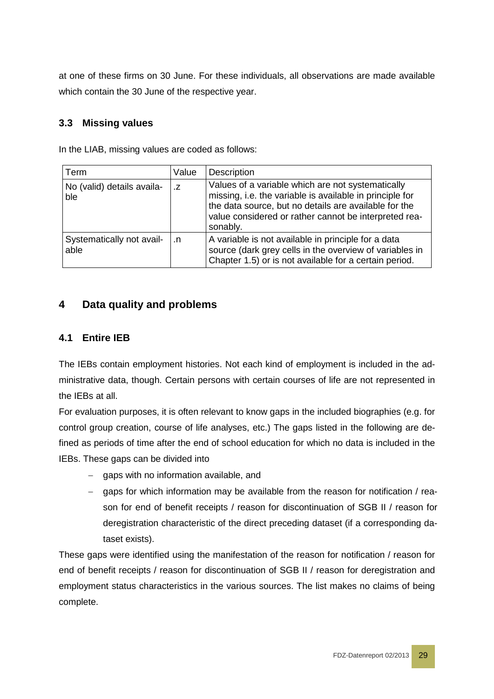at one of these firms on 30 June. For these individuals, all observations are made available which contain the 30 June of the respective year.

# <span id="page-28-0"></span>**3.3 Missing values**

In the LIAB, missing values are coded as follows:

| Term                              | Value     | Description                                                                                                                                                                                                                                 |
|-----------------------------------|-----------|---------------------------------------------------------------------------------------------------------------------------------------------------------------------------------------------------------------------------------------------|
| No (valid) details availa-<br>ble | .Z        | Values of a variable which are not systematically<br>missing, i.e. the variable is available in principle for<br>the data source, but no details are available for the<br>value considered or rather cannot be interpreted rea-<br>sonably. |
| Systematically not avail-<br>able | $\cdot$ n | A variable is not available in principle for a data<br>source (dark grey cells in the overview of variables in<br>Chapter 1.5) or is not available for a certain period.                                                                    |

# <span id="page-28-1"></span>**4 Data quality and problems**

# <span id="page-28-2"></span>**4.1 Entire IEB**

The IEBs contain employment histories. Not each kind of employment is included in the administrative data, though. Certain persons with certain courses of life are not represented in the IEBs at all.

For evaluation purposes, it is often relevant to know gaps in the included biographies (e.g. for control group creation, course of life analyses, etc.) The gaps listed in the following are defined as periods of time after the end of school education for which no data is included in the IEBs. These gaps can be divided into

- − gaps with no information available, and
- − gaps for which information may be available from the reason for notification / reason for end of benefit receipts / reason for discontinuation of SGB II / reason for deregistration characteristic of the direct preceding dataset (if a corresponding dataset exists).

These gaps were identified using the manifestation of the reason for notification / reason for end of benefit receipts / reason for discontinuation of SGB II / reason for deregistration and employment status characteristics in the various sources. The list makes no claims of being complete.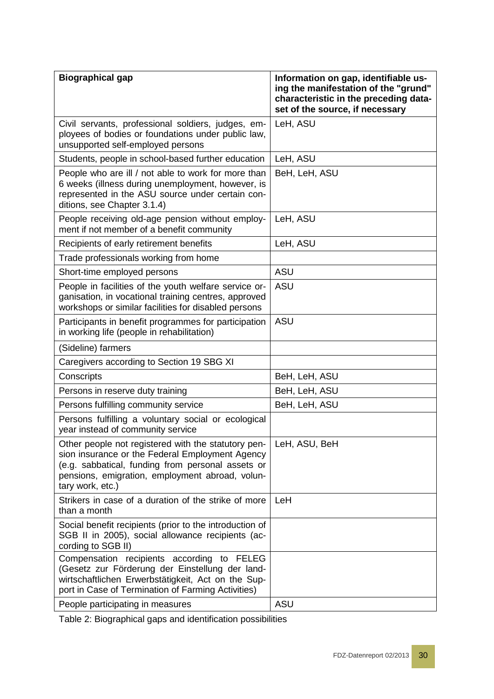| <b>Biographical gap</b>                                                                                                                                                                                                            | Information on gap, identifiable us-<br>ing the manifestation of the "grund"<br>characteristic in the preceding data-<br>set of the source, if necessary |
|------------------------------------------------------------------------------------------------------------------------------------------------------------------------------------------------------------------------------------|----------------------------------------------------------------------------------------------------------------------------------------------------------|
| Civil servants, professional soldiers, judges, em-<br>ployees of bodies or foundations under public law,<br>unsupported self-employed persons                                                                                      | LeH, ASU                                                                                                                                                 |
| Students, people in school-based further education                                                                                                                                                                                 | LeH, ASU                                                                                                                                                 |
| People who are ill / not able to work for more than<br>6 weeks (illness during unemployment, however, is<br>represented in the ASU source under certain con-<br>ditions, see Chapter 3.1.4)                                        | BeH, LeH, ASU                                                                                                                                            |
| People receiving old-age pension without employ-<br>ment if not member of a benefit community                                                                                                                                      | LeH, ASU                                                                                                                                                 |
| Recipients of early retirement benefits                                                                                                                                                                                            | LeH, ASU                                                                                                                                                 |
| Trade professionals working from home                                                                                                                                                                                              |                                                                                                                                                          |
| Short-time employed persons                                                                                                                                                                                                        | <b>ASU</b>                                                                                                                                               |
| People in facilities of the youth welfare service or-<br>ganisation, in vocational training centres, approved<br>workshops or similar facilities for disabled persons                                                              | <b>ASU</b>                                                                                                                                               |
| Participants in benefit programmes for participation<br>in working life (people in rehabilitation)                                                                                                                                 | <b>ASU</b>                                                                                                                                               |
| (Sideline) farmers                                                                                                                                                                                                                 |                                                                                                                                                          |
| Caregivers according to Section 19 SBG XI                                                                                                                                                                                          |                                                                                                                                                          |
| Conscripts                                                                                                                                                                                                                         | BeH, LeH, ASU                                                                                                                                            |
| Persons in reserve duty training                                                                                                                                                                                                   | BeH, LeH, ASU                                                                                                                                            |
| Persons fulfilling community service                                                                                                                                                                                               | BeH, LeH, ASU                                                                                                                                            |
| Persons fulfilling a voluntary social or ecological<br>year instead of community service                                                                                                                                           |                                                                                                                                                          |
| Other people not registered with the statutory pen-<br>sion insurance or the Federal Employment Agency<br>(e.g. sabbatical, funding from personal assets or<br>pensions, emigration, employment abroad, volun-<br>tary work, etc.) | LeH, ASU, BeH                                                                                                                                            |
| Strikers in case of a duration of the strike of more<br>than a month                                                                                                                                                               | LeH                                                                                                                                                      |
| Social benefit recipients (prior to the introduction of<br>SGB II in 2005), social allowance recipients (ac-<br>cording to SGB II)                                                                                                 |                                                                                                                                                          |
| Compensation recipients according to FELEG<br>(Gesetz zur Förderung der Einstellung der land-<br>wirtschaftlichen Erwerbstätigkeit, Act on the Sup-<br>port in Case of Termination of Farming Activities)                          |                                                                                                                                                          |
| People participating in measures                                                                                                                                                                                                   | ASU                                                                                                                                                      |

Table 2: Biographical gaps and identification possibilities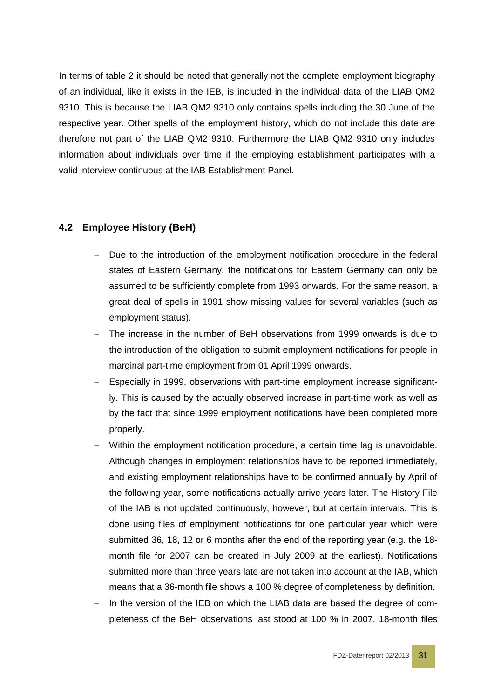In terms of table 2 it should be noted that generally not the complete employment biography of an individual, like it exists in the IEB, is included in the individual data of the LIAB QM2 9310. This is because the LIAB QM2 9310 only contains spells including the 30 June of the respective year. Other spells of the employment history, which do not include this date are therefore not part of the LIAB QM2 9310. Furthermore the LIAB QM2 9310 only includes information about individuals over time if the employing establishment participates with a valid interview continuous at the IAB Establishment Panel.

# <span id="page-30-0"></span>**4.2 Employee History (BeH)**

- Due to the introduction of the employment notification procedure in the federal states of Eastern Germany, the notifications for Eastern Germany can only be assumed to be sufficiently complete from 1993 onwards. For the same reason, a great deal of spells in 1991 show missing values for several variables (such as employment status).
- − The increase in the number of BeH observations from 1999 onwards is due to the introduction of the obligation to submit employment notifications for people in marginal part-time employment from 01 April 1999 onwards.
- Especially in 1999, observations with part-time employment increase significantly. This is caused by the actually observed increase in part-time work as well as by the fact that since 1999 employment notifications have been completed more properly.
- − Within the employment notification procedure, a certain time lag is unavoidable. Although changes in employment relationships have to be reported immediately, and existing employment relationships have to be confirmed annually by April of the following year, some notifications actually arrive years later. The History File of the IAB is not updated continuously, however, but at certain intervals. This is done using files of employment notifications for one particular year which were submitted 36, 18, 12 or 6 months after the end of the reporting year (e.g. the 18 month file for 2007 can be created in July 2009 at the earliest). Notifications submitted more than three years late are not taken into account at the IAB, which means that a 36-month file shows a 100 % degree of completeness by definition.
- In the version of the IEB on which the LIAB data are based the degree of completeness of the BeH observations last stood at 100 % in 2007. 18-month files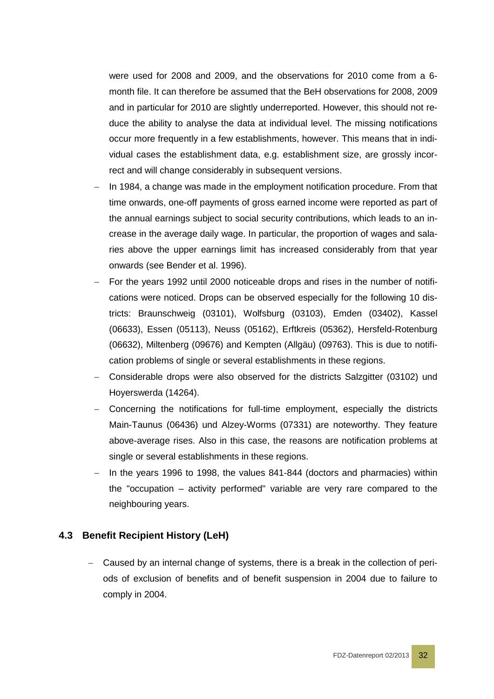were used for 2008 and 2009, and the observations for 2010 come from a 6 month file. It can therefore be assumed that the BeH observations for 2008, 2009 and in particular for 2010 are slightly underreported. However, this should not reduce the ability to analyse the data at individual level. The missing notifications occur more frequently in a few establishments, however. This means that in individual cases the establishment data, e.g. establishment size, are grossly incorrect and will change considerably in subsequent versions.

- In 1984, a change was made in the employment notification procedure. From that time onwards, one-off payments of gross earned income were reported as part of the annual earnings subject to social security contributions, which leads to an increase in the average daily wage. In particular, the proportion of wages and salaries above the upper earnings limit has increased considerably from that year onwards (see Bender et al. 1996).
- − For the years 1992 until 2000 noticeable drops and rises in the number of notifications were noticed. Drops can be observed especially for the following 10 districts: Braunschweig (03101), Wolfsburg (03103), Emden (03402), Kassel (06633), Essen (05113), Neuss (05162), Erftkreis (05362), Hersfeld-Rotenburg (06632), Miltenberg (09676) and Kempten (Allgäu) (09763). This is due to notification problems of single or several establishments in these regions.
- − Considerable drops were also observed for the districts Salzgitter (03102) und Hoyerswerda (14264).
- − Concerning the notifications for full-time employment, especially the districts Main-Taunus (06436) und Alzey-Worms (07331) are noteworthy. They feature above-average rises. Also in this case, the reasons are notification problems at single or several establishments in these regions.
- In the years 1996 to 1998, the values 841-844 (doctors and pharmacies) within the "occupation – activity performed" variable are very rare compared to the neighbouring years.

#### <span id="page-31-0"></span>**4.3 Benefit Recipient History (LeH)**

− Caused by an internal change of systems, there is a break in the collection of periods of exclusion of benefits and of benefit suspension in 2004 due to failure to comply in 2004.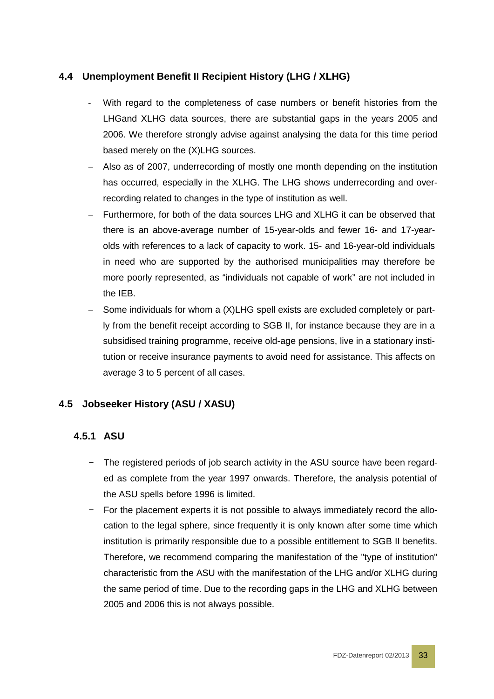# <span id="page-32-0"></span>**4.4 Unemployment Benefit II Recipient History (LHG / XLHG)**

- With regard to the completeness of case numbers or benefit histories from the LHGand XLHG data sources, there are substantial gaps in the years 2005 and 2006. We therefore strongly advise against analysing the data for this time period based merely on the (X)LHG sources.
- − Also as of 2007, underrecording of mostly one month depending on the institution has occurred, especially in the XLHG. The LHG shows underrecording and overrecording related to changes in the type of institution as well.
- Furthermore, for both of the data sources LHG and XLHG it can be observed that there is an above-average number of 15-year-olds and fewer 16- and 17-yearolds with references to a lack of capacity to work. 15- and 16-year-old individuals in need who are supported by the authorised municipalities may therefore be more poorly represented, as "individuals not capable of work" are not included in the IEB.
- − Some individuals for whom a (X)LHG spell exists are excluded completely or partly from the benefit receipt according to SGB II, for instance because they are in a subsidised training programme, receive old-age pensions, live in a stationary institution or receive insurance payments to avoid need for assistance. This affects on average 3 to 5 percent of all cases.

# <span id="page-32-1"></span>**4.5 Jobseeker History (ASU / XASU)**

# <span id="page-32-2"></span>**4.5.1 ASU**

- − The registered periods of job search activity in the ASU source have been regarded as complete from the year 1997 onwards. Therefore, the analysis potential of the ASU spells before 1996 is limited.
- − For the placement experts it is not possible to always immediately record the allocation to the legal sphere, since frequently it is only known after some time which institution is primarily responsible due to a possible entitlement to SGB II benefits. Therefore, we recommend comparing the manifestation of the "type of institution" characteristic from the ASU with the manifestation of the LHG and/or XLHG during the same period of time. Due to the recording gaps in the LHG and XLHG between 2005 and 2006 this is not always possible.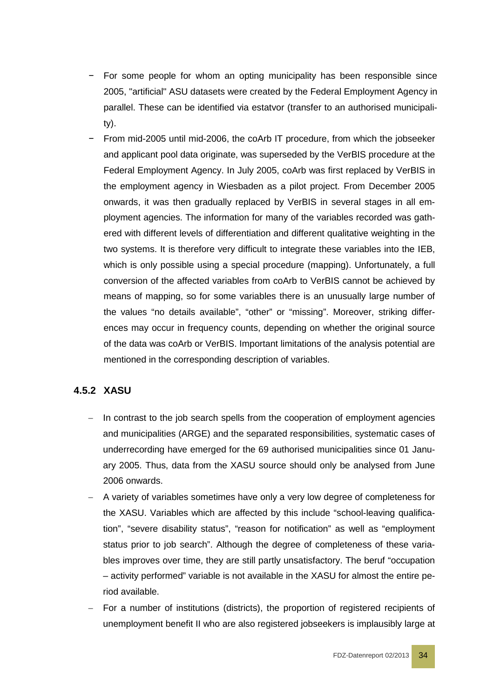- − For some people for whom an opting municipality has been responsible since 2005, "artificial" ASU datasets were created by the Federal Employment Agency in parallel. These can be identified via estatvor (transfer to an authorised municipality).
- From mid-2005 until mid-2006, the coArb IT procedure, from which the jobseeker and applicant pool data originate, was superseded by the VerBIS procedure at the Federal Employment Agency. In July 2005, coArb was first replaced by VerBIS in the employment agency in Wiesbaden as a pilot project. From December 2005 onwards, it was then gradually replaced by VerBIS in several stages in all employment agencies. The information for many of the variables recorded was gathered with different levels of differentiation and different qualitative weighting in the two systems. It is therefore very difficult to integrate these variables into the IEB, which is only possible using a special procedure (mapping). Unfortunately, a full conversion of the affected variables from coArb to VerBIS cannot be achieved by means of mapping, so for some variables there is an unusually large number of the values "no details available", "other" or "missing". Moreover, striking differences may occur in frequency counts, depending on whether the original source of the data was coArb or VerBIS. Important limitations of the analysis potential are mentioned in the corresponding description of variables.

# <span id="page-33-0"></span>**4.5.2 XASU**

- − In contrast to the job search spells from the cooperation of employment agencies and municipalities (ARGE) and the separated responsibilities, systematic cases of underrecording have emerged for the 69 authorised municipalities since 01 January 2005. Thus, data from the XASU source should only be analysed from June 2006 onwards.
- − A variety of variables sometimes have only a very low degree of completeness for the XASU. Variables which are affected by this include "school-leaving qualification", "severe disability status", "reason for notification" as well as "employment status prior to job search". Although the degree of completeness of these variables improves over time, they are still partly unsatisfactory. The beruf "occupation – activity performed" variable is not available in the XASU for almost the entire period available.
- For a number of institutions (districts), the proportion of registered recipients of unemployment benefit II who are also registered jobseekers is implausibly large at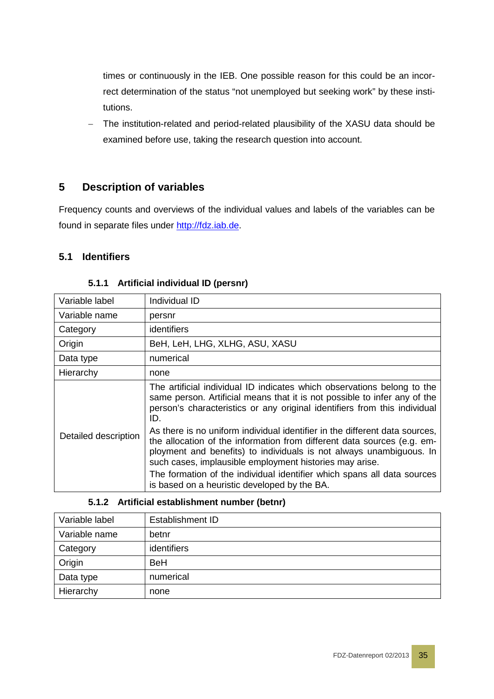times or continuously in the IEB. One possible reason for this could be an incorrect determination of the status "not unemployed but seeking work" by these institutions.

− The institution-related and period-related plausibility of the XASU data should be examined before use, taking the research question into account.

# <span id="page-34-0"></span>**5 Description of variables**

Frequency counts and overviews of the individual values and labels of the variables can be found in separate files under [http://fdz.iab.de.](http://fdz.iab.de/)

# <span id="page-34-1"></span>**5.1 Identifiers**

<span id="page-34-2"></span>

| Variable label       | Individual ID                                                                                                                                                                                                                                                                            |
|----------------------|------------------------------------------------------------------------------------------------------------------------------------------------------------------------------------------------------------------------------------------------------------------------------------------|
| Variable name        | persnr                                                                                                                                                                                                                                                                                   |
| Category             | identifiers                                                                                                                                                                                                                                                                              |
| Origin               | BeH, LeH, LHG, XLHG, ASU, XASU                                                                                                                                                                                                                                                           |
| Data type            | numerical                                                                                                                                                                                                                                                                                |
| Hierarchy            | none                                                                                                                                                                                                                                                                                     |
| Detailed description | The artificial individual ID indicates which observations belong to the<br>same person. Artificial means that it is not possible to infer any of the<br>person's characteristics or any original identifiers from this individual<br>ID.                                                 |
|                      | As there is no uniform individual identifier in the different data sources,<br>the allocation of the information from different data sources (e.g. em-<br>ployment and benefits) to individuals is not always unambiguous. In<br>such cases, implausible employment histories may arise. |
|                      | The formation of the individual identifier which spans all data sources<br>is based on a heuristic developed by the BA.                                                                                                                                                                  |

#### **5.1.1 Artificial individual ID (persnr)**

#### **5.1.2 Artificial establishment number (betnr)**

<span id="page-34-3"></span>

| Variable label | <b>Establishment ID</b> |
|----------------|-------------------------|
| Variable name  | betnr                   |
| Category       | identifiers             |
| Origin         | <b>BeH</b>              |
| Data type      | numerical               |
| Hierarchy      | none                    |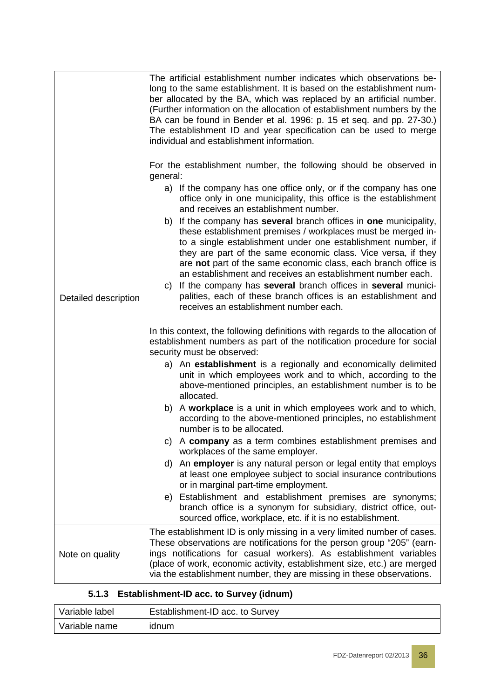|                      | The artificial establishment number indicates which observations be-<br>long to the same establishment. It is based on the establishment num-<br>ber allocated by the BA, which was replaced by an artificial number.<br>(Further information on the allocation of establishment numbers by the<br>BA can be found in Bender et al. 1996: p. 15 et seq. and pp. 27-30.)<br>The establishment ID and year specification can be used to merge<br>individual and establishment information.                                                                                              |  |  |  |  |
|----------------------|---------------------------------------------------------------------------------------------------------------------------------------------------------------------------------------------------------------------------------------------------------------------------------------------------------------------------------------------------------------------------------------------------------------------------------------------------------------------------------------------------------------------------------------------------------------------------------------|--|--|--|--|
|                      | For the establishment number, the following should be observed in<br>general:                                                                                                                                                                                                                                                                                                                                                                                                                                                                                                         |  |  |  |  |
|                      | a) If the company has one office only, or if the company has one<br>office only in one municipality, this office is the establishment<br>and receives an establishment number.                                                                                                                                                                                                                                                                                                                                                                                                        |  |  |  |  |
| Detailed description | b) If the company has several branch offices in one municipality,<br>these establishment premises / workplaces must be merged in-<br>to a single establishment under one establishment number, if<br>they are part of the same economic class. Vice versa, if they<br>are not part of the same economic class, each branch office is<br>an establishment and receives an establishment number each.<br>If the company has several branch offices in several munici-<br>C)<br>palities, each of these branch offices is an establishment and<br>receives an establishment number each. |  |  |  |  |
|                      | In this context, the following definitions with regards to the allocation of<br>establishment numbers as part of the notification procedure for social<br>security must be observed:                                                                                                                                                                                                                                                                                                                                                                                                  |  |  |  |  |
|                      | a) An establishment is a regionally and economically delimited<br>unit in which employees work and to which, according to the<br>above-mentioned principles, an establishment number is to be<br>allocated.                                                                                                                                                                                                                                                                                                                                                                           |  |  |  |  |
|                      | b) A workplace is a unit in which employees work and to which,<br>according to the above-mentioned principles, no establishment<br>number is to be allocated.                                                                                                                                                                                                                                                                                                                                                                                                                         |  |  |  |  |
|                      | c) A company as a term combines establishment premises and<br>workplaces of the same employer.                                                                                                                                                                                                                                                                                                                                                                                                                                                                                        |  |  |  |  |
|                      | d) An employer is any natural person or legal entity that employs<br>at least one employee subject to social insurance contributions<br>or in marginal part-time employment.                                                                                                                                                                                                                                                                                                                                                                                                          |  |  |  |  |
|                      | e) Establishment and establishment premises are synonyms;<br>branch office is a synonym for subsidiary, district office, out-<br>sourced office, workplace, etc. if it is no establishment.                                                                                                                                                                                                                                                                                                                                                                                           |  |  |  |  |
| Note on quality      | The establishment ID is only missing in a very limited number of cases.<br>These observations are notifications for the person group "205" (earn-<br>ings notifications for casual workers). As establishment variables<br>(place of work, economic activity, establishment size, etc.) are merged<br>via the establishment number, they are missing in these observations.                                                                                                                                                                                                           |  |  |  |  |

# **5.1.3 Establishment-ID acc. to Survey (idnum)**

<span id="page-35-0"></span>

| Variable label | Establishment-ID acc. to Survey |
|----------------|---------------------------------|
| Variable name  | idnum                           |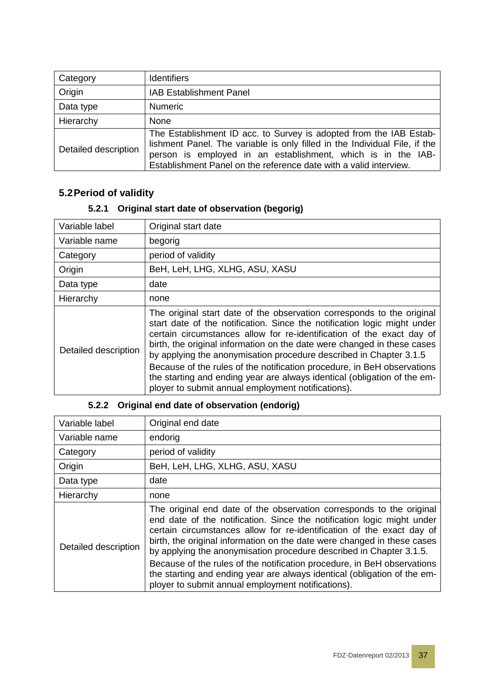| Category             | <b>Identifiers</b>                                                                                                                                                                                                                                                                    |
|----------------------|---------------------------------------------------------------------------------------------------------------------------------------------------------------------------------------------------------------------------------------------------------------------------------------|
| Origin               | <b>IAB Establishment Panel</b>                                                                                                                                                                                                                                                        |
| Data type            | <b>Numeric</b>                                                                                                                                                                                                                                                                        |
| Hierarchy            | None                                                                                                                                                                                                                                                                                  |
| Detailed description | The Establishment ID acc. to Survey is adopted from the IAB Estab-<br>lishment Panel. The variable is only filled in the Individual File, if the<br>person is employed in an establishment, which is in the IAB-<br>Establishment Panel on the reference date with a valid interview. |

### **5.2Period of validity**

### **5.2.1 Original start date of observation (begorig)**

| Variable label       | Original start date                                                                                                                                                                                                                                                                                                                                                                                                                                                                                                                                                                       |
|----------------------|-------------------------------------------------------------------------------------------------------------------------------------------------------------------------------------------------------------------------------------------------------------------------------------------------------------------------------------------------------------------------------------------------------------------------------------------------------------------------------------------------------------------------------------------------------------------------------------------|
| Variable name        | begorig                                                                                                                                                                                                                                                                                                                                                                                                                                                                                                                                                                                   |
| Category             | period of validity                                                                                                                                                                                                                                                                                                                                                                                                                                                                                                                                                                        |
| Origin               | BeH, LeH, LHG, XLHG, ASU, XASU                                                                                                                                                                                                                                                                                                                                                                                                                                                                                                                                                            |
| Data type            | date                                                                                                                                                                                                                                                                                                                                                                                                                                                                                                                                                                                      |
| Hierarchy            | none                                                                                                                                                                                                                                                                                                                                                                                                                                                                                                                                                                                      |
| Detailed description | The original start date of the observation corresponds to the original<br>start date of the notification. Since the notification logic might under<br>certain circumstances allow for re-identification of the exact day of<br>birth, the original information on the date were changed in these cases<br>by applying the anonymisation procedure described in Chapter 3.1.5<br>Because of the rules of the notification procedure, in BeH observations<br>the starting and ending year are always identical (obligation of the em-<br>ployer to submit annual employment notifications). |

| Variable label       | Original end date                                                                                                                                                                                                                                                                                                                                                                                                                                                                                                                                                                      |
|----------------------|----------------------------------------------------------------------------------------------------------------------------------------------------------------------------------------------------------------------------------------------------------------------------------------------------------------------------------------------------------------------------------------------------------------------------------------------------------------------------------------------------------------------------------------------------------------------------------------|
| Variable name        | endorig                                                                                                                                                                                                                                                                                                                                                                                                                                                                                                                                                                                |
| Category             | period of validity                                                                                                                                                                                                                                                                                                                                                                                                                                                                                                                                                                     |
| Origin               | BeH, LeH, LHG, XLHG, ASU, XASU                                                                                                                                                                                                                                                                                                                                                                                                                                                                                                                                                         |
| Data type            | date                                                                                                                                                                                                                                                                                                                                                                                                                                                                                                                                                                                   |
| Hierarchy            | none                                                                                                                                                                                                                                                                                                                                                                                                                                                                                                                                                                                   |
| Detailed description | The original end date of the observation corresponds to the original<br>end date of the notification. Since the notification logic might under<br>certain circumstances allow for re-identification of the exact day of<br>birth, the original information on the date were changed in these cases<br>by applying the anonymisation procedure described in Chapter 3.1.5.<br>Because of the rules of the notification procedure, in BeH observations<br>the starting and ending year are always identical (obligation of the em-<br>ployer to submit annual employment notifications). |

### **5.2.2 Original end date of observation (endorig)**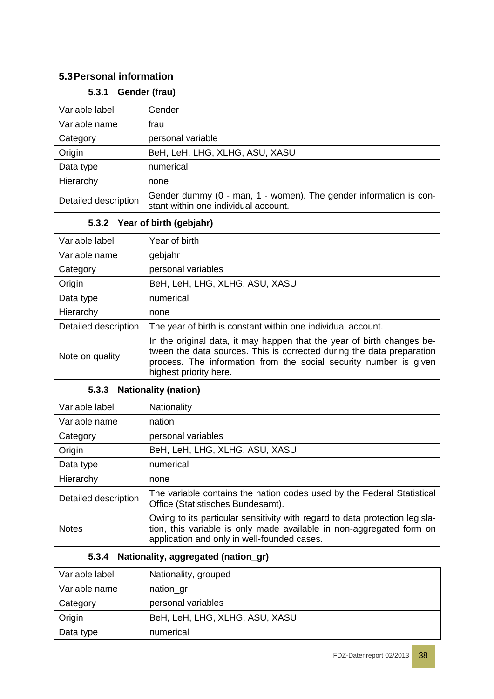### **5.3Personal information**

### **5.3.1 Gender (frau)**

| Variable label       | Gender                                                                                                    |
|----------------------|-----------------------------------------------------------------------------------------------------------|
| Variable name        | frau                                                                                                      |
| Category             | personal variable                                                                                         |
| Origin               | BeH, LeH, LHG, XLHG, ASU, XASU                                                                            |
| Data type            | numerical                                                                                                 |
| Hierarchy            | none                                                                                                      |
| Detailed description | Gender dummy (0 - man, 1 - women). The gender information is con-<br>stant within one individual account. |

# **5.3.2 Year of birth (gebjahr)**

| Variable label       | Year of birth                                                                                                                                                                                                                                  |  |
|----------------------|------------------------------------------------------------------------------------------------------------------------------------------------------------------------------------------------------------------------------------------------|--|
| Variable name        | gebjahr                                                                                                                                                                                                                                        |  |
| Category             | personal variables                                                                                                                                                                                                                             |  |
| Origin               | BeH, LeH, LHG, XLHG, ASU, XASU                                                                                                                                                                                                                 |  |
| Data type            | numerical                                                                                                                                                                                                                                      |  |
| Hierarchy            | none                                                                                                                                                                                                                                           |  |
| Detailed description | The year of birth is constant within one individual account.                                                                                                                                                                                   |  |
| Note on quality      | In the original data, it may happen that the year of birth changes be-<br>tween the data sources. This is corrected during the data preparation<br>process. The information from the social security number is given<br>highest priority here. |  |

### **5.3.3 Nationality (nation)**

| Variable label       | Nationality                                                                                                                                                                                        |  |
|----------------------|----------------------------------------------------------------------------------------------------------------------------------------------------------------------------------------------------|--|
| Variable name        | nation                                                                                                                                                                                             |  |
| Category             | personal variables                                                                                                                                                                                 |  |
| Origin               | BeH, LeH, LHG, XLHG, ASU, XASU                                                                                                                                                                     |  |
| Data type            | numerical                                                                                                                                                                                          |  |
| Hierarchy            | none                                                                                                                                                                                               |  |
| Detailed description | The variable contains the nation codes used by the Federal Statistical<br>Office (Statistisches Bundesamt).                                                                                        |  |
| <b>Notes</b>         | Owing to its particular sensitivity with regard to data protection legisla-<br>tion, this variable is only made available in non-aggregated form on<br>application and only in well-founded cases. |  |

#### **5.3.4 Nationality, aggregated (nation\_gr)**

| Variable label | Nationality, grouped           |
|----------------|--------------------------------|
| Variable name  | nation_gr                      |
| Category       | personal variables             |
| Origin         | BeH, LeH, LHG, XLHG, ASU, XASU |
| Data type      | numerical                      |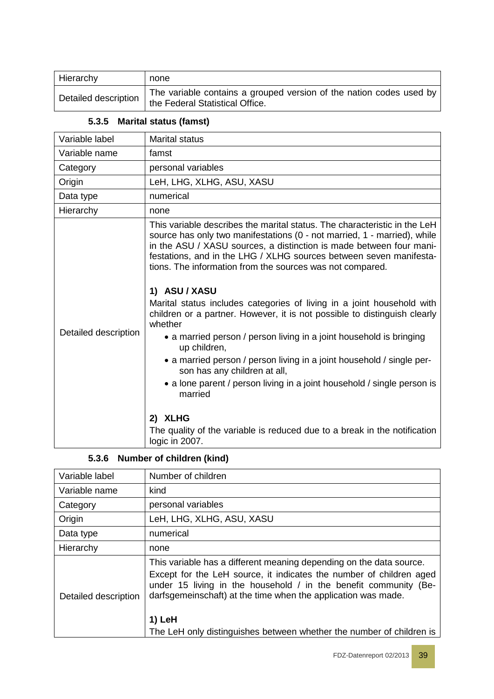| Hierarchy            | none                                                                                                     |
|----------------------|----------------------------------------------------------------------------------------------------------|
| Detailed description | The variable contains a grouped version of the nation codes used by<br>I the Federal Statistical Office. |

| 5.3.5 | <b>Marital status (famst)</b> |  |  |
|-------|-------------------------------|--|--|
|-------|-------------------------------|--|--|

| Variable label       | <b>Marital status</b>                                                                                                                                                                                                                                                                                                                                                                                                                                                                                                                                                                                                                                                                                                                                                                                                                                                                                                                              |
|----------------------|----------------------------------------------------------------------------------------------------------------------------------------------------------------------------------------------------------------------------------------------------------------------------------------------------------------------------------------------------------------------------------------------------------------------------------------------------------------------------------------------------------------------------------------------------------------------------------------------------------------------------------------------------------------------------------------------------------------------------------------------------------------------------------------------------------------------------------------------------------------------------------------------------------------------------------------------------|
| Variable name        | famst                                                                                                                                                                                                                                                                                                                                                                                                                                                                                                                                                                                                                                                                                                                                                                                                                                                                                                                                              |
| Category             | personal variables                                                                                                                                                                                                                                                                                                                                                                                                                                                                                                                                                                                                                                                                                                                                                                                                                                                                                                                                 |
| Origin               | LeH, LHG, XLHG, ASU, XASU                                                                                                                                                                                                                                                                                                                                                                                                                                                                                                                                                                                                                                                                                                                                                                                                                                                                                                                          |
| Data type            | numerical                                                                                                                                                                                                                                                                                                                                                                                                                                                                                                                                                                                                                                                                                                                                                                                                                                                                                                                                          |
| Hierarchy            | none                                                                                                                                                                                                                                                                                                                                                                                                                                                                                                                                                                                                                                                                                                                                                                                                                                                                                                                                               |
| Detailed description | This variable describes the marital status. The characteristic in the LeH<br>source has only two manifestations (0 - not married, 1 - married), while<br>in the ASU / XASU sources, a distinction is made between four mani-<br>festations, and in the LHG / XLHG sources between seven manifesta-<br>tions. The information from the sources was not compared.<br>1) ASU / XASU<br>Marital status includes categories of living in a joint household with<br>children or a partner. However, it is not possible to distinguish clearly<br>whether<br>• a married person / person living in a joint household is bringing<br>up children,<br>• a married person / person living in a joint household / single per-<br>son has any children at all,<br>• a lone parent / person living in a joint household / single person is<br>married<br>2) XLHG<br>The quality of the variable is reduced due to a break in the notification<br>logic in 2007. |

#### **5.3.6 Number of children (kind)**

| Variable label       | Number of children                                                                                                                                                                                                                                                                                                                                                |
|----------------------|-------------------------------------------------------------------------------------------------------------------------------------------------------------------------------------------------------------------------------------------------------------------------------------------------------------------------------------------------------------------|
| Variable name        | kind                                                                                                                                                                                                                                                                                                                                                              |
| Category             | personal variables                                                                                                                                                                                                                                                                                                                                                |
| Origin               | LeH, LHG, XLHG, ASU, XASU                                                                                                                                                                                                                                                                                                                                         |
| Data type            | numerical                                                                                                                                                                                                                                                                                                                                                         |
| Hierarchy            | none                                                                                                                                                                                                                                                                                                                                                              |
| Detailed description | This variable has a different meaning depending on the data source.<br>Except for the LeH source, it indicates the number of children aged<br>under 15 living in the household / in the benefit community (Be-<br>darfsgemeinschaft) at the time when the application was made.<br>1) LeH<br>The LeH only distinguishes between whether the number of children is |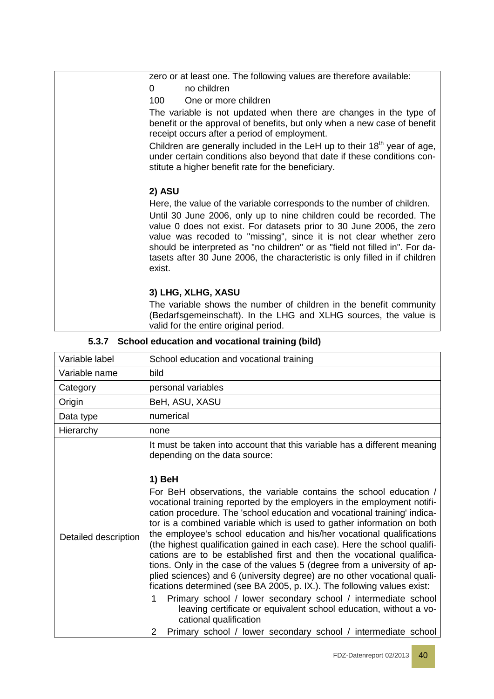| zero or at least one. The following values are therefore available:                                                                                                                                                                                                                                                                                                                                                                                                 |
|---------------------------------------------------------------------------------------------------------------------------------------------------------------------------------------------------------------------------------------------------------------------------------------------------------------------------------------------------------------------------------------------------------------------------------------------------------------------|
| no children<br>0                                                                                                                                                                                                                                                                                                                                                                                                                                                    |
| 100<br>One or more children                                                                                                                                                                                                                                                                                                                                                                                                                                         |
| The variable is not updated when there are changes in the type of<br>benefit or the approval of benefits, but only when a new case of benefit<br>receipt occurs after a period of employment.                                                                                                                                                                                                                                                                       |
| Children are generally included in the LeH up to their 18 <sup>th</sup> year of age,<br>under certain conditions also beyond that date if these conditions con-<br>stitute a higher benefit rate for the beneficiary.                                                                                                                                                                                                                                               |
|                                                                                                                                                                                                                                                                                                                                                                                                                                                                     |
| 2) ASU                                                                                                                                                                                                                                                                                                                                                                                                                                                              |
| Here, the value of the variable corresponds to the number of children.<br>Until 30 June 2006, only up to nine children could be recorded. The<br>value 0 does not exist. For datasets prior to 30 June 2006, the zero<br>value was recoded to "missing", since it is not clear whether zero<br>should be interpreted as "no children" or as "field not filled in". For da-<br>tasets after 30 June 2006, the characteristic is only filled in if children<br>exist. |
| 3) LHG, XLHG, XASU                                                                                                                                                                                                                                                                                                                                                                                                                                                  |
| The variable shows the number of children in the benefit community<br>(Bedarfsgemeinschaft). In the LHG and XLHG sources, the value is<br>valid for the entire original period.                                                                                                                                                                                                                                                                                     |

#### **5.3.7 School education and vocational training (bild)**

| Variable label       | School education and vocational training                                                                                                                                                                                                                                                                                                                                                                                                                                                                                                                                                                                                                                                                                                                                                                                                                                                                                                                                                                                    |  |  |  |
|----------------------|-----------------------------------------------------------------------------------------------------------------------------------------------------------------------------------------------------------------------------------------------------------------------------------------------------------------------------------------------------------------------------------------------------------------------------------------------------------------------------------------------------------------------------------------------------------------------------------------------------------------------------------------------------------------------------------------------------------------------------------------------------------------------------------------------------------------------------------------------------------------------------------------------------------------------------------------------------------------------------------------------------------------------------|--|--|--|
| Variable name        | bild                                                                                                                                                                                                                                                                                                                                                                                                                                                                                                                                                                                                                                                                                                                                                                                                                                                                                                                                                                                                                        |  |  |  |
| Category             | personal variables                                                                                                                                                                                                                                                                                                                                                                                                                                                                                                                                                                                                                                                                                                                                                                                                                                                                                                                                                                                                          |  |  |  |
| Origin               | BeH, ASU, XASU                                                                                                                                                                                                                                                                                                                                                                                                                                                                                                                                                                                                                                                                                                                                                                                                                                                                                                                                                                                                              |  |  |  |
| Data type            | numerical                                                                                                                                                                                                                                                                                                                                                                                                                                                                                                                                                                                                                                                                                                                                                                                                                                                                                                                                                                                                                   |  |  |  |
| Hierarchy            | none                                                                                                                                                                                                                                                                                                                                                                                                                                                                                                                                                                                                                                                                                                                                                                                                                                                                                                                                                                                                                        |  |  |  |
|                      | It must be taken into account that this variable has a different meaning<br>depending on the data source:                                                                                                                                                                                                                                                                                                                                                                                                                                                                                                                                                                                                                                                                                                                                                                                                                                                                                                                   |  |  |  |
| Detailed description | 1) BeH<br>For BeH observations, the variable contains the school education /<br>vocational training reported by the employers in the employment notifi-<br>cation procedure. The 'school education and vocational training' indica-<br>tor is a combined variable which is used to gather information on both<br>the employee's school education and his/her vocational qualifications<br>(the highest qualification gained in each case). Here the school qualifi-<br>cations are to be established first and then the vocational qualifica-<br>tions. Only in the case of the values 5 (degree from a university of ap-<br>plied sciences) and 6 (university degree) are no other vocational quali-<br>fications determined (see BA 2005, p. IX.). The following values exist:<br>Primary school / lower secondary school / intermediate school<br>1<br>leaving certificate or equivalent school education, without a vo-<br>cational qualification<br>Primary school / lower secondary school / intermediate school<br>2 |  |  |  |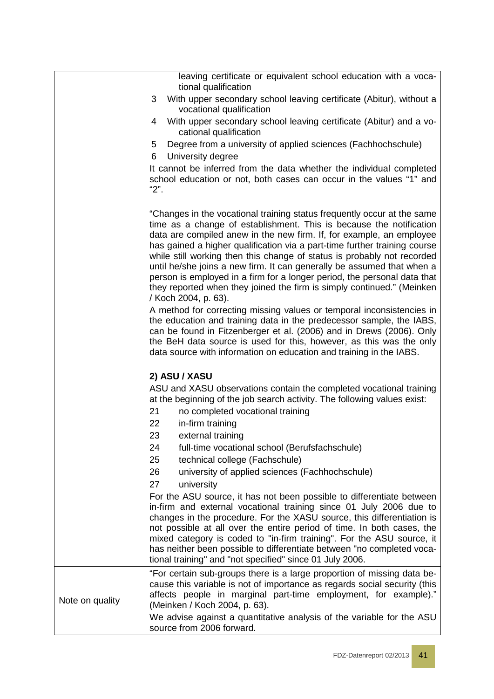|                 | leaving certificate or equivalent school education with a voca-<br>tional qualification                                                                                                                                                                                                                                                                                                                                                                                                                                                                                                                                                |
|-----------------|----------------------------------------------------------------------------------------------------------------------------------------------------------------------------------------------------------------------------------------------------------------------------------------------------------------------------------------------------------------------------------------------------------------------------------------------------------------------------------------------------------------------------------------------------------------------------------------------------------------------------------------|
|                 | With upper secondary school leaving certificate (Abitur), without a<br>3<br>vocational qualification                                                                                                                                                                                                                                                                                                                                                                                                                                                                                                                                   |
|                 | With upper secondary school leaving certificate (Abitur) and a vo-<br>4<br>cational qualification                                                                                                                                                                                                                                                                                                                                                                                                                                                                                                                                      |
|                 | Degree from a university of applied sciences (Fachhochschule)<br>5                                                                                                                                                                                                                                                                                                                                                                                                                                                                                                                                                                     |
|                 | University degree<br>6                                                                                                                                                                                                                                                                                                                                                                                                                                                                                                                                                                                                                 |
|                 | It cannot be inferred from the data whether the individual completed<br>school education or not, both cases can occur in the values "1" and<br>"2".                                                                                                                                                                                                                                                                                                                                                                                                                                                                                    |
|                 | "Changes in the vocational training status frequently occur at the same<br>time as a change of establishment. This is because the notification<br>data are compiled anew in the new firm. If, for example, an employee<br>has gained a higher qualification via a part-time further training course<br>while still working then this change of status is probably not recorded<br>until he/she joins a new firm. It can generally be assumed that when a<br>person is employed in a firm for a longer period, the personal data that<br>they reported when they joined the firm is simply continued." (Meinken<br>/ Koch 2004, p. 63). |
|                 | A method for correcting missing values or temporal inconsistencies in<br>the education and training data in the predecessor sample, the IABS,<br>can be found in Fitzenberger et al. (2006) and in Drews (2006). Only<br>the BeH data source is used for this, however, as this was the only<br>data source with information on education and training in the IABS.                                                                                                                                                                                                                                                                    |
|                 | 2) ASU / XASU                                                                                                                                                                                                                                                                                                                                                                                                                                                                                                                                                                                                                          |
|                 | ASU and XASU observations contain the completed vocational training<br>at the beginning of the job search activity. The following values exist:<br>21<br>no completed vocational training                                                                                                                                                                                                                                                                                                                                                                                                                                              |
|                 | in-firm training<br>22                                                                                                                                                                                                                                                                                                                                                                                                                                                                                                                                                                                                                 |
|                 | 23<br>external training<br>24<br>full-time vocational school (Berufsfachschule)                                                                                                                                                                                                                                                                                                                                                                                                                                                                                                                                                        |
|                 | 25<br>technical college (Fachschule)                                                                                                                                                                                                                                                                                                                                                                                                                                                                                                                                                                                                   |
|                 | 26<br>university of applied sciences (Fachhochschule)                                                                                                                                                                                                                                                                                                                                                                                                                                                                                                                                                                                  |
|                 | 27<br>university                                                                                                                                                                                                                                                                                                                                                                                                                                                                                                                                                                                                                       |
|                 | For the ASU source, it has not been possible to differentiate between<br>in-firm and external vocational training since 01 July 2006 due to<br>changes in the procedure. For the XASU source, this differentiation is<br>not possible at all over the entire period of time. In both cases, the<br>mixed category is coded to "in-firm training". For the ASU source, it<br>has neither been possible to differentiate between "no completed voca-<br>tional training" and "not specified" since 01 July 2006.                                                                                                                         |
| Note on quality | "For certain sub-groups there is a large proportion of missing data be-<br>cause this variable is not of importance as regards social security (this<br>affects people in marginal part-time employment, for example)."<br>(Meinken / Koch 2004, p. 63).<br>We advise against a quantitative analysis of the variable for the ASU                                                                                                                                                                                                                                                                                                      |
|                 | source from 2006 forward.                                                                                                                                                                                                                                                                                                                                                                                                                                                                                                                                                                                                              |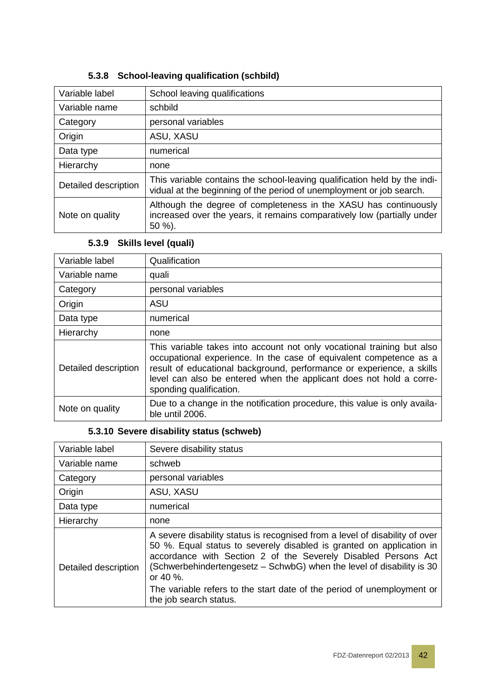| Variable label       | School leaving qualifications                                                                                                                         |
|----------------------|-------------------------------------------------------------------------------------------------------------------------------------------------------|
| Variable name        | schbild                                                                                                                                               |
| Category             | personal variables                                                                                                                                    |
| Origin               | ASU, XASU                                                                                                                                             |
| Data type            | numerical                                                                                                                                             |
| Hierarchy            | none                                                                                                                                                  |
| Detailed description | This variable contains the school-leaving qualification held by the indi-<br>vidual at the beginning of the period of unemployment or job search.     |
| Note on quality      | Although the degree of completeness in the XASU has continuously<br>increased over the years, it remains comparatively low (partially under<br>50 %). |

#### **5.3.8 School-leaving qualification (schbild)**

### **5.3.9 Skills level (quali)**

| Variable label       | Qualification                                                                                                                                                                                                                                                                                                           |
|----------------------|-------------------------------------------------------------------------------------------------------------------------------------------------------------------------------------------------------------------------------------------------------------------------------------------------------------------------|
| Variable name        | quali                                                                                                                                                                                                                                                                                                                   |
| Category             | personal variables                                                                                                                                                                                                                                                                                                      |
| Origin               | <b>ASU</b>                                                                                                                                                                                                                                                                                                              |
| Data type            | numerical                                                                                                                                                                                                                                                                                                               |
| Hierarchy            | none                                                                                                                                                                                                                                                                                                                    |
| Detailed description | This variable takes into account not only vocational training but also<br>occupational experience. In the case of equivalent competence as a<br>result of educational background, performance or experience, a skills<br>level can also be entered when the applicant does not hold a corre-<br>sponding qualification. |
| Note on quality      | Due to a change in the notification procedure, this value is only availa-<br>ble until 2006.                                                                                                                                                                                                                            |

#### **5.3.10 Severe disability status (schweb)**

| Variable label       | Severe disability status                                                                                                                                                                                                                                                                                                                                                                                       |
|----------------------|----------------------------------------------------------------------------------------------------------------------------------------------------------------------------------------------------------------------------------------------------------------------------------------------------------------------------------------------------------------------------------------------------------------|
| Variable name        | schweb                                                                                                                                                                                                                                                                                                                                                                                                         |
| Category             | personal variables                                                                                                                                                                                                                                                                                                                                                                                             |
| Origin               | ASU, XASU                                                                                                                                                                                                                                                                                                                                                                                                      |
| Data type            | numerical                                                                                                                                                                                                                                                                                                                                                                                                      |
| Hierarchy            | none                                                                                                                                                                                                                                                                                                                                                                                                           |
| Detailed description | A severe disability status is recognised from a level of disability of over<br>50 %. Equal status to severely disabled is granted on application in<br>accordance with Section 2 of the Severely Disabled Persons Act<br>(Schwerbehindertengesetz - SchwbG) when the level of disability is 30<br>or 40 %.<br>The variable refers to the start date of the period of unemployment or<br>the job search status. |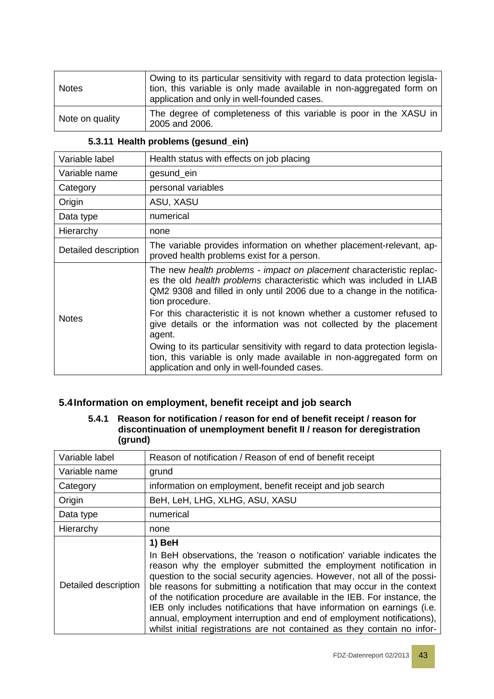| <b>Notes</b>    | Owing to its particular sensitivity with regard to data protection legisla-<br>tion, this variable is only made available in non-aggregated form on<br>application and only in well-founded cases. |
|-----------------|----------------------------------------------------------------------------------------------------------------------------------------------------------------------------------------------------|
| Note on quality | The degree of completeness of this variable is poor in the XASU in<br>2005 and 2006.                                                                                                               |

#### **5.3.11 Health problems (gesund\_ein)**

| Variable label       | Health status with effects on job placing                                                                                                                                                                                                         |
|----------------------|---------------------------------------------------------------------------------------------------------------------------------------------------------------------------------------------------------------------------------------------------|
| Variable name        | gesund_ein                                                                                                                                                                                                                                        |
| Category             | personal variables                                                                                                                                                                                                                                |
| Origin               | ASU, XASU                                                                                                                                                                                                                                         |
| Data type            | numerical                                                                                                                                                                                                                                         |
| Hierarchy            | none                                                                                                                                                                                                                                              |
| Detailed description | The variable provides information on whether placement-relevant, ap-<br>proved health problems exist for a person.                                                                                                                                |
|                      | The new health problems - impact on placement characteristic replac-<br>es the old <i>health problems</i> characteristic which was included in LIAB<br>QM2 9308 and filled in only until 2006 due to a change in the notifica-<br>tion procedure. |
| <b>Notes</b>         | For this characteristic it is not known whether a customer refused to<br>give details or the information was not collected by the placement<br>agent.                                                                                             |
|                      | Owing to its particular sensitivity with regard to data protection legisla-<br>tion, this variable is only made available in non-aggregated form on<br>application and only in well-founded cases.                                                |

### **5.4Information on employment, benefit receipt and job search**

#### **5.4.1 Reason for notification / reason for end of benefit receipt / reason for discontinuation of unemployment benefit II / reason for deregistration (grund)**

| Variable label       | Reason of notification / Reason of end of benefit receipt                                                                                                                                                                                                                                                                                                                                                                                                                                                                                                                                                                 |
|----------------------|---------------------------------------------------------------------------------------------------------------------------------------------------------------------------------------------------------------------------------------------------------------------------------------------------------------------------------------------------------------------------------------------------------------------------------------------------------------------------------------------------------------------------------------------------------------------------------------------------------------------------|
| Variable name        | grund                                                                                                                                                                                                                                                                                                                                                                                                                                                                                                                                                                                                                     |
| Category             | information on employment, benefit receipt and job search                                                                                                                                                                                                                                                                                                                                                                                                                                                                                                                                                                 |
| Origin               | BeH, LeH, LHG, XLHG, ASU, XASU                                                                                                                                                                                                                                                                                                                                                                                                                                                                                                                                                                                            |
| Data type            | numerical                                                                                                                                                                                                                                                                                                                                                                                                                                                                                                                                                                                                                 |
| Hierarchy            | none                                                                                                                                                                                                                                                                                                                                                                                                                                                                                                                                                                                                                      |
| Detailed description | 1) BeH<br>In BeH observations, the 'reason o notification' variable indicates the<br>reason why the employer submitted the employment notification in<br>question to the social security agencies. However, not all of the possi-<br>ble reasons for submitting a notification that may occur in the context<br>of the notification procedure are available in the IEB. For instance, the<br>IEB only includes notifications that have information on earnings (i.e.<br>annual, employment interruption and end of employment notifications),<br>whilst initial registrations are not contained as they contain no infor- |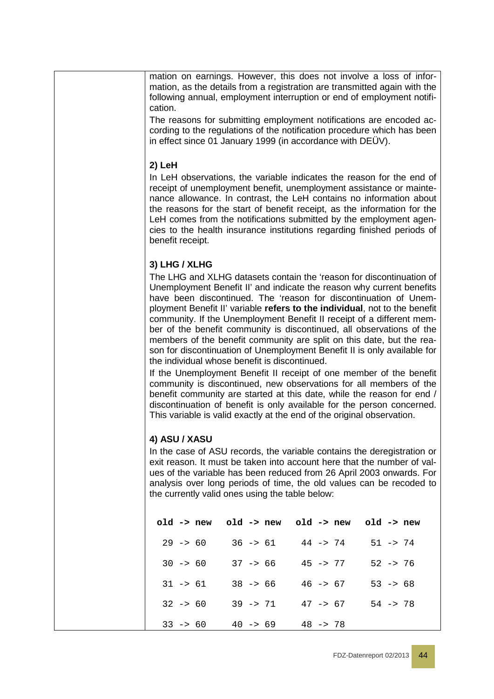mation on earnings. However, this does not involve a loss of information, as the details from a registration are transmitted again with the following annual, employment interruption or end of employment notification.

The reasons for submitting employment notifications are encoded according to the regulations of the notification procedure which has been in effect since 01 January 1999 (in accordance with DEÜV).

#### **2) LeH**

In LeH observations, the variable indicates the reason for the end of receipt of unemployment benefit, unemployment assistance or maintenance allowance. In contrast, the LeH contains no information about the reasons for the start of benefit receipt, as the information for the LeH comes from the notifications submitted by the employment agencies to the health insurance institutions regarding finished periods of benefit receipt.

#### **3) LHG / XLHG**

The LHG and XLHG datasets contain the 'reason for discontinuation of Unemployment Benefit II' and indicate the reason why current benefits have been discontinued. The 'reason for discontinuation of Unemployment Benefit II' variable **refers to the individual**, not to the benefit community. If the Unemployment Benefit II receipt of a different member of the benefit community is discontinued, all observations of the members of the benefit community are split on this date, but the reason for discontinuation of Unemployment Benefit II is only available for the individual whose benefit is discontinued.

If the Unemployment Benefit II receipt of one member of the benefit community is discontinued, new observations for all members of the benefit community are started at this date, while the reason for end / discontinuation of benefit is only available for the person concerned. This variable is valid exactly at the end of the original observation.

#### **4) ASU / XASU**

In the case of ASU records, the variable contains the deregistration or exit reason. It must be taken into account here that the number of values of the variable has been reduced from 26 April 2003 onwards. For analysis over long periods of time, the old values can be recoded to the currently valid ones using the table below:

| $old \rightarrow new$ | old -> new old -> new |            | old -> new  |
|-----------------------|-----------------------|------------|-------------|
| $29 - 50$             | $36 \rightarrow 61$   | $44 - 274$ | $51 - > 74$ |
| $30 -> 60$            | $37 - 56$             | $45 - 77$  | $52 - 76$   |
| $31 - 561$            | $38 - 56$             | $46 -> 67$ | $53 -> 68$  |
| $32 - 50$             | $39 - 71$             | $47 - 567$ | $54 - > 78$ |
| $33 \rightarrow 60$   | $40 -> 69$            | $48 - 78$  |             |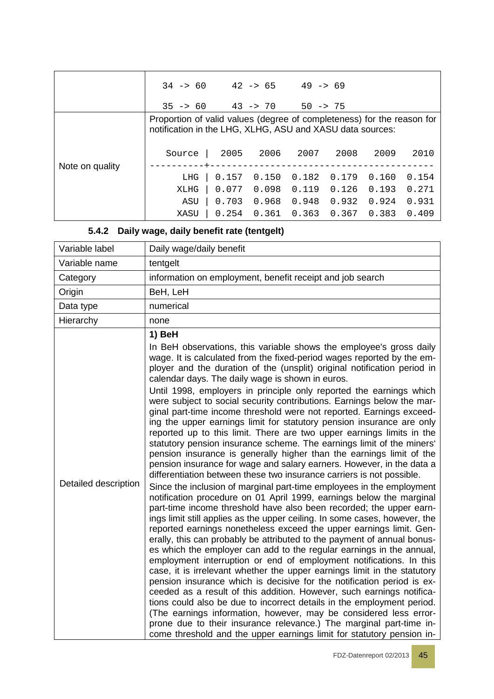|                 | $34 \rightarrow 60$ $42 \rightarrow 65$ $49 \rightarrow 69$<br>$35 -> 60$                                                           |             |       | $43 \rightarrow 70$ 50 -> 75 |       |       |       |
|-----------------|-------------------------------------------------------------------------------------------------------------------------------------|-------------|-------|------------------------------|-------|-------|-------|
|                 | Proportion of valid values (degree of completeness) for the reason for<br>notification in the LHG, XLHG, ASU and XASU data sources: |             |       |                              |       |       |       |
| Note on quality | Source                                                                                                                              | 2005<br>-+- | 2006  | 2007                         | 2008  | 2009  | 2010  |
|                 | LHG                                                                                                                                 | 0.157       | 0.150 | 0.182                        | 0.179 | 0.160 | 0.154 |
|                 | XLHG                                                                                                                                | 0.077       | 0.098 | 0.119                        | 0.126 | 0.193 | 0.271 |
|                 | ASU                                                                                                                                 | 0.703       | 0.968 | 0.948                        | 0.932 | 0.924 | 0.931 |
|                 | XASU                                                                                                                                | 0.254       | 0.361 | 0.363                        | 0.367 | 0.383 | 0.409 |

### **5.4.2 Daily wage, daily benefit rate (tentgelt)**

| Variable label       | Daily wage/daily benefit                                                                                                                                                                                                                                                                                                                                                                                                                                                                                                                                                                                                                                                                                                                                                                                                                                                                                                                                                                                                                                                                                                                                                                                                                                                                                                                                                                                                                                                                                                                                                                                                                                                                                                                                                                                                                                                                                                                                                                                                                                                                                   |
|----------------------|------------------------------------------------------------------------------------------------------------------------------------------------------------------------------------------------------------------------------------------------------------------------------------------------------------------------------------------------------------------------------------------------------------------------------------------------------------------------------------------------------------------------------------------------------------------------------------------------------------------------------------------------------------------------------------------------------------------------------------------------------------------------------------------------------------------------------------------------------------------------------------------------------------------------------------------------------------------------------------------------------------------------------------------------------------------------------------------------------------------------------------------------------------------------------------------------------------------------------------------------------------------------------------------------------------------------------------------------------------------------------------------------------------------------------------------------------------------------------------------------------------------------------------------------------------------------------------------------------------------------------------------------------------------------------------------------------------------------------------------------------------------------------------------------------------------------------------------------------------------------------------------------------------------------------------------------------------------------------------------------------------------------------------------------------------------------------------------------------------|
| Variable name        | tentgelt                                                                                                                                                                                                                                                                                                                                                                                                                                                                                                                                                                                                                                                                                                                                                                                                                                                                                                                                                                                                                                                                                                                                                                                                                                                                                                                                                                                                                                                                                                                                                                                                                                                                                                                                                                                                                                                                                                                                                                                                                                                                                                   |
| Category             | information on employment, benefit receipt and job search                                                                                                                                                                                                                                                                                                                                                                                                                                                                                                                                                                                                                                                                                                                                                                                                                                                                                                                                                                                                                                                                                                                                                                                                                                                                                                                                                                                                                                                                                                                                                                                                                                                                                                                                                                                                                                                                                                                                                                                                                                                  |
| Origin               | BeH, LeH                                                                                                                                                                                                                                                                                                                                                                                                                                                                                                                                                                                                                                                                                                                                                                                                                                                                                                                                                                                                                                                                                                                                                                                                                                                                                                                                                                                                                                                                                                                                                                                                                                                                                                                                                                                                                                                                                                                                                                                                                                                                                                   |
| Data type            | numerical                                                                                                                                                                                                                                                                                                                                                                                                                                                                                                                                                                                                                                                                                                                                                                                                                                                                                                                                                                                                                                                                                                                                                                                                                                                                                                                                                                                                                                                                                                                                                                                                                                                                                                                                                                                                                                                                                                                                                                                                                                                                                                  |
| Hierarchy            | none                                                                                                                                                                                                                                                                                                                                                                                                                                                                                                                                                                                                                                                                                                                                                                                                                                                                                                                                                                                                                                                                                                                                                                                                                                                                                                                                                                                                                                                                                                                                                                                                                                                                                                                                                                                                                                                                                                                                                                                                                                                                                                       |
| Detailed description | 1) BeH<br>In BeH observations, this variable shows the employee's gross daily<br>wage. It is calculated from the fixed-period wages reported by the em-<br>ployer and the duration of the (unsplit) original notification period in<br>calendar days. The daily wage is shown in euros.<br>Until 1998, employers in principle only reported the earnings which<br>were subject to social security contributions. Earnings below the mar-<br>ginal part-time income threshold were not reported. Earnings exceed-<br>ing the upper earnings limit for statutory pension insurance are only<br>reported up to this limit. There are two upper earnings limits in the<br>statutory pension insurance scheme. The earnings limit of the miners'<br>pension insurance is generally higher than the earnings limit of the<br>pension insurance for wage and salary earners. However, in the data a<br>differentiation between these two insurance carriers is not possible.<br>Since the inclusion of marginal part-time employees in the employment<br>notification procedure on 01 April 1999, earnings below the marginal<br>part-time income threshold have also been recorded; the upper earn-<br>ings limit still applies as the upper ceiling. In some cases, however, the<br>reported earnings nonetheless exceed the upper earnings limit. Gen-<br>erally, this can probably be attributed to the payment of annual bonus-<br>es which the employer can add to the regular earnings in the annual,<br>employment interruption or end of employment notifications. In this<br>case, it is irrelevant whether the upper earnings limit in the statutory<br>pension insurance which is decisive for the notification period is ex-<br>ceeded as a result of this addition. However, such earnings notifica-<br>tions could also be due to incorrect details in the employment period.<br>(The earnings information, however, may be considered less error-<br>prone due to their insurance relevance.) The marginal part-time in-<br>come threshold and the upper earnings limit for statutory pension in- |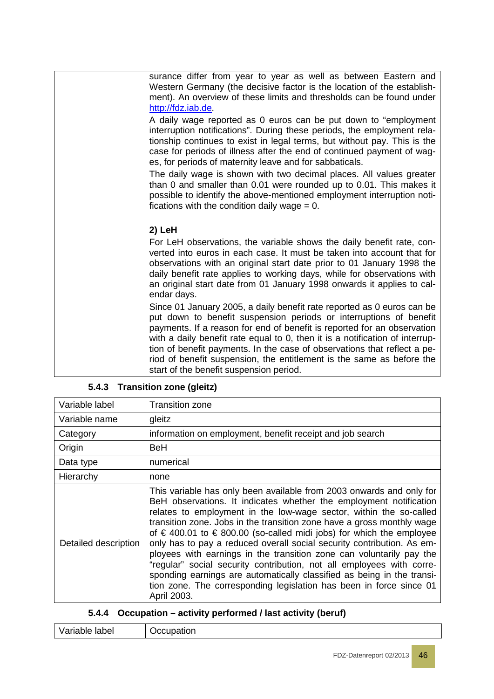| surance differ from year to year as well as between Eastern and<br>Western Germany (the decisive factor is the location of the establish-<br>ment). An overview of these limits and thresholds can be found under<br>http://fdz.iab.de.                                                                                                                                                                                                                      |
|--------------------------------------------------------------------------------------------------------------------------------------------------------------------------------------------------------------------------------------------------------------------------------------------------------------------------------------------------------------------------------------------------------------------------------------------------------------|
| A daily wage reported as 0 euros can be put down to "employment<br>interruption notifications". During these periods, the employment rela-<br>tionship continues to exist in legal terms, but without pay. This is the<br>case for periods of illness after the end of continued payment of wag-<br>es, for periods of maternity leave and for sabbaticals.                                                                                                  |
| The daily wage is shown with two decimal places. All values greater<br>than 0 and smaller than 0.01 were rounded up to 0.01. This makes it<br>possible to identify the above-mentioned employment interruption noti-<br>fications with the condition daily wage $= 0$ .                                                                                                                                                                                      |
| 2) LeH                                                                                                                                                                                                                                                                                                                                                                                                                                                       |
| For LeH observations, the variable shows the daily benefit rate, con-<br>verted into euros in each case. It must be taken into account that for<br>observations with an original start date prior to 01 January 1998 the<br>daily benefit rate applies to working days, while for observations with<br>an original start date from 01 January 1998 onwards it applies to cal-<br>endar days.                                                                 |
| Since 01 January 2005, a daily benefit rate reported as 0 euros can be<br>put down to benefit suspension periods or interruptions of benefit<br>payments. If a reason for end of benefit is reported for an observation<br>with a daily benefit rate equal to 0, then it is a notification of interrup-<br>tion of benefit payments. In the case of observations that reflect a pe-<br>riod of benefit suspension, the entitlement is the same as before the |
| start of the benefit suspension period.                                                                                                                                                                                                                                                                                                                                                                                                                      |

| Variable label       | <b>Transition zone</b>                                                                                                                                                                                                                                                                                                                                                                                                                                                                                                                                                                                                                                                                                                                                                          |
|----------------------|---------------------------------------------------------------------------------------------------------------------------------------------------------------------------------------------------------------------------------------------------------------------------------------------------------------------------------------------------------------------------------------------------------------------------------------------------------------------------------------------------------------------------------------------------------------------------------------------------------------------------------------------------------------------------------------------------------------------------------------------------------------------------------|
| Variable name        | gleitz                                                                                                                                                                                                                                                                                                                                                                                                                                                                                                                                                                                                                                                                                                                                                                          |
| Category             | information on employment, benefit receipt and job search                                                                                                                                                                                                                                                                                                                                                                                                                                                                                                                                                                                                                                                                                                                       |
| Origin               | <b>BeH</b>                                                                                                                                                                                                                                                                                                                                                                                                                                                                                                                                                                                                                                                                                                                                                                      |
| Data type            | numerical                                                                                                                                                                                                                                                                                                                                                                                                                                                                                                                                                                                                                                                                                                                                                                       |
| Hierarchy            | none                                                                                                                                                                                                                                                                                                                                                                                                                                                                                                                                                                                                                                                                                                                                                                            |
| Detailed description | This variable has only been available from 2003 onwards and only for<br>BeH observations. It indicates whether the employment notification<br>relates to employment in the low-wage sector, within the so-called<br>transition zone. Jobs in the transition zone have a gross monthly wage<br>of $\epsilon$ 400.01 to $\epsilon$ 800.00 (so-called midi jobs) for which the employee<br>only has to pay a reduced overall social security contribution. As em-<br>ployees with earnings in the transition zone can voluntarily pay the<br>"regular" social security contribution, not all employees with corre-<br>sponding earnings are automatically classified as being in the transi-<br>tion zone. The corresponding legislation has been in force since 01<br>April 2003. |

### **5.4.3 Transition zone (gleitz)**

| Variable label | Occupation |
|----------------|------------|
|----------------|------------|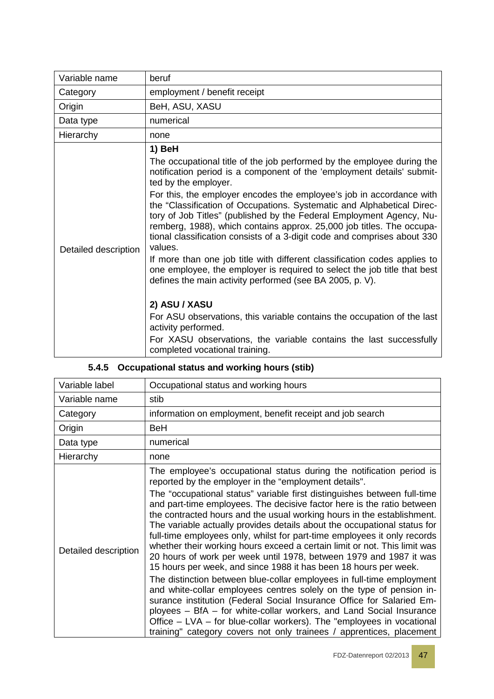| Variable name        | beruf                                                                                                                                                                                                                                                                                                                                                                                                                                                                                                                                                                                                                                                                                                                                                                                             |
|----------------------|---------------------------------------------------------------------------------------------------------------------------------------------------------------------------------------------------------------------------------------------------------------------------------------------------------------------------------------------------------------------------------------------------------------------------------------------------------------------------------------------------------------------------------------------------------------------------------------------------------------------------------------------------------------------------------------------------------------------------------------------------------------------------------------------------|
| Category             | employment / benefit receipt                                                                                                                                                                                                                                                                                                                                                                                                                                                                                                                                                                                                                                                                                                                                                                      |
| Origin               | BeH, ASU, XASU                                                                                                                                                                                                                                                                                                                                                                                                                                                                                                                                                                                                                                                                                                                                                                                    |
| Data type            | numerical                                                                                                                                                                                                                                                                                                                                                                                                                                                                                                                                                                                                                                                                                                                                                                                         |
| Hierarchy            | none                                                                                                                                                                                                                                                                                                                                                                                                                                                                                                                                                                                                                                                                                                                                                                                              |
| Detailed description | 1) BeH<br>The occupational title of the job performed by the employee during the<br>notification period is a component of the 'employment details' submit-<br>ted by the employer.<br>For this, the employer encodes the employee's job in accordance with<br>the "Classification of Occupations. Systematic and Alphabetical Direc-<br>tory of Job Titles" (published by the Federal Employment Agency, Nu-<br>remberg, 1988), which contains approx. 25,000 job titles. The occupa-<br>tional classification consists of a 3-digit code and comprises about 330<br>values.<br>If more than one job title with different classification codes applies to<br>one employee, the employer is required to select the job title that best<br>defines the main activity performed (see BA 2005, p. V). |
|                      | 2) ASU / XASU<br>For ASU observations, this variable contains the occupation of the last<br>activity performed.<br>For XASU observations, the variable contains the last successfully<br>completed vocational training.                                                                                                                                                                                                                                                                                                                                                                                                                                                                                                                                                                           |

|  | 5.4.5 Occupational status and working hours (stib) |  |
|--|----------------------------------------------------|--|
|--|----------------------------------------------------|--|

| Variable label       | Occupational status and working hours                                                                                                                                                                                                                                                                                                                                                                                                                                                                                                                                                                                                                                                                                                                                                                                                                                                                                                                                                                                                                                                                                                                                                          |
|----------------------|------------------------------------------------------------------------------------------------------------------------------------------------------------------------------------------------------------------------------------------------------------------------------------------------------------------------------------------------------------------------------------------------------------------------------------------------------------------------------------------------------------------------------------------------------------------------------------------------------------------------------------------------------------------------------------------------------------------------------------------------------------------------------------------------------------------------------------------------------------------------------------------------------------------------------------------------------------------------------------------------------------------------------------------------------------------------------------------------------------------------------------------------------------------------------------------------|
| Variable name        | stib                                                                                                                                                                                                                                                                                                                                                                                                                                                                                                                                                                                                                                                                                                                                                                                                                                                                                                                                                                                                                                                                                                                                                                                           |
| Category             | information on employment, benefit receipt and job search                                                                                                                                                                                                                                                                                                                                                                                                                                                                                                                                                                                                                                                                                                                                                                                                                                                                                                                                                                                                                                                                                                                                      |
| Origin               | BeH                                                                                                                                                                                                                                                                                                                                                                                                                                                                                                                                                                                                                                                                                                                                                                                                                                                                                                                                                                                                                                                                                                                                                                                            |
| Data type            | numerical                                                                                                                                                                                                                                                                                                                                                                                                                                                                                                                                                                                                                                                                                                                                                                                                                                                                                                                                                                                                                                                                                                                                                                                      |
| Hierarchy            | none                                                                                                                                                                                                                                                                                                                                                                                                                                                                                                                                                                                                                                                                                                                                                                                                                                                                                                                                                                                                                                                                                                                                                                                           |
| Detailed description | The employee's occupational status during the notification period is<br>reported by the employer in the "employment details".<br>The "occupational status" variable first distinguishes between full-time<br>and part-time employees. The decisive factor here is the ratio between<br>the contracted hours and the usual working hours in the establishment.<br>The variable actually provides details about the occupational status for<br>full-time employees only, whilst for part-time employees it only records<br>whether their working hours exceed a certain limit or not. This limit was<br>20 hours of work per week until 1978, between 1979 and 1987 it was<br>15 hours per week, and since 1988 it has been 18 hours per week.<br>The distinction between blue-collar employees in full-time employment<br>and white-collar employees centres solely on the type of pension in-<br>surance institution (Federal Social Insurance Office for Salaried Em-<br>ployees – BfA – for white-collar workers, and Land Social Insurance<br>Office – LVA – for blue-collar workers). The "employees in vocational<br>training" category covers not only trainees / apprentices, placement |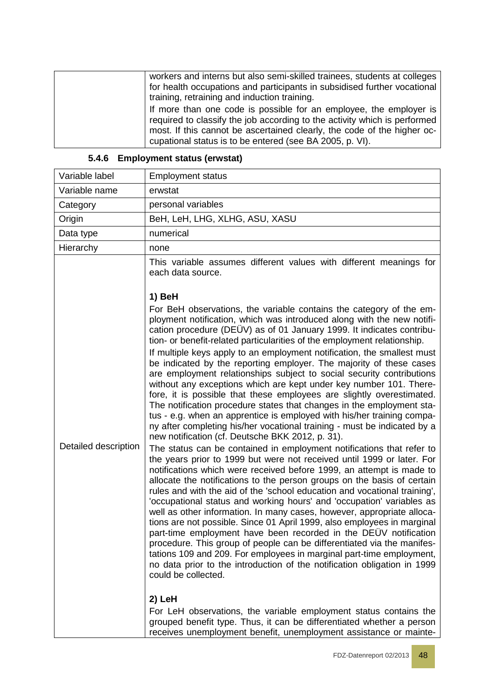| workers and interns but also semi-skilled trainees, students at colleges<br>for health occupations and participants in subsidised further vocational                                                                                                                                   |
|----------------------------------------------------------------------------------------------------------------------------------------------------------------------------------------------------------------------------------------------------------------------------------------|
| training, retraining and induction training.                                                                                                                                                                                                                                           |
| If more than one code is possible for an employee, the employer is<br>required to classify the job according to the activity which is performed<br>most. If this cannot be ascertained clearly, the code of the higher oc-<br>cupational status is to be entered (see BA 2005, p. VI). |

### **5.4.6 Employment status (erwstat)**

| Variable label       | <b>Employment status</b>                                                                                                                                                                                                                                                                                                                                                                                                                                                                                                                                                                                                                                                                                                                                                                                                                                                                                                                                                                                                                                                                                                                                                                                                                                                                                                                                                                                                                                                                                                                                                                                                                                                                                                                                                                                                                                                                                                                                                                                                                                                                                                                         |
|----------------------|--------------------------------------------------------------------------------------------------------------------------------------------------------------------------------------------------------------------------------------------------------------------------------------------------------------------------------------------------------------------------------------------------------------------------------------------------------------------------------------------------------------------------------------------------------------------------------------------------------------------------------------------------------------------------------------------------------------------------------------------------------------------------------------------------------------------------------------------------------------------------------------------------------------------------------------------------------------------------------------------------------------------------------------------------------------------------------------------------------------------------------------------------------------------------------------------------------------------------------------------------------------------------------------------------------------------------------------------------------------------------------------------------------------------------------------------------------------------------------------------------------------------------------------------------------------------------------------------------------------------------------------------------------------------------------------------------------------------------------------------------------------------------------------------------------------------------------------------------------------------------------------------------------------------------------------------------------------------------------------------------------------------------------------------------------------------------------------------------------------------------------------------------|
| Variable name        | erwstat                                                                                                                                                                                                                                                                                                                                                                                                                                                                                                                                                                                                                                                                                                                                                                                                                                                                                                                                                                                                                                                                                                                                                                                                                                                                                                                                                                                                                                                                                                                                                                                                                                                                                                                                                                                                                                                                                                                                                                                                                                                                                                                                          |
| Category             | personal variables                                                                                                                                                                                                                                                                                                                                                                                                                                                                                                                                                                                                                                                                                                                                                                                                                                                                                                                                                                                                                                                                                                                                                                                                                                                                                                                                                                                                                                                                                                                                                                                                                                                                                                                                                                                                                                                                                                                                                                                                                                                                                                                               |
| Origin               | BeH, LeH, LHG, XLHG, ASU, XASU                                                                                                                                                                                                                                                                                                                                                                                                                                                                                                                                                                                                                                                                                                                                                                                                                                                                                                                                                                                                                                                                                                                                                                                                                                                                                                                                                                                                                                                                                                                                                                                                                                                                                                                                                                                                                                                                                                                                                                                                                                                                                                                   |
| Data type            | numerical                                                                                                                                                                                                                                                                                                                                                                                                                                                                                                                                                                                                                                                                                                                                                                                                                                                                                                                                                                                                                                                                                                                                                                                                                                                                                                                                                                                                                                                                                                                                                                                                                                                                                                                                                                                                                                                                                                                                                                                                                                                                                                                                        |
| Hierarchy            | none                                                                                                                                                                                                                                                                                                                                                                                                                                                                                                                                                                                                                                                                                                                                                                                                                                                                                                                                                                                                                                                                                                                                                                                                                                                                                                                                                                                                                                                                                                                                                                                                                                                                                                                                                                                                                                                                                                                                                                                                                                                                                                                                             |
|                      | This variable assumes different values with different meanings for<br>each data source.                                                                                                                                                                                                                                                                                                                                                                                                                                                                                                                                                                                                                                                                                                                                                                                                                                                                                                                                                                                                                                                                                                                                                                                                                                                                                                                                                                                                                                                                                                                                                                                                                                                                                                                                                                                                                                                                                                                                                                                                                                                          |
| Detailed description | 1) BeH<br>For BeH observations, the variable contains the category of the em-<br>ployment notification, which was introduced along with the new notifi-<br>cation procedure (DEÜV) as of 01 January 1999. It indicates contribu-<br>tion- or benefit-related particularities of the employment relationship.<br>If multiple keys apply to an employment notification, the smallest must<br>be indicated by the reporting employer. The majority of these cases<br>are employment relationships subject to social security contributions<br>without any exceptions which are kept under key number 101. There-<br>fore, it is possible that these employees are slightly overestimated.<br>The notification procedure states that changes in the employment sta-<br>tus - e.g. when an apprentice is employed with his/her training compa-<br>ny after completing his/her vocational training - must be indicated by a<br>new notification (cf. Deutsche BKK 2012, p. 31).<br>The status can be contained in employment notifications that refer to<br>the years prior to 1999 but were not received until 1999 or later. For<br>notifications which were received before 1999, an attempt is made to<br>allocate the notifications to the person groups on the basis of certain<br>rules and with the aid of the 'school education and vocational training',<br>'occupational status and working hours' and 'occupation' variables as<br>well as other information. In many cases, however, appropriate alloca-<br>tions are not possible. Since 01 April 1999, also employees in marginal<br>part-time employment have been recorded in the DEUV notification<br>procedure. This group of people can be differentiated via the manifes-<br>tations 109 and 209. For employees in marginal part-time employment,<br>no data prior to the introduction of the notification obligation in 1999<br>could be collected.<br>2) LeH<br>For LeH observations, the variable employment status contains the<br>grouped benefit type. Thus, it can be differentiated whether a person<br>receives unemployment benefit, unemployment assistance or mainte- |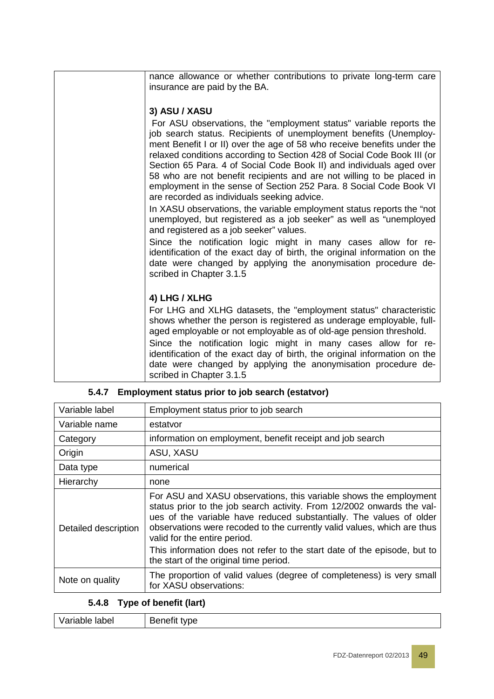| nance allowance or whether contributions to private long-term care                                                                          |
|---------------------------------------------------------------------------------------------------------------------------------------------|
|                                                                                                                                             |
| insurance are paid by the BA.                                                                                                               |
|                                                                                                                                             |
| 3) ASU / XASU                                                                                                                               |
| For ASU observations, the "employment status" variable reports the                                                                          |
| job search status. Recipients of unemployment benefits (Unemploy-                                                                           |
| ment Benefit I or II) over the age of 58 who receive benefits under the                                                                     |
| relaxed conditions according to Section 428 of Social Code Book III (or                                                                     |
| Section 65 Para. 4 of Social Code Book II) and individuals aged over                                                                        |
| 58 who are not benefit recipients and are not willing to be placed in                                                                       |
| employment in the sense of Section 252 Para. 8 Social Code Book VI                                                                          |
| are recorded as individuals seeking advice.                                                                                                 |
| In XASU observations, the variable employment status reports the "not                                                                       |
| unemployed, but registered as a job seeker" as well as "unemployed                                                                          |
| and registered as a job seeker" values.                                                                                                     |
| Since the notification logic might in many cases allow for re-                                                                              |
| identification of the exact day of birth, the original information on the                                                                   |
| date were changed by applying the anonymisation procedure de-                                                                               |
| scribed in Chapter 3.1.5                                                                                                                    |
|                                                                                                                                             |
| 4) LHG / XLHG                                                                                                                               |
| For LHG and XLHG datasets, the "employment status" characteristic                                                                           |
| shows whether the person is registered as underage employable, full-                                                                        |
| aged employable or not employable as of old-age pension threshold.                                                                          |
|                                                                                                                                             |
| Since the notification logic might in many cases allow for re-<br>identification of the exact day of birth, the original information on the |
| date were changed by applying the anonymisation procedure de-                                                                               |
| scribed in Chapter 3.1.5                                                                                                                    |
|                                                                                                                                             |
|                                                                                                                                             |

| Variable label       | Employment status prior to job search                                                                                                                                                                                                                                                                                         |
|----------------------|-------------------------------------------------------------------------------------------------------------------------------------------------------------------------------------------------------------------------------------------------------------------------------------------------------------------------------|
| Variable name        | estatvor                                                                                                                                                                                                                                                                                                                      |
| Category             | information on employment, benefit receipt and job search                                                                                                                                                                                                                                                                     |
| Origin               | ASU, XASU                                                                                                                                                                                                                                                                                                                     |
| Data type            | numerical                                                                                                                                                                                                                                                                                                                     |
| Hierarchy            | none                                                                                                                                                                                                                                                                                                                          |
| Detailed description | For ASU and XASU observations, this variable shows the employment<br>status prior to the job search activity. From 12/2002 onwards the val-<br>ues of the variable have reduced substantially. The values of older<br>observations were recoded to the currently valid values, which are thus<br>valid for the entire period. |
|                      | This information does not refer to the start date of the episode, but to<br>the start of the original time period.                                                                                                                                                                                                            |
| Note on quality      | The proportion of valid values (degree of completeness) is very small<br>for XASU observations:                                                                                                                                                                                                                               |

#### **5.4.7 Employment status prior to job search (estatvor)**

### **5.4.8 Type of benefit (lart)**

| Variable label | Benefit type |
|----------------|--------------|
|                |              |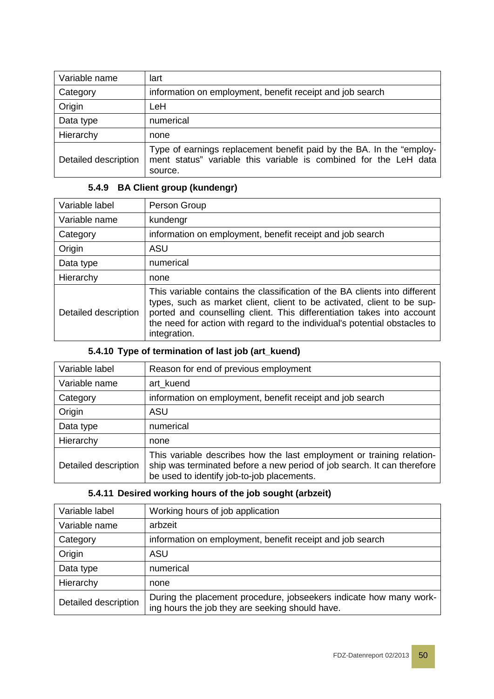| Variable name        | lart                                                                                                                                                |
|----------------------|-----------------------------------------------------------------------------------------------------------------------------------------------------|
| Category             | information on employment, benefit receipt and job search                                                                                           |
| Origin               | LeH                                                                                                                                                 |
| Data type            | numerical                                                                                                                                           |
| Hierarchy            | none                                                                                                                                                |
| Detailed description | Type of earnings replacement benefit paid by the BA. In the "employ-<br>ment status" variable this variable is combined for the LeH data<br>source. |

#### **5.4.9 BA Client group (kundengr)**

| Variable label       | Person Group                                                                                                                                                                                                                                                                                                                  |
|----------------------|-------------------------------------------------------------------------------------------------------------------------------------------------------------------------------------------------------------------------------------------------------------------------------------------------------------------------------|
| Variable name        | kundengr                                                                                                                                                                                                                                                                                                                      |
| Category             | information on employment, benefit receipt and job search                                                                                                                                                                                                                                                                     |
| Origin               | <b>ASU</b>                                                                                                                                                                                                                                                                                                                    |
| Data type            | numerical                                                                                                                                                                                                                                                                                                                     |
| Hierarchy            | none                                                                                                                                                                                                                                                                                                                          |
| Detailed description | This variable contains the classification of the BA clients into different<br>types, such as market client, client to be activated, client to be sup-<br>ported and counselling client. This differentiation takes into account<br>the need for action with regard to the individual's potential obstacles to<br>integration. |

### **5.4.10 Type of termination of last job (art\_kuend)**

| Variable label       | Reason for end of previous employment                                                                                                                                                          |
|----------------------|------------------------------------------------------------------------------------------------------------------------------------------------------------------------------------------------|
| Variable name        | art kuend                                                                                                                                                                                      |
| Category             | information on employment, benefit receipt and job search                                                                                                                                      |
| Origin               | ASU                                                                                                                                                                                            |
| Data type            | numerical                                                                                                                                                                                      |
| Hierarchy            | none                                                                                                                                                                                           |
| Detailed description | This variable describes how the last employment or training relation-<br>ship was terminated before a new period of job search. It can therefore<br>be used to identify job-to-job placements. |

#### **5.4.11 Desired working hours of the job sought (arbzeit)**

| Variable label       | Working hours of job application                                                                                      |
|----------------------|-----------------------------------------------------------------------------------------------------------------------|
| Variable name        | arbzeit                                                                                                               |
| Category             | information on employment, benefit receipt and job search                                                             |
| Origin               | ASU                                                                                                                   |
| Data type            | numerical                                                                                                             |
| Hierarchy            | none                                                                                                                  |
| Detailed description | During the placement procedure, jobseekers indicate how many work-<br>ing hours the job they are seeking should have. |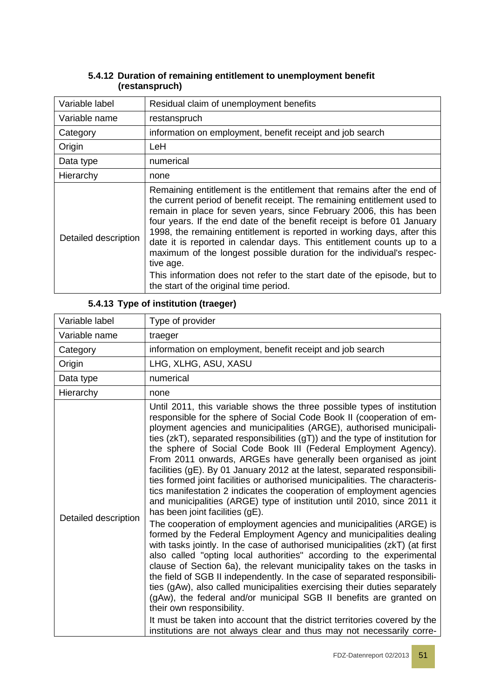| Variable label       | Residual claim of unemployment benefits                                                                                                                                                                                                                                                                                                                                                                                                                                                                                                                                                                                                                              |
|----------------------|----------------------------------------------------------------------------------------------------------------------------------------------------------------------------------------------------------------------------------------------------------------------------------------------------------------------------------------------------------------------------------------------------------------------------------------------------------------------------------------------------------------------------------------------------------------------------------------------------------------------------------------------------------------------|
| Variable name        | restanspruch                                                                                                                                                                                                                                                                                                                                                                                                                                                                                                                                                                                                                                                         |
| Category             | information on employment, benefit receipt and job search                                                                                                                                                                                                                                                                                                                                                                                                                                                                                                                                                                                                            |
| Origin               | <b>LeH</b>                                                                                                                                                                                                                                                                                                                                                                                                                                                                                                                                                                                                                                                           |
| Data type            | numerical                                                                                                                                                                                                                                                                                                                                                                                                                                                                                                                                                                                                                                                            |
| Hierarchy            | none                                                                                                                                                                                                                                                                                                                                                                                                                                                                                                                                                                                                                                                                 |
| Detailed description | Remaining entitlement is the entitlement that remains after the end of<br>the current period of benefit receipt. The remaining entitlement used to<br>remain in place for seven years, since February 2006, this has been<br>four years. If the end date of the benefit receipt is before 01 January<br>1998, the remaining entitlement is reported in working days, after this<br>date it is reported in calendar days. This entitlement counts up to a<br>maximum of the longest possible duration for the individual's respec-<br>tive age.<br>This information does not refer to the start date of the episode, but to<br>the start of the original time period. |

#### **5.4.12 Duration of remaining entitlement to unemployment benefit (restanspruch)**

#### **5.4.13 Type of institution (traeger)**

| Variable label       | Type of provider                                                                                                                                                                                                                                                                                                                                                                                                                                                                                                                                                                                                                                                                                                                                                                                                                                                                                                                                                                                                                                                                                                                                                                                                                                                                                                                                                                                                                                                                                                                                                                                     |
|----------------------|------------------------------------------------------------------------------------------------------------------------------------------------------------------------------------------------------------------------------------------------------------------------------------------------------------------------------------------------------------------------------------------------------------------------------------------------------------------------------------------------------------------------------------------------------------------------------------------------------------------------------------------------------------------------------------------------------------------------------------------------------------------------------------------------------------------------------------------------------------------------------------------------------------------------------------------------------------------------------------------------------------------------------------------------------------------------------------------------------------------------------------------------------------------------------------------------------------------------------------------------------------------------------------------------------------------------------------------------------------------------------------------------------------------------------------------------------------------------------------------------------------------------------------------------------------------------------------------------------|
| Variable name        | traeger                                                                                                                                                                                                                                                                                                                                                                                                                                                                                                                                                                                                                                                                                                                                                                                                                                                                                                                                                                                                                                                                                                                                                                                                                                                                                                                                                                                                                                                                                                                                                                                              |
| Category             | information on employment, benefit receipt and job search                                                                                                                                                                                                                                                                                                                                                                                                                                                                                                                                                                                                                                                                                                                                                                                                                                                                                                                                                                                                                                                                                                                                                                                                                                                                                                                                                                                                                                                                                                                                            |
| Origin               | LHG, XLHG, ASU, XASU                                                                                                                                                                                                                                                                                                                                                                                                                                                                                                                                                                                                                                                                                                                                                                                                                                                                                                                                                                                                                                                                                                                                                                                                                                                                                                                                                                                                                                                                                                                                                                                 |
| Data type            | numerical                                                                                                                                                                                                                                                                                                                                                                                                                                                                                                                                                                                                                                                                                                                                                                                                                                                                                                                                                                                                                                                                                                                                                                                                                                                                                                                                                                                                                                                                                                                                                                                            |
| Hierarchy            | none                                                                                                                                                                                                                                                                                                                                                                                                                                                                                                                                                                                                                                                                                                                                                                                                                                                                                                                                                                                                                                                                                                                                                                                                                                                                                                                                                                                                                                                                                                                                                                                                 |
| Detailed description | Until 2011, this variable shows the three possible types of institution<br>responsible for the sphere of Social Code Book II (cooperation of em-<br>ployment agencies and municipalities (ARGE), authorised municipali-<br>ties (zkT), separated responsibilities (gT)) and the type of institution for<br>the sphere of Social Code Book III (Federal Employment Agency).<br>From 2011 onwards, ARGEs have generally been organised as joint<br>facilities (gE). By 01 January 2012 at the latest, separated responsibili-<br>ties formed joint facilities or authorised municipalities. The characteris-<br>tics manifestation 2 indicates the cooperation of employment agencies<br>and municipalities (ARGE) type of institution until 2010, since 2011 it<br>has been joint facilities (gE).<br>The cooperation of employment agencies and municipalities (ARGE) is<br>formed by the Federal Employment Agency and municipalities dealing<br>with tasks jointly. In the case of authorised municipalities (zkT) (at first<br>also called "opting local authorities" according to the experimental<br>clause of Section 6a), the relevant municipality takes on the tasks in<br>the field of SGB II independently. In the case of separated responsibili-<br>ties (gAw), also called municipalities exercising their duties separately<br>(gAw), the federal and/or municipal SGB II benefits are granted on<br>their own responsibility.<br>It must be taken into account that the district territories covered by the<br>institutions are not always clear and thus may not necessarily corre- |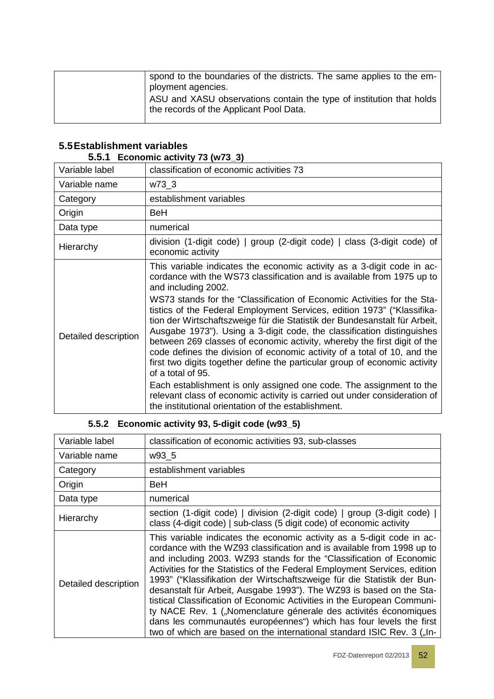| spond to the boundaries of the districts. The same applies to the em-<br>ployment agencies.<br>ASU and XASU observations contain the type of institution that holds<br>the records of the Applicant Pool Data. |
|----------------------------------------------------------------------------------------------------------------------------------------------------------------------------------------------------------------|
|                                                                                                                                                                                                                |

# **5.5Establishment variables**

**5.5.1 Economic activity 73 (w73\_3)**

| Variable label       | classification of economic activities 73                                                                                                                                                                                                                                                                                                                                                                                                                                                                                                                                                                                                                                                                                                                                                                                                                                                                                                                    |
|----------------------|-------------------------------------------------------------------------------------------------------------------------------------------------------------------------------------------------------------------------------------------------------------------------------------------------------------------------------------------------------------------------------------------------------------------------------------------------------------------------------------------------------------------------------------------------------------------------------------------------------------------------------------------------------------------------------------------------------------------------------------------------------------------------------------------------------------------------------------------------------------------------------------------------------------------------------------------------------------|
| Variable name        | w73_3                                                                                                                                                                                                                                                                                                                                                                                                                                                                                                                                                                                                                                                                                                                                                                                                                                                                                                                                                       |
| Category             | establishment variables                                                                                                                                                                                                                                                                                                                                                                                                                                                                                                                                                                                                                                                                                                                                                                                                                                                                                                                                     |
| Origin               | BeH                                                                                                                                                                                                                                                                                                                                                                                                                                                                                                                                                                                                                                                                                                                                                                                                                                                                                                                                                         |
| Data type            | numerical                                                                                                                                                                                                                                                                                                                                                                                                                                                                                                                                                                                                                                                                                                                                                                                                                                                                                                                                                   |
| Hierarchy            | division (1-digit code)   group (2-digit code)   class (3-digit code) of<br>economic activity                                                                                                                                                                                                                                                                                                                                                                                                                                                                                                                                                                                                                                                                                                                                                                                                                                                               |
| Detailed description | This variable indicates the economic activity as a 3-digit code in ac-<br>cordance with the WS73 classification and is available from 1975 up to<br>and including 2002.<br>WS73 stands for the "Classification of Economic Activities for the Sta-<br>tistics of the Federal Employment Services, edition 1973" ("Klassifika-<br>tion der Wirtschaftszweige für die Statistik der Bundesanstalt für Arbeit,<br>Ausgabe 1973"). Using a 3-digit code, the classification distinguishes<br>between 269 classes of economic activity, whereby the first digit of the<br>code defines the division of economic activity of a total of 10, and the<br>first two digits together define the particular group of economic activity<br>of a total of 95.<br>Each establishment is only assigned one code. The assignment to the<br>relevant class of economic activity is carried out under consideration of<br>the institutional orientation of the establishment. |

### **5.5.2 Economic activity 93, 5-digit code (w93\_5)**

| Variable label       | classification of economic activities 93, sub-classes                                                                                                                                                                                                                                                                                                                                                                                                                                                                                                                                                                                                                                                                                                  |
|----------------------|--------------------------------------------------------------------------------------------------------------------------------------------------------------------------------------------------------------------------------------------------------------------------------------------------------------------------------------------------------------------------------------------------------------------------------------------------------------------------------------------------------------------------------------------------------------------------------------------------------------------------------------------------------------------------------------------------------------------------------------------------------|
| Variable name        | w93_5                                                                                                                                                                                                                                                                                                                                                                                                                                                                                                                                                                                                                                                                                                                                                  |
| Category             | establishment variables                                                                                                                                                                                                                                                                                                                                                                                                                                                                                                                                                                                                                                                                                                                                |
| Origin               | BeH                                                                                                                                                                                                                                                                                                                                                                                                                                                                                                                                                                                                                                                                                                                                                    |
| Data type            | numerical                                                                                                                                                                                                                                                                                                                                                                                                                                                                                                                                                                                                                                                                                                                                              |
| Hierarchy            | section (1-digit code)   division (2-digit code)   group (3-digit code)  <br>class (4-digit code)   sub-class (5 digit code) of economic activity                                                                                                                                                                                                                                                                                                                                                                                                                                                                                                                                                                                                      |
| Detailed description | This variable indicates the economic activity as a 5-digit code in ac-<br>cordance with the WZ93 classification and is available from 1998 up to<br>and including 2003. WZ93 stands for the "Classification of Economic<br>Activities for the Statistics of the Federal Employment Services, edition<br>1993" ("Klassifikation der Wirtschaftszweige für die Statistik der Bun-<br>desanstalt für Arbeit, Ausgabe 1993"). The WZ93 is based on the Sta-<br>tistical Classification of Economic Activities in the European Communi-<br>ty NACE Rev. 1 ("Nomenclature génerale des activités économiques<br>dans les communautés européennes") which has four levels the first<br>two of which are based on the international standard ISIC Rev. 3 ("In- |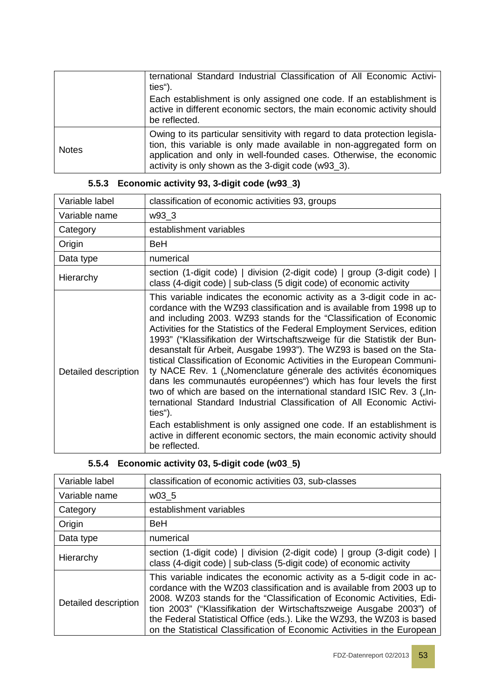|              | ternational Standard Industrial Classification of All Economic Activi-<br>ties").                                                                                                                                                                                                 |
|--------------|-----------------------------------------------------------------------------------------------------------------------------------------------------------------------------------------------------------------------------------------------------------------------------------|
|              | Each establishment is only assigned one code. If an establishment is<br>active in different economic sectors, the main economic activity should<br>be reflected.                                                                                                                  |
| <b>Notes</b> | Owing to its particular sensitivity with regard to data protection legisla-<br>tion, this variable is only made available in non-aggregated form on<br>application and only in well-founded cases. Otherwise, the economic<br>activity is only shown as the 3-digit code (w93_3). |

| Variable label       | classification of economic activities 93, groups                                                                                                                                                                                                                                                                                                                                                                                                                                                                                                                                                                                                                                                                                                                                                                                                                                                                                                                                                                |
|----------------------|-----------------------------------------------------------------------------------------------------------------------------------------------------------------------------------------------------------------------------------------------------------------------------------------------------------------------------------------------------------------------------------------------------------------------------------------------------------------------------------------------------------------------------------------------------------------------------------------------------------------------------------------------------------------------------------------------------------------------------------------------------------------------------------------------------------------------------------------------------------------------------------------------------------------------------------------------------------------------------------------------------------------|
| Variable name        | w93_3                                                                                                                                                                                                                                                                                                                                                                                                                                                                                                                                                                                                                                                                                                                                                                                                                                                                                                                                                                                                           |
| Category             | establishment variables                                                                                                                                                                                                                                                                                                                                                                                                                                                                                                                                                                                                                                                                                                                                                                                                                                                                                                                                                                                         |
| Origin               | BeH                                                                                                                                                                                                                                                                                                                                                                                                                                                                                                                                                                                                                                                                                                                                                                                                                                                                                                                                                                                                             |
| Data type            | numerical                                                                                                                                                                                                                                                                                                                                                                                                                                                                                                                                                                                                                                                                                                                                                                                                                                                                                                                                                                                                       |
| Hierarchy            | section (1-digit code)   division (2-digit code)   group (3-digit code)  <br>class (4-digit code)   sub-class (5 digit code) of economic activity                                                                                                                                                                                                                                                                                                                                                                                                                                                                                                                                                                                                                                                                                                                                                                                                                                                               |
| Detailed description | This variable indicates the economic activity as a 3-digit code in ac-<br>cordance with the WZ93 classification and is available from 1998 up to<br>and including 2003. WZ93 stands for the "Classification of Economic<br>Activities for the Statistics of the Federal Employment Services, edition<br>1993" ("Klassifikation der Wirtschaftszweige für die Statistik der Bun-<br>desanstalt für Arbeit, Ausgabe 1993"). The WZ93 is based on the Sta-<br>tistical Classification of Economic Activities in the European Communi-<br>ty NACE Rev. 1 ("Nomenclature génerale des activités économiques<br>dans les communautés européennes") which has four levels the first<br>two of which are based on the international standard ISIC Rev. 3 ("In-<br>ternational Standard Industrial Classification of All Economic Activi-<br>ties").<br>Each establishment is only assigned one code. If an establishment is<br>active in different economic sectors, the main economic activity should<br>be reflected. |

# **5.5.3 Economic activity 93, 3-digit code (w93\_3)**

# **5.5.4 Economic activity 03, 5-digit code (w03\_5)**

| Variable label       | classification of economic activities 03, sub-classes                                                                                                                                                                                                                                                                                                                                                                                                    |
|----------------------|----------------------------------------------------------------------------------------------------------------------------------------------------------------------------------------------------------------------------------------------------------------------------------------------------------------------------------------------------------------------------------------------------------------------------------------------------------|
| Variable name        | w03 5                                                                                                                                                                                                                                                                                                                                                                                                                                                    |
| Category             | establishment variables                                                                                                                                                                                                                                                                                                                                                                                                                                  |
| Origin               | <b>BeH</b>                                                                                                                                                                                                                                                                                                                                                                                                                                               |
| Data type            | numerical                                                                                                                                                                                                                                                                                                                                                                                                                                                |
| Hierarchy            | section (1-digit code)   division (2-digit code)   group (3-digit code)  <br>class (4-digit code)   sub-class (5-digit code) of economic activity                                                                                                                                                                                                                                                                                                        |
| Detailed description | This variable indicates the economic activity as a 5-digit code in ac-<br>cordance with the WZ03 classification and is available from 2003 up to<br>2008. WZ03 stands for the "Classification of Economic Activities, Edi-<br>tion 2003" ("Klassifikation der Wirtschaftszweige Ausgabe 2003") of<br>the Federal Statistical Office (eds.). Like the WZ93, the WZ03 is based<br>on the Statistical Classification of Economic Activities in the European |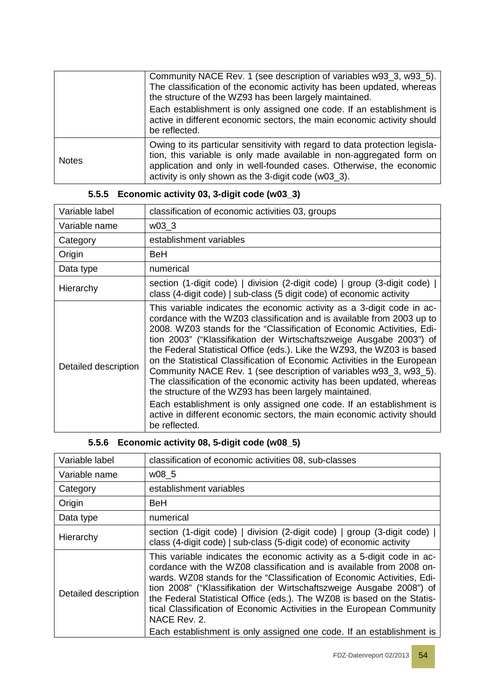|              | Community NACE Rev. 1 (see description of variables w93_3, w93_5).<br>The classification of the economic activity has been updated, whereas<br>the structure of the WZ93 has been largely maintained.<br>Each establishment is only assigned one code. If an establishment is<br>active in different economic sectors, the main economic activity should<br>be reflected. |
|--------------|---------------------------------------------------------------------------------------------------------------------------------------------------------------------------------------------------------------------------------------------------------------------------------------------------------------------------------------------------------------------------|
| <b>Notes</b> | Owing to its particular sensitivity with regard to data protection legisla-<br>tion, this variable is only made available in non-aggregated form on<br>application and only in well-founded cases. Otherwise, the economic<br>activity is only shown as the 3-digit code (w03_3).                                                                                         |

### **5.5.5 Economic activity 03, 3-digit code (w03\_3)**

| Variable label       | classification of economic activities 03, groups                                                                                                                                                                                                                                                                                                                                                                                                                                                                                                                                                                                                                                                                                                                                                                                      |
|----------------------|---------------------------------------------------------------------------------------------------------------------------------------------------------------------------------------------------------------------------------------------------------------------------------------------------------------------------------------------------------------------------------------------------------------------------------------------------------------------------------------------------------------------------------------------------------------------------------------------------------------------------------------------------------------------------------------------------------------------------------------------------------------------------------------------------------------------------------------|
| Variable name        | w03 3                                                                                                                                                                                                                                                                                                                                                                                                                                                                                                                                                                                                                                                                                                                                                                                                                                 |
| Category             | establishment variables                                                                                                                                                                                                                                                                                                                                                                                                                                                                                                                                                                                                                                                                                                                                                                                                               |
| Origin               | <b>BeH</b>                                                                                                                                                                                                                                                                                                                                                                                                                                                                                                                                                                                                                                                                                                                                                                                                                            |
| Data type            | numerical                                                                                                                                                                                                                                                                                                                                                                                                                                                                                                                                                                                                                                                                                                                                                                                                                             |
| Hierarchy            | section (1-digit code)   division (2-digit code)   group (3-digit code)  <br>class (4-digit code)   sub-class (5 digit code) of economic activity                                                                                                                                                                                                                                                                                                                                                                                                                                                                                                                                                                                                                                                                                     |
| Detailed description | This variable indicates the economic activity as a 3-digit code in ac-<br>cordance with the WZ03 classification and is available from 2003 up to<br>2008. WZ03 stands for the "Classification of Economic Activities, Edi-<br>tion 2003" ("Klassifikation der Wirtschaftszweige Ausgabe 2003") of<br>the Federal Statistical Office (eds.). Like the WZ93, the WZ03 is based<br>on the Statistical Classification of Economic Activities in the European<br>Community NACE Rev. 1 (see description of variables w93_3, w93_5).<br>The classification of the economic activity has been updated, whereas<br>the structure of the WZ93 has been largely maintained.<br>Each establishment is only assigned one code. If an establishment is<br>active in different economic sectors, the main economic activity should<br>be reflected. |

### **5.5.6 Economic activity 08, 5-digit code (w08\_5)**

| Variable label       | classification of economic activities 08, sub-classes                                                                                                                                                                                                                                                                                                                                                                                                                                                                                        |
|----------------------|----------------------------------------------------------------------------------------------------------------------------------------------------------------------------------------------------------------------------------------------------------------------------------------------------------------------------------------------------------------------------------------------------------------------------------------------------------------------------------------------------------------------------------------------|
| Variable name        | w08 5                                                                                                                                                                                                                                                                                                                                                                                                                                                                                                                                        |
| Category             | establishment variables                                                                                                                                                                                                                                                                                                                                                                                                                                                                                                                      |
| Origin               | <b>BeH</b>                                                                                                                                                                                                                                                                                                                                                                                                                                                                                                                                   |
| Data type            | numerical                                                                                                                                                                                                                                                                                                                                                                                                                                                                                                                                    |
| Hierarchy            | section (1-digit code)   division (2-digit code)   group (3-digit code)  <br>class (4-digit code)   sub-class (5-digit code) of economic activity                                                                                                                                                                                                                                                                                                                                                                                            |
| Detailed description | This variable indicates the economic activity as a 5-digit code in ac-<br>cordance with the WZ08 classification and is available from 2008 on-<br>wards. WZ08 stands for the "Classification of Economic Activities, Edi-<br>tion 2008" ("Klassifikation der Wirtschaftszweige Ausgabe 2008") of<br>the Federal Statistical Office (eds.). The WZ08 is based on the Statis-<br>tical Classification of Economic Activities in the European Community<br>NACE Rev. 2.<br>Each establishment is only assigned one code. If an establishment is |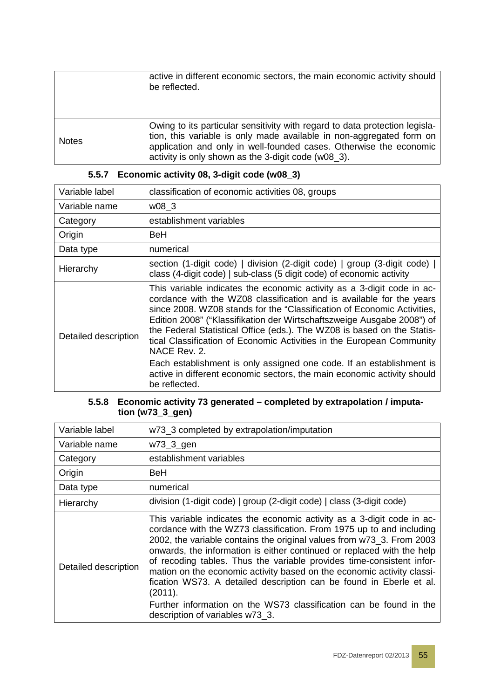|              | active in different economic sectors, the main economic activity should<br>be reflected.                                                                                                                                                                                         |
|--------------|----------------------------------------------------------------------------------------------------------------------------------------------------------------------------------------------------------------------------------------------------------------------------------|
| <b>Notes</b> | Owing to its particular sensitivity with regard to data protection legisla-<br>tion, this variable is only made available in non-aggregated form on<br>application and only in well-founded cases. Otherwise the economic<br>activity is only shown as the 3-digit code (w08_3). |

| Variable label       | classification of economic activities 08, groups                                                                                                                                                                                                                                                                                                                                                                                                                                                                                                                                                                                            |
|----------------------|---------------------------------------------------------------------------------------------------------------------------------------------------------------------------------------------------------------------------------------------------------------------------------------------------------------------------------------------------------------------------------------------------------------------------------------------------------------------------------------------------------------------------------------------------------------------------------------------------------------------------------------------|
| Variable name        | w08 3                                                                                                                                                                                                                                                                                                                                                                                                                                                                                                                                                                                                                                       |
| Category             | establishment variables                                                                                                                                                                                                                                                                                                                                                                                                                                                                                                                                                                                                                     |
| Origin               | BeH                                                                                                                                                                                                                                                                                                                                                                                                                                                                                                                                                                                                                                         |
| Data type            | numerical                                                                                                                                                                                                                                                                                                                                                                                                                                                                                                                                                                                                                                   |
| Hierarchy            | section (1-digit code)   division (2-digit code)   group (3-digit code)  <br>class (4-digit code)   sub-class (5 digit code) of economic activity                                                                                                                                                                                                                                                                                                                                                                                                                                                                                           |
| Detailed description | This variable indicates the economic activity as a 3-digit code in ac-<br>cordance with the WZ08 classification and is available for the years<br>since 2008. WZ08 stands for the "Classification of Economic Activities,<br>Edition 2008" ("Klassifikation der Wirtschaftszweige Ausgabe 2008") of<br>the Federal Statistical Office (eds.). The WZ08 is based on the Statis-<br>tical Classification of Economic Activities in the European Community<br>NACE Rev. 2.<br>Each establishment is only assigned one code. If an establishment is<br>active in different economic sectors, the main economic activity should<br>be reflected. |

### **5.5.7 Economic activity 08, 3-digit code (w08\_3)**

#### **5.5.8 Economic activity 73 generated – completed by extrapolation / imputation (w73\_3\_gen)**

| Variable label       | w73_3 completed by extrapolation/imputation                                                                                                                                                                                                                                                                                                                                                                                                                                                                                                                                                                                                     |
|----------------------|-------------------------------------------------------------------------------------------------------------------------------------------------------------------------------------------------------------------------------------------------------------------------------------------------------------------------------------------------------------------------------------------------------------------------------------------------------------------------------------------------------------------------------------------------------------------------------------------------------------------------------------------------|
| Variable name        | w73_3_gen                                                                                                                                                                                                                                                                                                                                                                                                                                                                                                                                                                                                                                       |
| Category             | establishment variables                                                                                                                                                                                                                                                                                                                                                                                                                                                                                                                                                                                                                         |
| Origin               | BeH                                                                                                                                                                                                                                                                                                                                                                                                                                                                                                                                                                                                                                             |
| Data type            | numerical                                                                                                                                                                                                                                                                                                                                                                                                                                                                                                                                                                                                                                       |
| Hierarchy            | division (1-digit code)   group (2-digit code)   class (3-digit code)                                                                                                                                                                                                                                                                                                                                                                                                                                                                                                                                                                           |
| Detailed description | This variable indicates the economic activity as a 3-digit code in ac-<br>cordance with the WZ73 classification. From 1975 up to and including<br>2002, the variable contains the original values from w73_3. From 2003<br>onwards, the information is either continued or replaced with the help<br>of recoding tables. Thus the variable provides time-consistent infor-<br>mation on the economic activity based on the economic activity classi-<br>fication WS73. A detailed description can be found in Eberle et al.<br>(2011).<br>Further information on the WS73 classification can be found in the<br>description of variables w73_3. |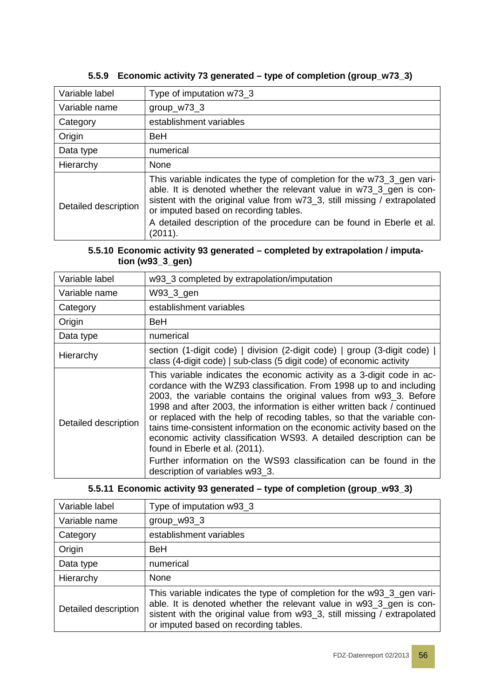| Variable label       | Type of imputation w73_3                                                                                                                                                                                                                                                                                                                               |
|----------------------|--------------------------------------------------------------------------------------------------------------------------------------------------------------------------------------------------------------------------------------------------------------------------------------------------------------------------------------------------------|
| Variable name        | $group_w73_3$                                                                                                                                                                                                                                                                                                                                          |
| Category             | establishment variables                                                                                                                                                                                                                                                                                                                                |
| Origin               | <b>BeH</b>                                                                                                                                                                                                                                                                                                                                             |
| Data type            | numerical                                                                                                                                                                                                                                                                                                                                              |
| Hierarchy            | None                                                                                                                                                                                                                                                                                                                                                   |
| Detailed description | This variable indicates the type of completion for the w73_3_gen vari-<br>able. It is denoted whether the relevant value in w73_3_gen is con-<br>sistent with the original value from w73_3, still missing / extrapolated<br>or imputed based on recording tables.<br>A detailed description of the procedure can be found in Eberle et al.<br>(2011). |

#### **5.5.9 Economic activity 73 generated – type of completion (group\_w73\_3)**

#### **5.5.10 Economic activity 93 generated – completed by extrapolation / imputation (w93\_3\_gen)**

| Variable label       | w93_3 completed by extrapolation/imputation                                                                                                                                                                                                                                                                                                                                                                                                                                                                                                                                                                                                                              |
|----------------------|--------------------------------------------------------------------------------------------------------------------------------------------------------------------------------------------------------------------------------------------------------------------------------------------------------------------------------------------------------------------------------------------------------------------------------------------------------------------------------------------------------------------------------------------------------------------------------------------------------------------------------------------------------------------------|
| Variable name        | W93_3_gen                                                                                                                                                                                                                                                                                                                                                                                                                                                                                                                                                                                                                                                                |
| Category             | establishment variables                                                                                                                                                                                                                                                                                                                                                                                                                                                                                                                                                                                                                                                  |
| Origin               | BeH                                                                                                                                                                                                                                                                                                                                                                                                                                                                                                                                                                                                                                                                      |
| Data type            | numerical                                                                                                                                                                                                                                                                                                                                                                                                                                                                                                                                                                                                                                                                |
| Hierarchy            | section (1-digit code)   division (2-digit code)   group (3-digit code)  <br>class (4-digit code)   sub-class (5 digit code) of economic activity                                                                                                                                                                                                                                                                                                                                                                                                                                                                                                                        |
| Detailed description | This variable indicates the economic activity as a 3-digit code in ac-<br>cordance with the WZ93 classification. From 1998 up to and including<br>2003, the variable contains the original values from w93_3. Before<br>1998 and after 2003, the information is either written back / continued<br>or replaced with the help of recoding tables, so that the variable con-<br>tains time-consistent information on the economic activity based on the<br>economic activity classification WS93. A detailed description can be<br>found in Eberle et al. (2011).<br>Further information on the WS93 classification can be found in the<br>description of variables w93_3. |

### **5.5.11 Economic activity 93 generated – type of completion (group\_w93\_3)**

| Variable label       | Type of imputation w93_3                                                                                                                                                                                                                                           |
|----------------------|--------------------------------------------------------------------------------------------------------------------------------------------------------------------------------------------------------------------------------------------------------------------|
| Variable name        | $group_w93_3$                                                                                                                                                                                                                                                      |
| Category             | establishment variables                                                                                                                                                                                                                                            |
| Origin               | <b>BeH</b>                                                                                                                                                                                                                                                         |
| Data type            | numerical                                                                                                                                                                                                                                                          |
| Hierarchy            | None                                                                                                                                                                                                                                                               |
| Detailed description | This variable indicates the type of completion for the w93_3_gen vari-<br>able. It is denoted whether the relevant value in w93_3_gen is con-<br>sistent with the original value from w93_3, still missing / extrapolated<br>or imputed based on recording tables. |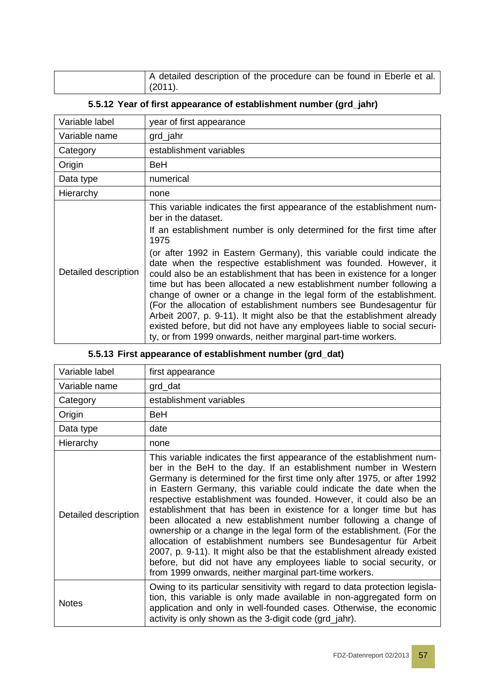| A detailed description of the procedure can be found in Eberle et al. |
|-----------------------------------------------------------------------|
| $(2011)$ .                                                            |

#### **5.5.12 Year of first appearance of establishment number (grd\_jahr)**

| Variable label       | year of first appearance                                                                                                                                                                                                                                                                                                                                                                                                                                                                                                                                                                                                                                                                                                                                                                                                                      |
|----------------------|-----------------------------------------------------------------------------------------------------------------------------------------------------------------------------------------------------------------------------------------------------------------------------------------------------------------------------------------------------------------------------------------------------------------------------------------------------------------------------------------------------------------------------------------------------------------------------------------------------------------------------------------------------------------------------------------------------------------------------------------------------------------------------------------------------------------------------------------------|
| Variable name        | grd_jahr                                                                                                                                                                                                                                                                                                                                                                                                                                                                                                                                                                                                                                                                                                                                                                                                                                      |
| Category             | establishment variables                                                                                                                                                                                                                                                                                                                                                                                                                                                                                                                                                                                                                                                                                                                                                                                                                       |
| Origin               | BeH                                                                                                                                                                                                                                                                                                                                                                                                                                                                                                                                                                                                                                                                                                                                                                                                                                           |
| Data type            | numerical                                                                                                                                                                                                                                                                                                                                                                                                                                                                                                                                                                                                                                                                                                                                                                                                                                     |
| Hierarchy            | none                                                                                                                                                                                                                                                                                                                                                                                                                                                                                                                                                                                                                                                                                                                                                                                                                                          |
| Detailed description | This variable indicates the first appearance of the establishment num-<br>ber in the dataset.<br>If an establishment number is only determined for the first time after<br>1975<br>(or after 1992 in Eastern Germany), this variable could indicate the<br>date when the respective establishment was founded. However, it<br>could also be an establishment that has been in existence for a longer<br>time but has been allocated a new establishment number following a<br>change of owner or a change in the legal form of the establishment.<br>(For the allocation of establishment numbers see Bundesagentur für<br>Arbeit 2007, p. 9-11). It might also be that the establishment already<br>existed before, but did not have any employees liable to social securi-<br>ty, or from 1999 onwards, neither marginal part-time workers. |

### **5.5.13 First appearance of establishment number (grd\_dat)**

| Variable label       | first appearance                                                                                                                                                                                                                                                                                                                                                                                                                                                                                                                                                                                                                                                                                                                                                                                                                                                      |
|----------------------|-----------------------------------------------------------------------------------------------------------------------------------------------------------------------------------------------------------------------------------------------------------------------------------------------------------------------------------------------------------------------------------------------------------------------------------------------------------------------------------------------------------------------------------------------------------------------------------------------------------------------------------------------------------------------------------------------------------------------------------------------------------------------------------------------------------------------------------------------------------------------|
| Variable name        | grd_dat                                                                                                                                                                                                                                                                                                                                                                                                                                                                                                                                                                                                                                                                                                                                                                                                                                                               |
| Category             | establishment variables                                                                                                                                                                                                                                                                                                                                                                                                                                                                                                                                                                                                                                                                                                                                                                                                                                               |
| Origin               | <b>BeH</b>                                                                                                                                                                                                                                                                                                                                                                                                                                                                                                                                                                                                                                                                                                                                                                                                                                                            |
| Data type            | date                                                                                                                                                                                                                                                                                                                                                                                                                                                                                                                                                                                                                                                                                                                                                                                                                                                                  |
| Hierarchy            | none                                                                                                                                                                                                                                                                                                                                                                                                                                                                                                                                                                                                                                                                                                                                                                                                                                                                  |
| Detailed description | This variable indicates the first appearance of the establishment num-<br>ber in the BeH to the day. If an establishment number in Western<br>Germany is determined for the first time only after 1975, or after 1992<br>in Eastern Germany, this variable could indicate the date when the<br>respective establishment was founded. However, it could also be an<br>establishment that has been in existence for a longer time but has<br>been allocated a new establishment number following a change of<br>ownership or a change in the legal form of the establishment. (For the<br>allocation of establishment numbers see Bundesagentur für Arbeit<br>2007, p. 9-11). It might also be that the establishment already existed<br>before, but did not have any employees liable to social security, or<br>from 1999 onwards, neither marginal part-time workers. |
| <b>Notes</b>         | Owing to its particular sensitivity with regard to data protection legisla-<br>tion, this variable is only made available in non-aggregated form on<br>application and only in well-founded cases. Otherwise, the economic<br>activity is only shown as the 3-digit code (grd_jahr).                                                                                                                                                                                                                                                                                                                                                                                                                                                                                                                                                                                  |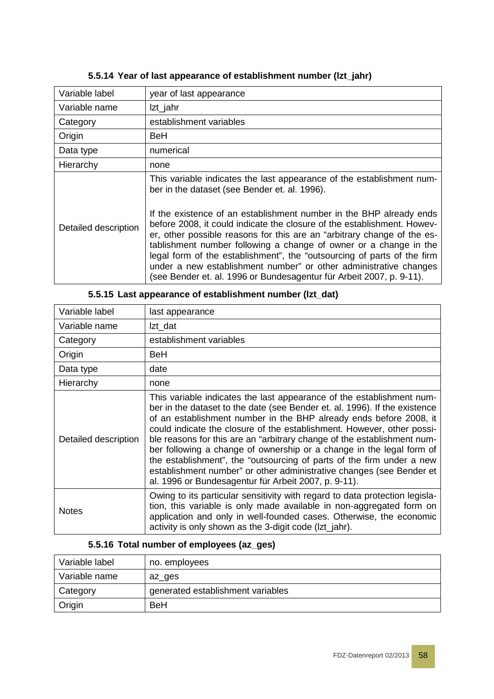| Variable label       | year of last appearance                                                                                                                                                                                                                                                                                                                                                                                                                                                                                                |
|----------------------|------------------------------------------------------------------------------------------------------------------------------------------------------------------------------------------------------------------------------------------------------------------------------------------------------------------------------------------------------------------------------------------------------------------------------------------------------------------------------------------------------------------------|
| Variable name        | Izt_jahr                                                                                                                                                                                                                                                                                                                                                                                                                                                                                                               |
| Category             | establishment variables                                                                                                                                                                                                                                                                                                                                                                                                                                                                                                |
| Origin               | BeH                                                                                                                                                                                                                                                                                                                                                                                                                                                                                                                    |
| Data type            | numerical                                                                                                                                                                                                                                                                                                                                                                                                                                                                                                              |
| Hierarchy            | none                                                                                                                                                                                                                                                                                                                                                                                                                                                                                                                   |
| Detailed description | This variable indicates the last appearance of the establishment num-<br>ber in the dataset (see Bender et. al. 1996).                                                                                                                                                                                                                                                                                                                                                                                                 |
|                      | If the existence of an establishment number in the BHP already ends<br>before 2008, it could indicate the closure of the establishment. Howev-<br>er, other possible reasons for this are an "arbitrary change of the es-<br>tablishment number following a change of owner or a change in the<br>legal form of the establishment", the "outsourcing of parts of the firm<br>under a new establishment number" or other administrative changes<br>(see Bender et. al. 1996 or Bundesagentur für Arbeit 2007, p. 9-11). |

#### **5.5.14 Year of last appearance of establishment number (lzt\_jahr)**

| Variable label       | last appearance                                                                                                                                                                                                                                                                                                                                                                                                                                                                                                                                                                                                                                                 |
|----------------------|-----------------------------------------------------------------------------------------------------------------------------------------------------------------------------------------------------------------------------------------------------------------------------------------------------------------------------------------------------------------------------------------------------------------------------------------------------------------------------------------------------------------------------------------------------------------------------------------------------------------------------------------------------------------|
| Variable name        | Izt_dat                                                                                                                                                                                                                                                                                                                                                                                                                                                                                                                                                                                                                                                         |
| Category             | establishment variables                                                                                                                                                                                                                                                                                                                                                                                                                                                                                                                                                                                                                                         |
| Origin               | BeH                                                                                                                                                                                                                                                                                                                                                                                                                                                                                                                                                                                                                                                             |
| Data type            | date                                                                                                                                                                                                                                                                                                                                                                                                                                                                                                                                                                                                                                                            |
| Hierarchy            | none                                                                                                                                                                                                                                                                                                                                                                                                                                                                                                                                                                                                                                                            |
| Detailed description | This variable indicates the last appearance of the establishment num-<br>ber in the dataset to the date (see Bender et. al. 1996). If the existence<br>of an establishment number in the BHP already ends before 2008, it<br>could indicate the closure of the establishment. However, other possi-<br>ble reasons for this are an "arbitrary change of the establishment num-<br>ber following a change of ownership or a change in the legal form of<br>the establishment", the "outsourcing of parts of the firm under a new<br>establishment number" or other administrative changes (see Bender et<br>al. 1996 or Bundesagentur für Arbeit 2007, p. 9-11). |
| <b>Notes</b>         | Owing to its particular sensitivity with regard to data protection legisla-<br>tion, this variable is only made available in non-aggregated form on<br>application and only in well-founded cases. Otherwise, the economic<br>activity is only shown as the 3-digit code (Izt_jahr).                                                                                                                                                                                                                                                                                                                                                                            |

#### **5.5.15 Last appearance of establishment number (lzt\_dat)**

#### **5.5.16 Total number of employees (az\_ges)**

| Variable label | no. employees                     |
|----------------|-----------------------------------|
| Variable name  | az ges                            |
| Category       | generated establishment variables |
| Origin         | <b>BeH</b>                        |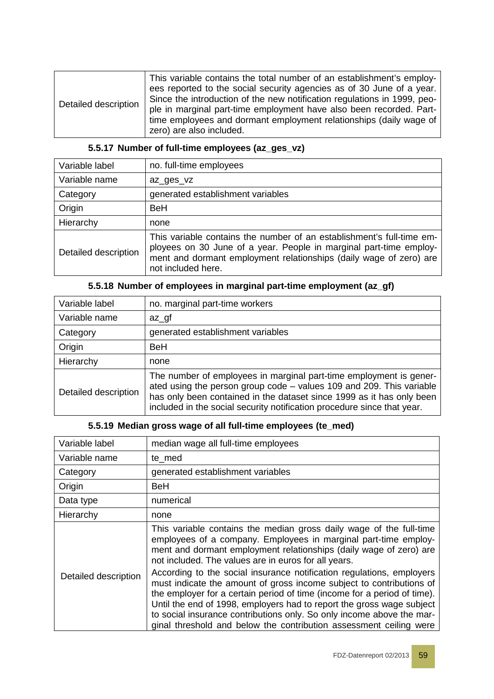| Detailed description | This variable contains the total number of an establishment's employ-<br>ees reported to the social security agencies as of 30 June of a year.<br>Since the introduction of the new notification regulations in 1999, peo-<br>ple in marginal part-time employment have also been recorded. Part-<br>time employees and dormant employment relationships (daily wage of<br>zero) are also included. |
|----------------------|-----------------------------------------------------------------------------------------------------------------------------------------------------------------------------------------------------------------------------------------------------------------------------------------------------------------------------------------------------------------------------------------------------|

| Variable label       | no. full-time employees                                                                                                                                                                                                                 |
|----------------------|-----------------------------------------------------------------------------------------------------------------------------------------------------------------------------------------------------------------------------------------|
| Variable name        | az_ges_vz                                                                                                                                                                                                                               |
| Category             | generated establishment variables                                                                                                                                                                                                       |
| Origin               | <b>BeH</b>                                                                                                                                                                                                                              |
| Hierarchy            | none                                                                                                                                                                                                                                    |
| Detailed description | This variable contains the number of an establishment's full-time em-<br>ployees on 30 June of a year. People in marginal part-time employ-<br>ment and dormant employment relationships (daily wage of zero) are<br>not included here. |

#### **5.5.17 Number of full-time employees (az\_ges\_vz)**

| Variable label       | no. marginal part-time workers                                                                                                                                                                                                                                                                 |
|----------------------|------------------------------------------------------------------------------------------------------------------------------------------------------------------------------------------------------------------------------------------------------------------------------------------------|
| Variable name        | $az_qf$                                                                                                                                                                                                                                                                                        |
| Category             | generated establishment variables                                                                                                                                                                                                                                                              |
| Origin               | <b>BeH</b>                                                                                                                                                                                                                                                                                     |
| Hierarchy            | none                                                                                                                                                                                                                                                                                           |
| Detailed description | The number of employees in marginal part-time employment is gener-<br>ated using the person group code - values 109 and 209. This variable<br>has only been contained in the dataset since 1999 as it has only been<br>included in the social security notification procedure since that year. |

#### **5.5.18 Number of employees in marginal part-time employment (az\_gf)**

#### **5.5.19 Median gross wage of all full-time employees (te\_med)**

| Variable label       | median wage all full-time employees                                                                                                                                                                                                                                                                                                                                                                                                                                                                                                                                        |
|----------------------|----------------------------------------------------------------------------------------------------------------------------------------------------------------------------------------------------------------------------------------------------------------------------------------------------------------------------------------------------------------------------------------------------------------------------------------------------------------------------------------------------------------------------------------------------------------------------|
| Variable name        | te med                                                                                                                                                                                                                                                                                                                                                                                                                                                                                                                                                                     |
| Category             | generated establishment variables                                                                                                                                                                                                                                                                                                                                                                                                                                                                                                                                          |
| Origin               | <b>BeH</b>                                                                                                                                                                                                                                                                                                                                                                                                                                                                                                                                                                 |
| Data type            | numerical                                                                                                                                                                                                                                                                                                                                                                                                                                                                                                                                                                  |
| Hierarchy            | none                                                                                                                                                                                                                                                                                                                                                                                                                                                                                                                                                                       |
| Detailed description | This variable contains the median gross daily wage of the full-time<br>employees of a company. Employees in marginal part-time employ-<br>ment and dormant employment relationships (daily wage of zero) are<br>not included. The values are in euros for all years.<br>According to the social insurance notification regulations, employers<br>must indicate the amount of gross income subject to contributions of<br>the employer for a certain period of time (income for a period of time).<br>Until the end of 1998, employers had to report the gross wage subject |
|                      | to social insurance contributions only. So only income above the mar-<br>ginal threshold and below the contribution assessment ceiling were                                                                                                                                                                                                                                                                                                                                                                                                                                |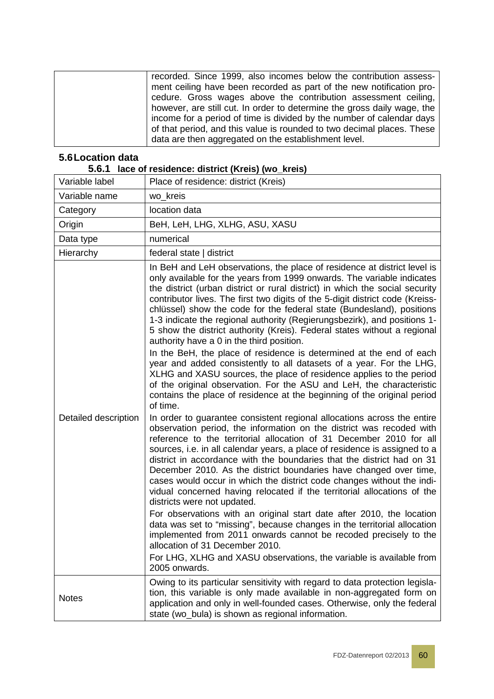| recorded. Since 1999, also incomes below the contribution assess-       |
|-------------------------------------------------------------------------|
| ment ceiling have been recorded as part of the new notification pro-    |
| cedure. Gross wages above the contribution assessment ceiling,          |
| however, are still cut. In order to determine the gross daily wage, the |
| income for a period of time is divided by the number of calendar days   |
| of that period, and this value is rounded to two decimal places. These  |
| data are then aggregated on the establishment level.                    |
|                                                                         |

### **5.6Location data**

<span id="page-59-0"></span>

| 5.6.1                | lace of residence: district (Kreis) (wo_kreis)                                                                                                                                                                                                                                                                                                                                                                                                                                                                                                                                                                                                                                                                                                                                                                                                                                                                                                                                                                                                                                                                                                                                                                                                                                                                                                                                                                                                                                                                                                                                                                                                                                                                                                                                                                                                                                                                                                                                       |
|----------------------|--------------------------------------------------------------------------------------------------------------------------------------------------------------------------------------------------------------------------------------------------------------------------------------------------------------------------------------------------------------------------------------------------------------------------------------------------------------------------------------------------------------------------------------------------------------------------------------------------------------------------------------------------------------------------------------------------------------------------------------------------------------------------------------------------------------------------------------------------------------------------------------------------------------------------------------------------------------------------------------------------------------------------------------------------------------------------------------------------------------------------------------------------------------------------------------------------------------------------------------------------------------------------------------------------------------------------------------------------------------------------------------------------------------------------------------------------------------------------------------------------------------------------------------------------------------------------------------------------------------------------------------------------------------------------------------------------------------------------------------------------------------------------------------------------------------------------------------------------------------------------------------------------------------------------------------------------------------------------------------|
| Variable label       | Place of residence: district (Kreis)                                                                                                                                                                                                                                                                                                                                                                                                                                                                                                                                                                                                                                                                                                                                                                                                                                                                                                                                                                                                                                                                                                                                                                                                                                                                                                                                                                                                                                                                                                                                                                                                                                                                                                                                                                                                                                                                                                                                                 |
| Variable name        | wo_kreis                                                                                                                                                                                                                                                                                                                                                                                                                                                                                                                                                                                                                                                                                                                                                                                                                                                                                                                                                                                                                                                                                                                                                                                                                                                                                                                                                                                                                                                                                                                                                                                                                                                                                                                                                                                                                                                                                                                                                                             |
| Category             | location data                                                                                                                                                                                                                                                                                                                                                                                                                                                                                                                                                                                                                                                                                                                                                                                                                                                                                                                                                                                                                                                                                                                                                                                                                                                                                                                                                                                                                                                                                                                                                                                                                                                                                                                                                                                                                                                                                                                                                                        |
| Origin               | BeH, LeH, LHG, XLHG, ASU, XASU                                                                                                                                                                                                                                                                                                                                                                                                                                                                                                                                                                                                                                                                                                                                                                                                                                                                                                                                                                                                                                                                                                                                                                                                                                                                                                                                                                                                                                                                                                                                                                                                                                                                                                                                                                                                                                                                                                                                                       |
| Data type            | numerical                                                                                                                                                                                                                                                                                                                                                                                                                                                                                                                                                                                                                                                                                                                                                                                                                                                                                                                                                                                                                                                                                                                                                                                                                                                                                                                                                                                                                                                                                                                                                                                                                                                                                                                                                                                                                                                                                                                                                                            |
| Hierarchy            | federal state   district                                                                                                                                                                                                                                                                                                                                                                                                                                                                                                                                                                                                                                                                                                                                                                                                                                                                                                                                                                                                                                                                                                                                                                                                                                                                                                                                                                                                                                                                                                                                                                                                                                                                                                                                                                                                                                                                                                                                                             |
| Detailed description | In BeH and LeH observations, the place of residence at district level is<br>only available for the years from 1999 onwards. The variable indicates<br>the district (urban district or rural district) in which the social security<br>contributor lives. The first two digits of the 5-digit district code (Kreiss-<br>chlüssel) show the code for the federal state (Bundesland), positions<br>1-3 indicate the regional authority (Regierungsbezirk), and positions 1-<br>5 show the district authority (Kreis). Federal states without a regional<br>authority have a 0 in the third position.<br>In the BeH, the place of residence is determined at the end of each<br>year and added consistently to all datasets of a year. For the LHG,<br>XLHG and XASU sources, the place of residence applies to the period<br>of the original observation. For the ASU and LeH, the characteristic<br>contains the place of residence at the beginning of the original period<br>of time.<br>In order to guarantee consistent regional allocations across the entire<br>observation period, the information on the district was recoded with<br>reference to the territorial allocation of 31 December 2010 for all<br>sources, i.e. in all calendar years, a place of residence is assigned to a<br>district in accordance with the boundaries that the district had on 31<br>December 2010. As the district boundaries have changed over time,<br>cases would occur in which the district code changes without the indi-<br>vidual concerned having relocated if the territorial allocations of the<br>districts were not updated.<br>For observations with an original start date after 2010, the location<br>data was set to "missing", because changes in the territorial allocation<br>implemented from 2011 onwards cannot be recoded precisely to the<br>allocation of 31 December 2010.<br>For LHG, XLHG and XASU observations, the variable is available from<br>2005 onwards. |
| <b>Notes</b>         | Owing to its particular sensitivity with regard to data protection legisla-<br>tion, this variable is only made available in non-aggregated form on<br>application and only in well-founded cases. Otherwise, only the federal<br>state (wo_bula) is shown as regional information.                                                                                                                                                                                                                                                                                                                                                                                                                                                                                                                                                                                                                                                                                                                                                                                                                                                                                                                                                                                                                                                                                                                                                                                                                                                                                                                                                                                                                                                                                                                                                                                                                                                                                                  |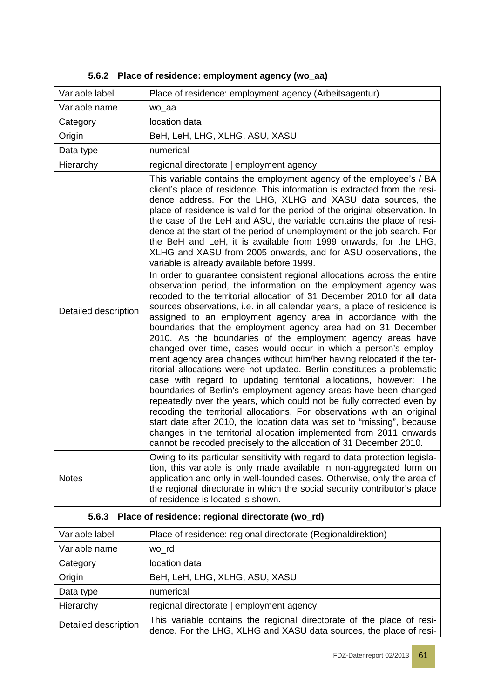| Variable label       | Place of residence: employment agency (Arbeitsagentur)                                                                                                                                                                                                                                                                                                                                                                                                                                                                                                                                                                                                                                                                                                                                                                                                                                                                                                                                                                                                                                                                                                                                                                                                                                                                                                                                                                                                                                                                                                                                                                                                                                                                                                                                                                                                                                   |  |
|----------------------|------------------------------------------------------------------------------------------------------------------------------------------------------------------------------------------------------------------------------------------------------------------------------------------------------------------------------------------------------------------------------------------------------------------------------------------------------------------------------------------------------------------------------------------------------------------------------------------------------------------------------------------------------------------------------------------------------------------------------------------------------------------------------------------------------------------------------------------------------------------------------------------------------------------------------------------------------------------------------------------------------------------------------------------------------------------------------------------------------------------------------------------------------------------------------------------------------------------------------------------------------------------------------------------------------------------------------------------------------------------------------------------------------------------------------------------------------------------------------------------------------------------------------------------------------------------------------------------------------------------------------------------------------------------------------------------------------------------------------------------------------------------------------------------------------------------------------------------------------------------------------------------|--|
| Variable name        | wo_aa                                                                                                                                                                                                                                                                                                                                                                                                                                                                                                                                                                                                                                                                                                                                                                                                                                                                                                                                                                                                                                                                                                                                                                                                                                                                                                                                                                                                                                                                                                                                                                                                                                                                                                                                                                                                                                                                                    |  |
| Category             | location data                                                                                                                                                                                                                                                                                                                                                                                                                                                                                                                                                                                                                                                                                                                                                                                                                                                                                                                                                                                                                                                                                                                                                                                                                                                                                                                                                                                                                                                                                                                                                                                                                                                                                                                                                                                                                                                                            |  |
| Origin               | BeH, LeH, LHG, XLHG, ASU, XASU                                                                                                                                                                                                                                                                                                                                                                                                                                                                                                                                                                                                                                                                                                                                                                                                                                                                                                                                                                                                                                                                                                                                                                                                                                                                                                                                                                                                                                                                                                                                                                                                                                                                                                                                                                                                                                                           |  |
| Data type            | numerical                                                                                                                                                                                                                                                                                                                                                                                                                                                                                                                                                                                                                                                                                                                                                                                                                                                                                                                                                                                                                                                                                                                                                                                                                                                                                                                                                                                                                                                                                                                                                                                                                                                                                                                                                                                                                                                                                |  |
| Hierarchy            | regional directorate   employment agency                                                                                                                                                                                                                                                                                                                                                                                                                                                                                                                                                                                                                                                                                                                                                                                                                                                                                                                                                                                                                                                                                                                                                                                                                                                                                                                                                                                                                                                                                                                                                                                                                                                                                                                                                                                                                                                 |  |
| Detailed description | This variable contains the employment agency of the employee's / BA<br>client's place of residence. This information is extracted from the resi-<br>dence address. For the LHG, XLHG and XASU data sources, the<br>place of residence is valid for the period of the original observation. In<br>the case of the LeH and ASU, the variable contains the place of resi-<br>dence at the start of the period of unemployment or the job search. For<br>the BeH and LeH, it is available from 1999 onwards, for the LHG,<br>XLHG and XASU from 2005 onwards, and for ASU observations, the<br>variable is already available before 1999.<br>In order to guarantee consistent regional allocations across the entire<br>observation period, the information on the employment agency was<br>recoded to the territorial allocation of 31 December 2010 for all data<br>sources observations, i.e. in all calendar years, a place of residence is<br>assigned to an employment agency area in accordance with the<br>boundaries that the employment agency area had on 31 December<br>2010. As the boundaries of the employment agency areas have<br>changed over time, cases would occur in which a person's employ-<br>ment agency area changes without him/her having relocated if the ter-<br>ritorial allocations were not updated. Berlin constitutes a problematic<br>case with regard to updating territorial allocations, however: The<br>boundaries of Berlin's employment agency areas have been changed<br>repeatedly over the years, which could not be fully corrected even by<br>recoding the territorial allocations. For observations with an original<br>start date after 2010, the location data was set to "missing", because<br>changes in the territorial allocation implemented from 2011 onwards<br>cannot be recoded precisely to the allocation of 31 December 2010. |  |
| <b>Notes</b>         | Owing to its particular sensitivity with regard to data protection legisla-<br>tion, this variable is only made available in non-aggregated form on<br>application and only in well-founded cases. Otherwise, only the area of<br>the regional directorate in which the social security contributor's place<br>of residence is located is shown.                                                                                                                                                                                                                                                                                                                                                                                                                                                                                                                                                                                                                                                                                                                                                                                                                                                                                                                                                                                                                                                                                                                                                                                                                                                                                                                                                                                                                                                                                                                                         |  |

|  |  |  | 5.6.2 Place of residence: employment agency (wo_aa) |  |  |  |
|--|--|--|-----------------------------------------------------|--|--|--|
|--|--|--|-----------------------------------------------------|--|--|--|

| Variable label       | Place of residence: regional directorate (Regionaldirektion)                                                                                |  |
|----------------------|---------------------------------------------------------------------------------------------------------------------------------------------|--|
| Variable name        | wo rd                                                                                                                                       |  |
| Category             | location data                                                                                                                               |  |
| Origin               | BeH, LeH, LHG, XLHG, ASU, XASU                                                                                                              |  |
| Data type            | numerical                                                                                                                                   |  |
| Hierarchy            | regional directorate   employment agency                                                                                                    |  |
| Detailed description | This variable contains the regional directorate of the place of resi-<br>dence. For the LHG, XLHG and XASU data sources, the place of resi- |  |

# **5.6.3 Place of residence: regional directorate (wo\_rd)**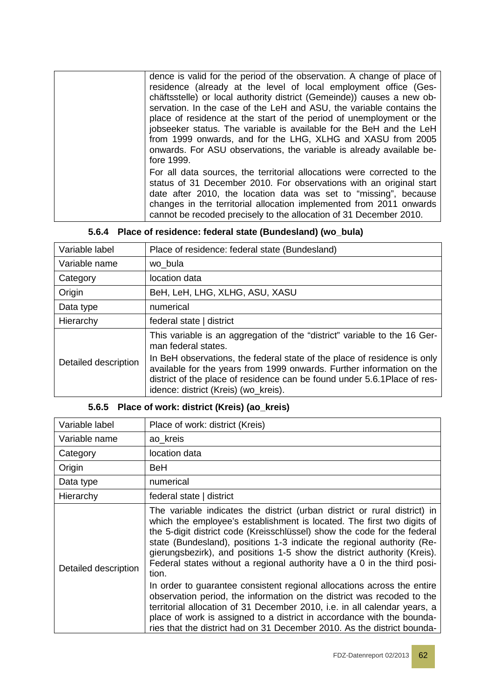| dence is valid for the period of the observation. A change of place of<br>residence (already at the level of local employment office (Ges-<br>chäftsstelle) or local authority district (Gemeinde)) causes a new ob-<br>servation. In the case of the LeH and ASU, the variable contains the<br>place of residence at the start of the period of unemployment or the<br>jobseeker status. The variable is available for the BeH and the LeH<br>from 1999 onwards, and for the LHG, XLHG and XASU from 2005<br>onwards. For ASU observations, the variable is already available be-<br>fore 1999. |
|--------------------------------------------------------------------------------------------------------------------------------------------------------------------------------------------------------------------------------------------------------------------------------------------------------------------------------------------------------------------------------------------------------------------------------------------------------------------------------------------------------------------------------------------------------------------------------------------------|
| For all data sources, the territorial allocations were corrected to the<br>status of 31 December 2010. For observations with an original start<br>date after 2010, the location data was set to "missing", because<br>changes in the territorial allocation implemented from 2011 onwards<br>cannot be recoded precisely to the allocation of 31 December 2010.                                                                                                                                                                                                                                  |

|  | 5.6.4 Place of residence: federal state (Bundesland) (wo_bula) |  |  |  |
|--|----------------------------------------------------------------|--|--|--|
|--|----------------------------------------------------------------|--|--|--|

| Variable label       | Place of residence: federal state (Bundesland)                                                                                                                                                                                                                         |
|----------------------|------------------------------------------------------------------------------------------------------------------------------------------------------------------------------------------------------------------------------------------------------------------------|
| Variable name        | wo bula                                                                                                                                                                                                                                                                |
| Category             | location data                                                                                                                                                                                                                                                          |
| Origin               | BeH, LeH, LHG, XLHG, ASU, XASU                                                                                                                                                                                                                                         |
| Data type            | numerical                                                                                                                                                                                                                                                              |
| Hierarchy            | federal state   district                                                                                                                                                                                                                                               |
|                      | This variable is an aggregation of the "district" variable to the 16 Ger-<br>man federal states.                                                                                                                                                                       |
| Detailed description | In BeH observations, the federal state of the place of residence is only<br>available for the years from 1999 onwards. Further information on the<br>district of the place of residence can be found under 5.6.1 Place of res-<br>idence: district (Kreis) (wo_kreis). |

### **5.6.5 Place of work: district (Kreis) (ao\_kreis)**

| Variable label       | Place of work: district (Kreis)                                                                                                                                                                                                                                                                                                                                                                                                                                          |
|----------------------|--------------------------------------------------------------------------------------------------------------------------------------------------------------------------------------------------------------------------------------------------------------------------------------------------------------------------------------------------------------------------------------------------------------------------------------------------------------------------|
| Variable name        | ao kreis                                                                                                                                                                                                                                                                                                                                                                                                                                                                 |
| Category             | location data                                                                                                                                                                                                                                                                                                                                                                                                                                                            |
| Origin               | <b>BeH</b>                                                                                                                                                                                                                                                                                                                                                                                                                                                               |
| Data type            | numerical                                                                                                                                                                                                                                                                                                                                                                                                                                                                |
| Hierarchy            | federal state   district                                                                                                                                                                                                                                                                                                                                                                                                                                                 |
| Detailed description | The variable indicates the district (urban district or rural district) in<br>which the employee's establishment is located. The first two digits of<br>the 5-digit district code (Kreisschlüssel) show the code for the federal<br>state (Bundesland), positions 1-3 indicate the regional authority (Re-<br>gierungsbezirk), and positions 1-5 show the district authority (Kreis).<br>Federal states without a regional authority have a 0 in the third posi-<br>tion. |
|                      | In order to guarantee consistent regional allocations across the entire<br>observation period, the information on the district was recoded to the<br>territorial allocation of 31 December 2010, i.e. in all calendar years, a<br>place of work is assigned to a district in accordance with the bounda-<br>ries that the district had on 31 December 2010. As the district bounda-                                                                                      |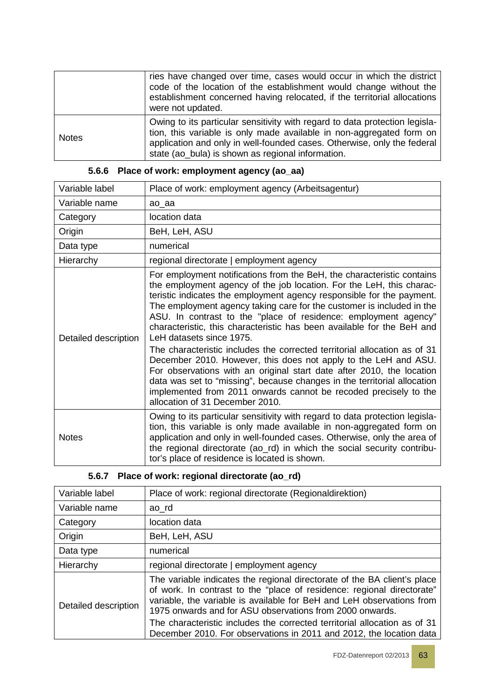|              | ries have changed over time, cases would occur in which the district<br>code of the location of the establishment would change without the<br>establishment concerned having relocated, if the territorial allocations<br>were not updated.                                         |
|--------------|-------------------------------------------------------------------------------------------------------------------------------------------------------------------------------------------------------------------------------------------------------------------------------------|
| <b>Notes</b> | Owing to its particular sensitivity with regard to data protection legisla-<br>tion, this variable is only made available in non-aggregated form on<br>application and only in well-founded cases. Otherwise, only the federal<br>state (ao_bula) is shown as regional information. |

| Variable label       | Place of work: employment agency (Arbeitsagentur)                                                                                                                                                                                                                                                                                                                                                                                                                                                                                                                                                                                                                                                                                                                                                                                                                                     |
|----------------------|---------------------------------------------------------------------------------------------------------------------------------------------------------------------------------------------------------------------------------------------------------------------------------------------------------------------------------------------------------------------------------------------------------------------------------------------------------------------------------------------------------------------------------------------------------------------------------------------------------------------------------------------------------------------------------------------------------------------------------------------------------------------------------------------------------------------------------------------------------------------------------------|
| Variable name        | ao_aa                                                                                                                                                                                                                                                                                                                                                                                                                                                                                                                                                                                                                                                                                                                                                                                                                                                                                 |
| Category             | location data                                                                                                                                                                                                                                                                                                                                                                                                                                                                                                                                                                                                                                                                                                                                                                                                                                                                         |
| Origin               | BeH, LeH, ASU                                                                                                                                                                                                                                                                                                                                                                                                                                                                                                                                                                                                                                                                                                                                                                                                                                                                         |
| Data type            | numerical                                                                                                                                                                                                                                                                                                                                                                                                                                                                                                                                                                                                                                                                                                                                                                                                                                                                             |
| Hierarchy            | regional directorate   employment agency                                                                                                                                                                                                                                                                                                                                                                                                                                                                                                                                                                                                                                                                                                                                                                                                                                              |
| Detailed description | For employment notifications from the BeH, the characteristic contains<br>the employment agency of the job location. For the LeH, this charac-<br>teristic indicates the employment agency responsible for the payment.<br>The employment agency taking care for the customer is included in the<br>ASU. In contrast to the "place of residence: employment agency"<br>characteristic, this characteristic has been available for the BeH and<br>LeH datasets since 1975.<br>The characteristic includes the corrected territorial allocation as of 31<br>December 2010. However, this does not apply to the LeH and ASU.<br>For observations with an original start date after 2010, the location<br>data was set to "missing", because changes in the territorial allocation<br>implemented from 2011 onwards cannot be recoded precisely to the<br>allocation of 31 December 2010. |
| <b>Notes</b>         | Owing to its particular sensitivity with regard to data protection legisla-<br>tion, this variable is only made available in non-aggregated form on<br>application and only in well-founded cases. Otherwise, only the area of<br>the regional directorate (ao_rd) in which the social security contribu-<br>tor's place of residence is located is shown.                                                                                                                                                                                                                                                                                                                                                                                                                                                                                                                            |

#### **5.6.6 Place of work: employment agency (ao\_aa)**

### **5.6.7 Place of work: regional directorate (ao\_rd)**

| Variable label       | Place of work: regional directorate (Regionaldirektion)                                                                                                                                                                                                                                                                                                                                                                                     |
|----------------------|---------------------------------------------------------------------------------------------------------------------------------------------------------------------------------------------------------------------------------------------------------------------------------------------------------------------------------------------------------------------------------------------------------------------------------------------|
| Variable name        | ao rd                                                                                                                                                                                                                                                                                                                                                                                                                                       |
| Category             | location data                                                                                                                                                                                                                                                                                                                                                                                                                               |
| Origin               | BeH, LeH, ASU                                                                                                                                                                                                                                                                                                                                                                                                                               |
| Data type            | numerical                                                                                                                                                                                                                                                                                                                                                                                                                                   |
| Hierarchy            | regional directorate   employment agency                                                                                                                                                                                                                                                                                                                                                                                                    |
| Detailed description | The variable indicates the regional directorate of the BA client's place<br>of work. In contrast to the "place of residence: regional directorate"<br>variable, the variable is available for BeH and LeH observations from<br>1975 onwards and for ASU observations from 2000 onwards.<br>The characteristic includes the corrected territorial allocation as of 31<br>December 2010. For observations in 2011 and 2012, the location data |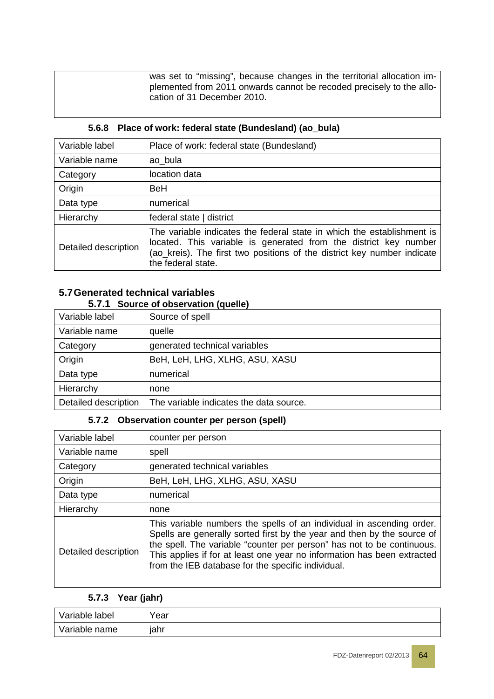| was set to "missing", because changes in the territorial allocation im- |
|-------------------------------------------------------------------------|
| plemented from 2011 onwards cannot be recoded precisely to the allo-    |
| cation of 31 December 2010.                                             |
|                                                                         |

| Variable label       | Place of work: federal state (Bundesland)                                                                                                                                                                             |
|----------------------|-----------------------------------------------------------------------------------------------------------------------------------------------------------------------------------------------------------------------|
| Variable name        | ao bula                                                                                                                                                                                                               |
| Category             | location data                                                                                                                                                                                                         |
| Origin               | BeH                                                                                                                                                                                                                   |
| Data type            | numerical                                                                                                                                                                                                             |
| Hierarchy            | federal state   district                                                                                                                                                                                              |
| Detailed description | The variable indicates the federal state in which the establishment is<br>located. This variable is generated from the district key number<br>(ao_kreis). The first two positions of the district key number indicate |

#### **5.6.8 Place of work: federal state (Bundesland) (ao\_bula)**

#### **5.7Generated technical variables 5.7.1 Source of observation (quelle)**

| Variable label       | Source of spell                         |
|----------------------|-----------------------------------------|
| Variable name        | quelle                                  |
| Category             | generated technical variables           |
| Origin               | BeH, LeH, LHG, XLHG, ASU, XASU          |
| Data type            | numerical                               |
| Hierarchy            | none                                    |
| Detailed description | The variable indicates the data source. |

#### **5.7.2 Observation counter per person (spell)**

the federal state.

| Variable label       | counter per person                                                                                                                                                                                                                                                                                                                                          |
|----------------------|-------------------------------------------------------------------------------------------------------------------------------------------------------------------------------------------------------------------------------------------------------------------------------------------------------------------------------------------------------------|
| Variable name        | spell                                                                                                                                                                                                                                                                                                                                                       |
| Category             | generated technical variables                                                                                                                                                                                                                                                                                                                               |
| Origin               | BeH, LeH, LHG, XLHG, ASU, XASU                                                                                                                                                                                                                                                                                                                              |
| Data type            | numerical                                                                                                                                                                                                                                                                                                                                                   |
| Hierarchy            | none                                                                                                                                                                                                                                                                                                                                                        |
| Detailed description | This variable numbers the spells of an individual in ascending order.<br>Spells are generally sorted first by the year and then by the source of<br>the spell. The variable "counter per person" has not to be continuous.<br>This applies if for at least one year no information has been extracted<br>from the IEB database for the specific individual. |

#### **5.7.3 Year (jahr)**

| Variable label | V <sub>ear</sub> |
|----------------|------------------|
| Variable name  | jahr             |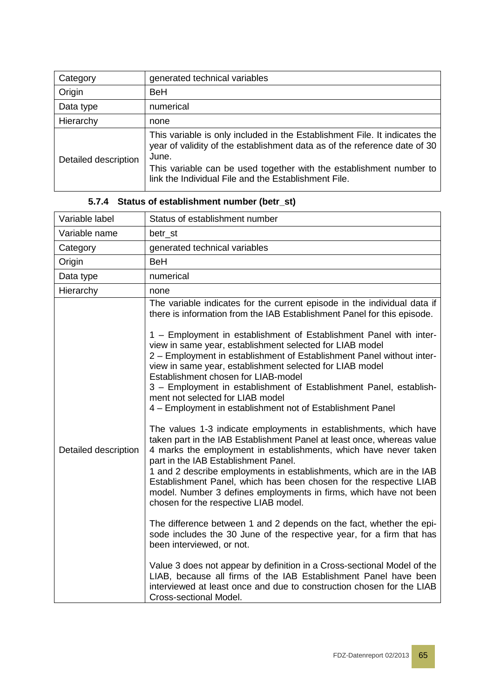| Category             | generated technical variables                                                                                                                                                                                                                                                                   |
|----------------------|-------------------------------------------------------------------------------------------------------------------------------------------------------------------------------------------------------------------------------------------------------------------------------------------------|
| Origin               | <b>BeH</b>                                                                                                                                                                                                                                                                                      |
| Data type            | numerical                                                                                                                                                                                                                                                                                       |
| Hierarchy            | none                                                                                                                                                                                                                                                                                            |
| Detailed description | This variable is only included in the Establishment File. It indicates the<br>year of validity of the establishment data as of the reference date of 30<br>June.<br>This variable can be used together with the establishment number to<br>link the Individual File and the Establishment File. |

| Variable label       | Status of establishment number                                                                                                                                                                                                                                                                                                                                                                                                                                                                                                                                                                                                                                                                                                                                                                                                                                                                                                                                                                                                                                                                                                                                                                                                                                                                                                                                                                                                                                                                                                                                                                   |
|----------------------|--------------------------------------------------------------------------------------------------------------------------------------------------------------------------------------------------------------------------------------------------------------------------------------------------------------------------------------------------------------------------------------------------------------------------------------------------------------------------------------------------------------------------------------------------------------------------------------------------------------------------------------------------------------------------------------------------------------------------------------------------------------------------------------------------------------------------------------------------------------------------------------------------------------------------------------------------------------------------------------------------------------------------------------------------------------------------------------------------------------------------------------------------------------------------------------------------------------------------------------------------------------------------------------------------------------------------------------------------------------------------------------------------------------------------------------------------------------------------------------------------------------------------------------------------------------------------------------------------|
| Variable name        | betr_st                                                                                                                                                                                                                                                                                                                                                                                                                                                                                                                                                                                                                                                                                                                                                                                                                                                                                                                                                                                                                                                                                                                                                                                                                                                                                                                                                                                                                                                                                                                                                                                          |
| Category             | generated technical variables                                                                                                                                                                                                                                                                                                                                                                                                                                                                                                                                                                                                                                                                                                                                                                                                                                                                                                                                                                                                                                                                                                                                                                                                                                                                                                                                                                                                                                                                                                                                                                    |
| Origin               | <b>BeH</b>                                                                                                                                                                                                                                                                                                                                                                                                                                                                                                                                                                                                                                                                                                                                                                                                                                                                                                                                                                                                                                                                                                                                                                                                                                                                                                                                                                                                                                                                                                                                                                                       |
| Data type            | numerical                                                                                                                                                                                                                                                                                                                                                                                                                                                                                                                                                                                                                                                                                                                                                                                                                                                                                                                                                                                                                                                                                                                                                                                                                                                                                                                                                                                                                                                                                                                                                                                        |
| Hierarchy            | none                                                                                                                                                                                                                                                                                                                                                                                                                                                                                                                                                                                                                                                                                                                                                                                                                                                                                                                                                                                                                                                                                                                                                                                                                                                                                                                                                                                                                                                                                                                                                                                             |
| Detailed description | The variable indicates for the current episode in the individual data if<br>there is information from the IAB Establishment Panel for this episode.<br>1 - Employment in establishment of Establishment Panel with inter-<br>view in same year, establishment selected for LIAB model<br>2 - Employment in establishment of Establishment Panel without inter-<br>view in same year, establishment selected for LIAB model<br>Establishment chosen for LIAB-model<br>3 - Employment in establishment of Establishment Panel, establish-<br>ment not selected for LIAB model<br>4 - Employment in establishment not of Establishment Panel<br>The values 1-3 indicate employments in establishments, which have<br>taken part in the IAB Establishment Panel at least once, whereas value<br>4 marks the employment in establishments, which have never taken<br>part in the IAB Establishment Panel.<br>1 and 2 describe employments in establishments, which are in the IAB<br>Establishment Panel, which has been chosen for the respective LIAB<br>model. Number 3 defines employments in firms, which have not been<br>chosen for the respective LIAB model.<br>The difference between 1 and 2 depends on the fact, whether the epi-<br>sode includes the 30 June of the respective year, for a firm that has<br>been interviewed, or not.<br>Value 3 does not appear by definition in a Cross-sectional Model of the<br>LIAB, because all firms of the IAB Establishment Panel have been<br>interviewed at least once and due to construction chosen for the LIAB<br>Cross-sectional Model. |

# **5.7.4 Status of establishment number (betr\_st)**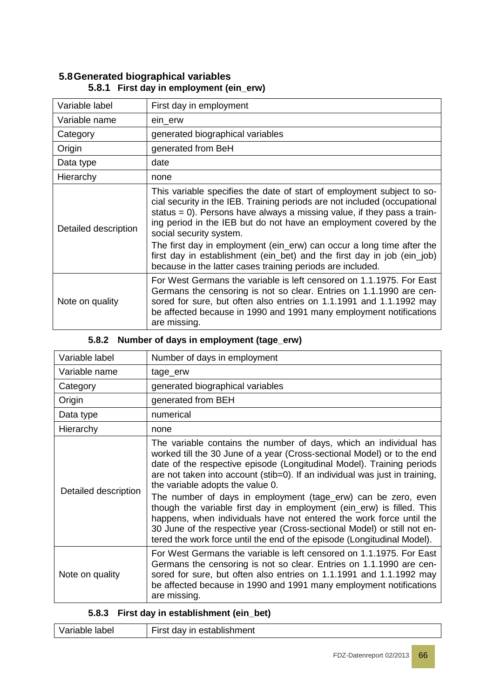| Variable label       | First day in employment                                                                                                                                                                                                                                                                                                                                                                                                                                                                                                                              |
|----------------------|------------------------------------------------------------------------------------------------------------------------------------------------------------------------------------------------------------------------------------------------------------------------------------------------------------------------------------------------------------------------------------------------------------------------------------------------------------------------------------------------------------------------------------------------------|
| Variable name        | ein_erw                                                                                                                                                                                                                                                                                                                                                                                                                                                                                                                                              |
| Category             | generated biographical variables                                                                                                                                                                                                                                                                                                                                                                                                                                                                                                                     |
| Origin               | generated from BeH                                                                                                                                                                                                                                                                                                                                                                                                                                                                                                                                   |
| Data type            | date                                                                                                                                                                                                                                                                                                                                                                                                                                                                                                                                                 |
| Hierarchy            | none                                                                                                                                                                                                                                                                                                                                                                                                                                                                                                                                                 |
| Detailed description | This variable specifies the date of start of employment subject to so-<br>cial security in the IEB. Training periods are not included (occupational<br>status = $0$ ). Persons have always a missing value, if they pass a train-<br>ing period in the IEB but do not have an employment covered by the<br>social security system.<br>The first day in employment (ein_erw) can occur a long time after the<br>first day in establishment (ein_bet) and the first day in job (ein_job)<br>because in the latter cases training periods are included. |
| Note on quality      | For West Germans the variable is left censored on 1.1.1975. For East<br>Germans the censoring is not so clear. Entries on 1.1.1990 are cen-<br>sored for sure, but often also entries on 1.1.1991 and 1.1.1992 may<br>be affected because in 1990 and 1991 many employment notifications<br>are missing.                                                                                                                                                                                                                                             |

#### **5.8Generated biographical variables 5.8.1 First day in employment (ein\_erw)**

#### **5.8.2 Number of days in employment (tage\_erw)**

| Variable label       | Number of days in employment                                                                                                                                                                                                                                                                                                                                                                                                                                                                                                                                                                                                                                                                                    |
|----------------------|-----------------------------------------------------------------------------------------------------------------------------------------------------------------------------------------------------------------------------------------------------------------------------------------------------------------------------------------------------------------------------------------------------------------------------------------------------------------------------------------------------------------------------------------------------------------------------------------------------------------------------------------------------------------------------------------------------------------|
| Variable name        | tage_erw                                                                                                                                                                                                                                                                                                                                                                                                                                                                                                                                                                                                                                                                                                        |
| Category             | generated biographical variables                                                                                                                                                                                                                                                                                                                                                                                                                                                                                                                                                                                                                                                                                |
| Origin               | generated from BEH                                                                                                                                                                                                                                                                                                                                                                                                                                                                                                                                                                                                                                                                                              |
| Data type            | numerical                                                                                                                                                                                                                                                                                                                                                                                                                                                                                                                                                                                                                                                                                                       |
| Hierarchy            | none                                                                                                                                                                                                                                                                                                                                                                                                                                                                                                                                                                                                                                                                                                            |
| Detailed description | The variable contains the number of days, which an individual has<br>worked till the 30 June of a year (Cross-sectional Model) or to the end<br>date of the respective episode (Longitudinal Model). Training periods<br>are not taken into account (stib=0). If an individual was just in training,<br>the variable adopts the value 0.<br>The number of days in employment (tage_erw) can be zero, even<br>though the variable first day in employment (ein_erw) is filled. This<br>happens, when individuals have not entered the work force until the<br>30 June of the respective year (Cross-sectional Model) or still not en-<br>tered the work force until the end of the episode (Longitudinal Model). |
| Note on quality      | For West Germans the variable is left censored on 1.1.1975. For East<br>Germans the censoring is not so clear. Entries on 1.1.1990 are cen-<br>sored for sure, but often also entries on 1.1.1991 and 1.1.1992 may<br>be affected because in 1990 and 1991 many employment notifications<br>are missing.                                                                                                                                                                                                                                                                                                                                                                                                        |

#### **5.8.3 First day in establishment (ein\_bet)**

| First day in establishment<br>Variable label |
|----------------------------------------------|
|----------------------------------------------|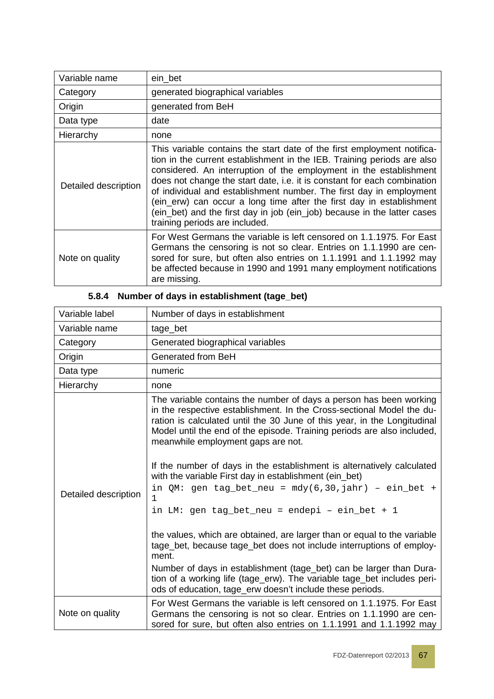| Variable name        | ein bet                                                                                                                                                                                                                                                                                                                                                                                                                                                                                                                                                           |
|----------------------|-------------------------------------------------------------------------------------------------------------------------------------------------------------------------------------------------------------------------------------------------------------------------------------------------------------------------------------------------------------------------------------------------------------------------------------------------------------------------------------------------------------------------------------------------------------------|
| Category             | generated biographical variables                                                                                                                                                                                                                                                                                                                                                                                                                                                                                                                                  |
| Origin               | generated from BeH                                                                                                                                                                                                                                                                                                                                                                                                                                                                                                                                                |
| Data type            | date                                                                                                                                                                                                                                                                                                                                                                                                                                                                                                                                                              |
| Hierarchy            | none                                                                                                                                                                                                                                                                                                                                                                                                                                                                                                                                                              |
| Detailed description | This variable contains the start date of the first employment notifica-<br>tion in the current establishment in the IEB. Training periods are also<br>considered. An interruption of the employment in the establishment<br>does not change the start date, i.e. it is constant for each combination<br>of individual and establishment number. The first day in employment<br>(ein_erw) can occur a long time after the first day in establishment<br>(ein_bet) and the first day in job (ein_job) because in the latter cases<br>training periods are included. |
| Note on quality      | For West Germans the variable is left censored on 1.1.1975. For East<br>Germans the censoring is not so clear. Entries on 1.1.1990 are cen-<br>sored for sure, but often also entries on 1.1.1991 and 1.1.1992 may<br>be affected because in 1990 and 1991 many employment notifications<br>are missing.                                                                                                                                                                                                                                                          |

| Variable label       | Number of days in establishment                                                                                                                                                                                                                                                                                                                                                                                                                                                                                                                                                                                                                                                                                                                                                                                                                                                                                                                                                    |
|----------------------|------------------------------------------------------------------------------------------------------------------------------------------------------------------------------------------------------------------------------------------------------------------------------------------------------------------------------------------------------------------------------------------------------------------------------------------------------------------------------------------------------------------------------------------------------------------------------------------------------------------------------------------------------------------------------------------------------------------------------------------------------------------------------------------------------------------------------------------------------------------------------------------------------------------------------------------------------------------------------------|
| Variable name        | tage_bet                                                                                                                                                                                                                                                                                                                                                                                                                                                                                                                                                                                                                                                                                                                                                                                                                                                                                                                                                                           |
| Category             | Generated biographical variables                                                                                                                                                                                                                                                                                                                                                                                                                                                                                                                                                                                                                                                                                                                                                                                                                                                                                                                                                   |
| Origin               | Generated from BeH                                                                                                                                                                                                                                                                                                                                                                                                                                                                                                                                                                                                                                                                                                                                                                                                                                                                                                                                                                 |
| Data type            | numeric                                                                                                                                                                                                                                                                                                                                                                                                                                                                                                                                                                                                                                                                                                                                                                                                                                                                                                                                                                            |
| Hierarchy            | none                                                                                                                                                                                                                                                                                                                                                                                                                                                                                                                                                                                                                                                                                                                                                                                                                                                                                                                                                                               |
| Detailed description | The variable contains the number of days a person has been working<br>in the respective establishment. In the Cross-sectional Model the du-<br>ration is calculated until the 30 June of this year, in the Longitudinal<br>Model until the end of the episode. Training periods are also included,<br>meanwhile employment gaps are not.<br>If the number of days in the establishment is alternatively calculated<br>with the variable First day in establishment (ein_bet)<br>in QM: gen tag_bet_neu = $mdy(6,30,jahr)$ - ein_bet +<br>$\mathbf{1}$<br>in LM: gen tag_bet_neu = endepi - ein_bet + 1<br>the values, which are obtained, are larger than or equal to the variable<br>tage_bet, because tage_bet does not include interruptions of employ-<br>ment.<br>Number of days in establishment (tage_bet) can be larger than Dura-<br>tion of a working life (tage_erw). The variable tage_bet includes peri-<br>ods of education, tage_erw doesn't include these periods. |
| Note on quality      | For West Germans the variable is left censored on 1.1.1975. For East<br>Germans the censoring is not so clear. Entries on 1.1.1990 are cen-<br>sored for sure, but often also entries on 1.1.1991 and 1.1.1992 may                                                                                                                                                                                                                                                                                                                                                                                                                                                                                                                                                                                                                                                                                                                                                                 |

### **5.8.4 Number of days in establishment (tage\_bet)**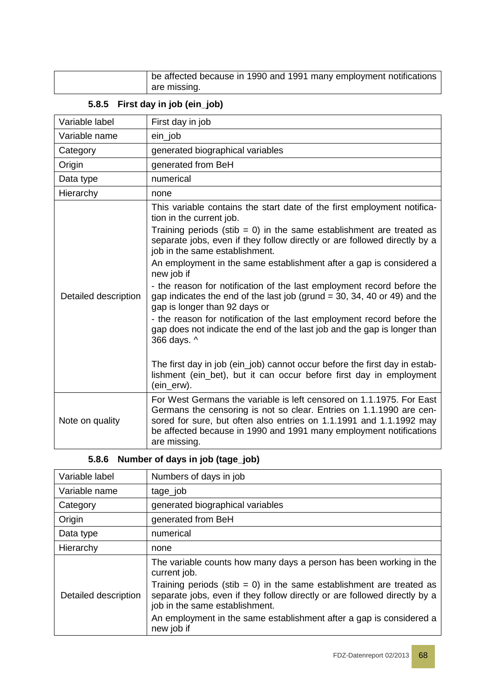| be affected because in 1990 and 1991 many employment notifications |
|--------------------------------------------------------------------|
| are missing.                                                       |

#### **5.8.5 First day in job (ein\_job)**

| Variable label       | First day in job                                                                                                                                                                                                                                                                                                                                                                                                                                                                                                                                                                                                                                                                                                                                                                                                                                                                                                 |
|----------------------|------------------------------------------------------------------------------------------------------------------------------------------------------------------------------------------------------------------------------------------------------------------------------------------------------------------------------------------------------------------------------------------------------------------------------------------------------------------------------------------------------------------------------------------------------------------------------------------------------------------------------------------------------------------------------------------------------------------------------------------------------------------------------------------------------------------------------------------------------------------------------------------------------------------|
| Variable name        | ein_job                                                                                                                                                                                                                                                                                                                                                                                                                                                                                                                                                                                                                                                                                                                                                                                                                                                                                                          |
| Category             | generated biographical variables                                                                                                                                                                                                                                                                                                                                                                                                                                                                                                                                                                                                                                                                                                                                                                                                                                                                                 |
| Origin               | generated from BeH                                                                                                                                                                                                                                                                                                                                                                                                                                                                                                                                                                                                                                                                                                                                                                                                                                                                                               |
| Data type            | numerical                                                                                                                                                                                                                                                                                                                                                                                                                                                                                                                                                                                                                                                                                                                                                                                                                                                                                                        |
| Hierarchy            | none                                                                                                                                                                                                                                                                                                                                                                                                                                                                                                                                                                                                                                                                                                                                                                                                                                                                                                             |
| Detailed description | This variable contains the start date of the first employment notifica-<br>tion in the current job.<br>Training periods (stib = 0) in the same establishment are treated as<br>separate jobs, even if they follow directly or are followed directly by a<br>job in the same establishment.<br>An employment in the same establishment after a gap is considered a<br>new job if<br>- the reason for notification of the last employment record before the<br>gap indicates the end of the last job (grund $=$ 30, 34, 40 or 49) and the<br>gap is longer than 92 days or<br>- the reason for notification of the last employment record before the<br>gap does not indicate the end of the last job and the gap is longer than<br>366 days. ^<br>The first day in job (ein_job) cannot occur before the first day in estab-<br>lishment (ein_bet), but it can occur before first day in employment<br>(ein_erw). |
| Note on quality      | For West Germans the variable is left censored on 1.1.1975. For East<br>Germans the censoring is not so clear. Entries on 1.1.1990 are cen-<br>sored for sure, but often also entries on 1.1.1991 and 1.1.1992 may<br>be affected because in 1990 and 1991 many employment notifications<br>are missing.                                                                                                                                                                                                                                                                                                                                                                                                                                                                                                                                                                                                         |

# **5.8.6 Number of days in job (tage\_job)**

| Variable label       | Numbers of days in job                                                                                                                                                              |
|----------------------|-------------------------------------------------------------------------------------------------------------------------------------------------------------------------------------|
| Variable name        | tage_job                                                                                                                                                                            |
| Category             | generated biographical variables                                                                                                                                                    |
| Origin               | generated from BeH                                                                                                                                                                  |
| Data type            | numerical                                                                                                                                                                           |
| Hierarchy            | none                                                                                                                                                                                |
| Detailed description | The variable counts how many days a person has been working in the<br>current job.                                                                                                  |
|                      | Training periods (stib = 0) in the same establishment are treated as<br>separate jobs, even if they follow directly or are followed directly by a<br>job in the same establishment. |
|                      | An employment in the same establishment after a gap is considered a<br>new job if                                                                                                   |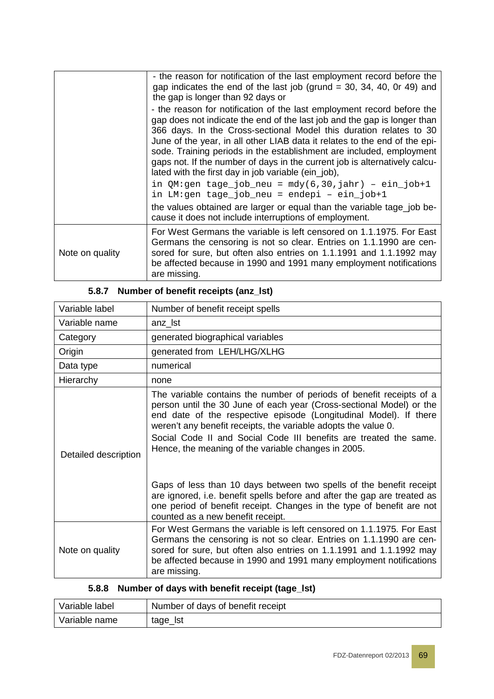|                 | - the reason for notification of the last employment record before the<br>gap indicates the end of the last job (grund $=$ 30, 34, 40, 0r 49) and<br>the gap is longer than 92 days or                                                                                                                                                                                                                                                                                                                              |
|-----------------|---------------------------------------------------------------------------------------------------------------------------------------------------------------------------------------------------------------------------------------------------------------------------------------------------------------------------------------------------------------------------------------------------------------------------------------------------------------------------------------------------------------------|
|                 | - the reason for notification of the last employment record before the<br>gap does not indicate the end of the last job and the gap is longer than<br>366 days. In the Cross-sectional Model this duration relates to 30<br>June of the year, in all other LIAB data it relates to the end of the epi-<br>sode. Training periods in the establishment are included, employment<br>gaps not. If the number of days in the current job is alternatively calcu-<br>lated with the first day in job variable (ein_job), |
|                 | in $QM:gen \, tage_job_new = mdy(6,30, jahr) - ein_job+1$<br>in LM:gen tage_job_neu = endepi - ein_job+1                                                                                                                                                                                                                                                                                                                                                                                                            |
|                 | the values obtained are larger or equal than the variable tage_job be-<br>cause it does not include interruptions of employment.                                                                                                                                                                                                                                                                                                                                                                                    |
| Note on quality | For West Germans the variable is left censored on 1.1.1975. For East<br>Germans the censoring is not so clear. Entries on 1.1.1990 are cen-<br>sored for sure, but often also entries on 1.1.1991 and 1.1.1992 may<br>be affected because in 1990 and 1991 many employment notifications<br>are missing.                                                                                                                                                                                                            |

| Variable label       | Number of benefit receipt spells                                                                                                                                                                                                                                                                                                                                                                                                                                                                                                                                                                                                                                                 |
|----------------------|----------------------------------------------------------------------------------------------------------------------------------------------------------------------------------------------------------------------------------------------------------------------------------------------------------------------------------------------------------------------------------------------------------------------------------------------------------------------------------------------------------------------------------------------------------------------------------------------------------------------------------------------------------------------------------|
| Variable name        | anz_lst                                                                                                                                                                                                                                                                                                                                                                                                                                                                                                                                                                                                                                                                          |
| Category             | generated biographical variables                                                                                                                                                                                                                                                                                                                                                                                                                                                                                                                                                                                                                                                 |
| Origin               | generated from LEH/LHG/XLHG                                                                                                                                                                                                                                                                                                                                                                                                                                                                                                                                                                                                                                                      |
| Data type            | numerical                                                                                                                                                                                                                                                                                                                                                                                                                                                                                                                                                                                                                                                                        |
| Hierarchy            | none                                                                                                                                                                                                                                                                                                                                                                                                                                                                                                                                                                                                                                                                             |
| Detailed description | The variable contains the number of periods of benefit receipts of a<br>person until the 30 June of each year (Cross-sectional Model) or the<br>end date of the respective episode (Longitudinal Model). If there<br>weren't any benefit receipts, the variable adopts the value 0.<br>Social Code II and Social Code III benefits are treated the same.<br>Hence, the meaning of the variable changes in 2005.<br>Gaps of less than 10 days between two spells of the benefit receipt<br>are ignored, i.e. benefit spells before and after the gap are treated as<br>one period of benefit receipt. Changes in the type of benefit are not<br>counted as a new benefit receipt. |
| Note on quality      | For West Germans the variable is left censored on 1.1.1975. For East<br>Germans the censoring is not so clear. Entries on 1.1.1990 are cen-<br>sored for sure, but often also entries on 1.1.1991 and 1.1.1992 may<br>be affected because in 1990 and 1991 many employment notifications<br>are missing.                                                                                                                                                                                                                                                                                                                                                                         |

### **5.8.7 Number of benefit receipts (anz\_lst)**

### **5.8.8 Number of days with benefit receipt (tage\_lst)**

| Variable label | Number of days of benefit receipt |
|----------------|-----------------------------------|
| Variable name  | tage_lst                          |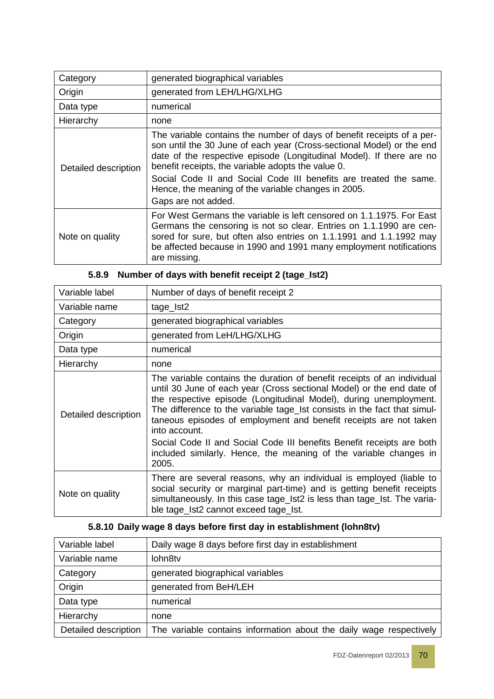| Category             | generated biographical variables                                                                                                                                                                                                                                                                                                                                                                                                 |
|----------------------|----------------------------------------------------------------------------------------------------------------------------------------------------------------------------------------------------------------------------------------------------------------------------------------------------------------------------------------------------------------------------------------------------------------------------------|
| Origin               | generated from LEH/LHG/XLHG                                                                                                                                                                                                                                                                                                                                                                                                      |
| Data type            | numerical                                                                                                                                                                                                                                                                                                                                                                                                                        |
| Hierarchy            | none                                                                                                                                                                                                                                                                                                                                                                                                                             |
| Detailed description | The variable contains the number of days of benefit receipts of a per-<br>son until the 30 June of each year (Cross-sectional Model) or the end<br>date of the respective episode (Longitudinal Model). If there are no<br>benefit receipts, the variable adopts the value 0.<br>Social Code II and Social Code III benefits are treated the same.<br>Hence, the meaning of the variable changes in 2005.<br>Gaps are not added. |
| Note on quality      | For West Germans the variable is left censored on 1.1.1975. For East<br>Germans the censoring is not so clear. Entries on 1.1.1990 are cen-<br>sored for sure, but often also entries on 1.1.1991 and 1.1.1992 may<br>be affected because in 1990 and 1991 many employment notifications<br>are missing.                                                                                                                         |

| Variable label       | Number of days of benefit receipt 2                                                                                                                                                                                                                                                                                                                                                                                                                                                                                                            |  |  |
|----------------------|------------------------------------------------------------------------------------------------------------------------------------------------------------------------------------------------------------------------------------------------------------------------------------------------------------------------------------------------------------------------------------------------------------------------------------------------------------------------------------------------------------------------------------------------|--|--|
| Variable name        | tage_lst2                                                                                                                                                                                                                                                                                                                                                                                                                                                                                                                                      |  |  |
| Category             | generated biographical variables                                                                                                                                                                                                                                                                                                                                                                                                                                                                                                               |  |  |
| Origin               | generated from LeH/LHG/XLHG                                                                                                                                                                                                                                                                                                                                                                                                                                                                                                                    |  |  |
| Data type            | numerical                                                                                                                                                                                                                                                                                                                                                                                                                                                                                                                                      |  |  |
| Hierarchy            | none                                                                                                                                                                                                                                                                                                                                                                                                                                                                                                                                           |  |  |
| Detailed description | The variable contains the duration of benefit receipts of an individual<br>until 30 June of each year (Cross sectional Model) or the end date of<br>the respective episode (Longitudinal Model), during unemployment.<br>The difference to the variable tage_Ist consists in the fact that simul-<br>taneous episodes of employment and benefit receipts are not taken<br>into account.<br>Social Code II and Social Code III benefits Benefit receipts are both<br>included similarly. Hence, the meaning of the variable changes in<br>2005. |  |  |
| Note on quality      | There are several reasons, why an individual is employed (liable to<br>social security or marginal part-time) and is getting benefit receipts<br>simultaneously. In this case tage_Ist2 is less than tage_Ist. The varia-<br>ble tage_lst2 cannot exceed tage_lst.                                                                                                                                                                                                                                                                             |  |  |

### **5.8.9 Number of days with benefit receipt 2 (tage\_Ist2)**

### **5.8.10 Daily wage 8 days before first day in establishment (lohn8tv)**

| Variable label       | Daily wage 8 days before first day in establishment                 |
|----------------------|---------------------------------------------------------------------|
| Variable name        | lohn8tv                                                             |
| Category             | generated biographical variables                                    |
| Origin               | generated from BeH/LEH                                              |
| Data type            | numerical                                                           |
| Hierarchy            | none                                                                |
| Detailed description | The variable contains information about the daily wage respectively |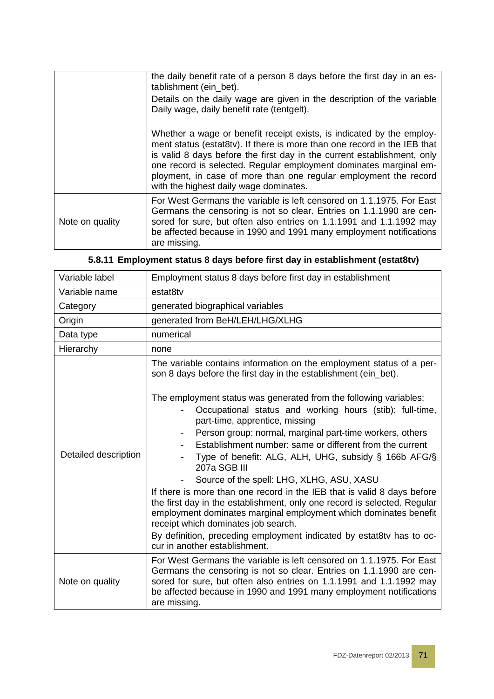|                 | the daily benefit rate of a person 8 days before the first day in an es-<br>tablishment (ein_bet).                                                                                                                                                                                                                                                                                                              |
|-----------------|-----------------------------------------------------------------------------------------------------------------------------------------------------------------------------------------------------------------------------------------------------------------------------------------------------------------------------------------------------------------------------------------------------------------|
|                 | Details on the daily wage are given in the description of the variable<br>Daily wage, daily benefit rate (tentgelt).                                                                                                                                                                                                                                                                                            |
|                 | Whether a wage or benefit receipt exists, is indicated by the employ-<br>ment status (estat8tv). If there is more than one record in the IEB that<br>is valid 8 days before the first day in the current establishment, only<br>one record is selected. Regular employment dominates marginal em-<br>ployment, in case of more than one regular employment the record<br>with the highest daily wage dominates. |
| Note on quality | For West Germans the variable is left censored on 1.1.1975. For East<br>Germans the censoring is not so clear. Entries on 1.1.1990 are cen-<br>sored for sure, but often also entries on 1.1.1991 and 1.1.1992 may<br>be affected because in 1990 and 1991 many employment notifications<br>are missing.                                                                                                        |

|  |  |  |  |  | 5.8.11 Employment status 8 days before first day in establishment (estat8tv) |  |
|--|--|--|--|--|------------------------------------------------------------------------------|--|
|--|--|--|--|--|------------------------------------------------------------------------------|--|

| Variable label       | Employment status 8 days before first day in establishment                                                                                                                                                                                                                                                                                                                                                                                                                                                                                                                                                                                                                                                                                                                                                                                                                                                                                                     |
|----------------------|----------------------------------------------------------------------------------------------------------------------------------------------------------------------------------------------------------------------------------------------------------------------------------------------------------------------------------------------------------------------------------------------------------------------------------------------------------------------------------------------------------------------------------------------------------------------------------------------------------------------------------------------------------------------------------------------------------------------------------------------------------------------------------------------------------------------------------------------------------------------------------------------------------------------------------------------------------------|
| Variable name        | estat8tv                                                                                                                                                                                                                                                                                                                                                                                                                                                                                                                                                                                                                                                                                                                                                                                                                                                                                                                                                       |
| Category             | generated biographical variables                                                                                                                                                                                                                                                                                                                                                                                                                                                                                                                                                                                                                                                                                                                                                                                                                                                                                                                               |
| Origin               | generated from BeH/LEH/LHG/XLHG                                                                                                                                                                                                                                                                                                                                                                                                                                                                                                                                                                                                                                                                                                                                                                                                                                                                                                                                |
| Data type            | numerical                                                                                                                                                                                                                                                                                                                                                                                                                                                                                                                                                                                                                                                                                                                                                                                                                                                                                                                                                      |
| Hierarchy            | none                                                                                                                                                                                                                                                                                                                                                                                                                                                                                                                                                                                                                                                                                                                                                                                                                                                                                                                                                           |
| Detailed description | The variable contains information on the employment status of a per-<br>son 8 days before the first day in the establishment (ein_bet).<br>The employment status was generated from the following variables:<br>Occupational status and working hours (stib): full-time,<br>part-time, apprentice, missing<br>Person group: normal, marginal part-time workers, others<br>$\overline{\phantom{a}}$<br>Establishment number: same or different from the current<br>Type of benefit: ALG, ALH, UHG, subsidy § 166b AFG/§<br>207a SGB III<br>Source of the spell: LHG, XLHG, ASU, XASU<br>If there is more than one record in the IEB that is valid 8 days before<br>the first day in the establishment, only one record is selected. Regular<br>employment dominates marginal employment which dominates benefit<br>receipt which dominates job search.<br>By definition, preceding employment indicated by estat8tv has to oc-<br>cur in another establishment. |
| Note on quality      | For West Germans the variable is left censored on 1.1.1975. For East<br>Germans the censoring is not so clear. Entries on 1.1.1990 are cen-<br>sored for sure, but often also entries on 1.1.1991 and 1.1.1992 may<br>be affected because in 1990 and 1991 many employment notifications<br>are missing.                                                                                                                                                                                                                                                                                                                                                                                                                                                                                                                                                                                                                                                       |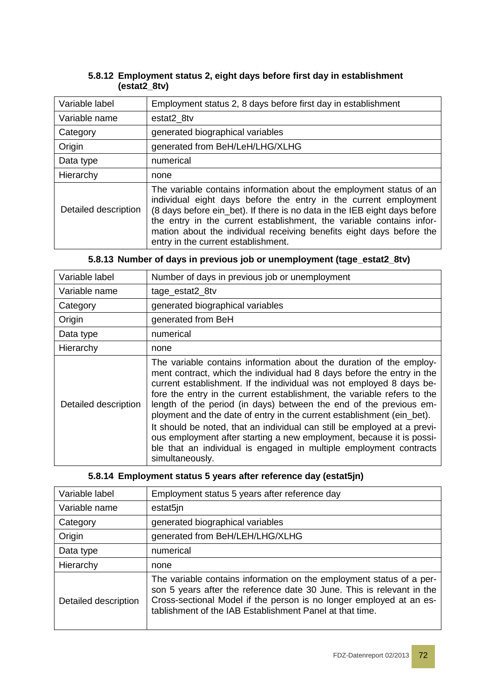#### **5.8.12 Employment status 2, eight days before first day in establishment (estat2\_8tv)**

| Variable label       | Employment status 2, 8 days before first day in establishment                                                                                                                                                                                                                                                                                                                                               |  |  |
|----------------------|-------------------------------------------------------------------------------------------------------------------------------------------------------------------------------------------------------------------------------------------------------------------------------------------------------------------------------------------------------------------------------------------------------------|--|--|
| Variable name        | estat2 8tv                                                                                                                                                                                                                                                                                                                                                                                                  |  |  |
| Category             | generated biographical variables                                                                                                                                                                                                                                                                                                                                                                            |  |  |
| Origin               | generated from BeH/LeH/LHG/XLHG                                                                                                                                                                                                                                                                                                                                                                             |  |  |
| Data type            | numerical                                                                                                                                                                                                                                                                                                                                                                                                   |  |  |
| Hierarchy            | none                                                                                                                                                                                                                                                                                                                                                                                                        |  |  |
| Detailed description | The variable contains information about the employment status of an<br>individual eight days before the entry in the current employment<br>(8 days before ein_bet). If there is no data in the IEB eight days before<br>the entry in the current establishment, the variable contains infor-<br>mation about the individual receiving benefits eight days before the<br>entry in the current establishment. |  |  |

|  |  |  |  |  | 5.8.13 Number of days in previous job or unemployment (tage_estat2_8tv) |  |  |  |
|--|--|--|--|--|-------------------------------------------------------------------------|--|--|--|
|--|--|--|--|--|-------------------------------------------------------------------------|--|--|--|

| Variable label       | Number of days in previous job or unemployment                                                                                                                                                                                                                                                                                                                                                                                                                                                                                                                                                                                                                                                |
|----------------------|-----------------------------------------------------------------------------------------------------------------------------------------------------------------------------------------------------------------------------------------------------------------------------------------------------------------------------------------------------------------------------------------------------------------------------------------------------------------------------------------------------------------------------------------------------------------------------------------------------------------------------------------------------------------------------------------------|
| Variable name        | tage_estat2_8tv                                                                                                                                                                                                                                                                                                                                                                                                                                                                                                                                                                                                                                                                               |
| Category             | generated biographical variables                                                                                                                                                                                                                                                                                                                                                                                                                                                                                                                                                                                                                                                              |
| Origin               | generated from BeH                                                                                                                                                                                                                                                                                                                                                                                                                                                                                                                                                                                                                                                                            |
| Data type            | numerical                                                                                                                                                                                                                                                                                                                                                                                                                                                                                                                                                                                                                                                                                     |
| Hierarchy            | none                                                                                                                                                                                                                                                                                                                                                                                                                                                                                                                                                                                                                                                                                          |
| Detailed description | The variable contains information about the duration of the employ-<br>ment contract, which the individual had 8 days before the entry in the<br>current establishment. If the individual was not employed 8 days be-<br>fore the entry in the current establishment, the variable refers to the<br>length of the period (in days) between the end of the previous em-<br>ployment and the date of entry in the current establishment (ein_bet).<br>It should be noted, that an individual can still be employed at a previ-<br>ous employment after starting a new employment, because it is possi-<br>ble that an individual is engaged in multiple employment contracts<br>simultaneously. |

#### **5.8.14 Employment status 5 years after reference day (estat5jn)**

| Variable label       | Employment status 5 years after reference day                                                                                                                                                                                                                                    |  |  |
|----------------------|----------------------------------------------------------------------------------------------------------------------------------------------------------------------------------------------------------------------------------------------------------------------------------|--|--|
| Variable name        | estat5jn                                                                                                                                                                                                                                                                         |  |  |
| Category             | generated biographical variables                                                                                                                                                                                                                                                 |  |  |
| Origin               | generated from BeH/LEH/LHG/XLHG                                                                                                                                                                                                                                                  |  |  |
| Data type            | numerical                                                                                                                                                                                                                                                                        |  |  |
| Hierarchy            | none                                                                                                                                                                                                                                                                             |  |  |
| Detailed description | The variable contains information on the employment status of a per-<br>son 5 years after the reference date 30 June. This is relevant in the<br>Cross-sectional Model if the person is no longer employed at an es-<br>tablishment of the IAB Establishment Panel at that time. |  |  |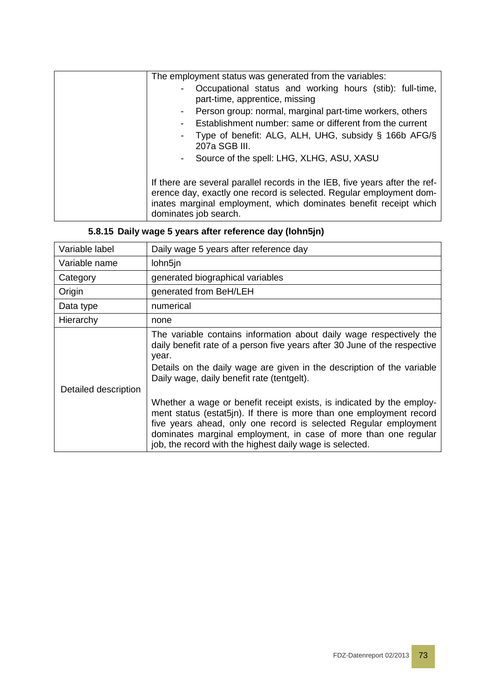| The employment status was generated from the variables:                                                                                                                                                                                          |
|--------------------------------------------------------------------------------------------------------------------------------------------------------------------------------------------------------------------------------------------------|
| Occupational status and working hours (stib): full-time,<br>part-time, apprentice, missing                                                                                                                                                       |
| Person group: normal, marginal part-time workers, others<br>$\blacksquare$                                                                                                                                                                       |
| Establishment number: same or different from the current<br>$\overline{\phantom{a}}$                                                                                                                                                             |
| Type of benefit: ALG, ALH, UHG, subsidy § 166b AFG/§<br>207a SGB III.                                                                                                                                                                            |
| Source of the spell: LHG, XLHG, ASU, XASU<br>$\blacksquare$                                                                                                                                                                                      |
|                                                                                                                                                                                                                                                  |
| If there are several parallel records in the IEB, five years after the ref-<br>erence day, exactly one record is selected. Regular employment dom-<br>inates marginal employment, which dominates benefit receipt which<br>dominates job search. |

# **5.8.15 Daily wage 5 years after reference day (lohn5jn)**

| Variable label       | Daily wage 5 years after reference day                                                                                                                                                                                                                                                                                                          |
|----------------------|-------------------------------------------------------------------------------------------------------------------------------------------------------------------------------------------------------------------------------------------------------------------------------------------------------------------------------------------------|
| Variable name        | lohn5jn                                                                                                                                                                                                                                                                                                                                         |
| Category             | generated biographical variables                                                                                                                                                                                                                                                                                                                |
| Origin               | generated from BeH/LEH                                                                                                                                                                                                                                                                                                                          |
| Data type            | numerical                                                                                                                                                                                                                                                                                                                                       |
| Hierarchy            | none                                                                                                                                                                                                                                                                                                                                            |
| Detailed description | The variable contains information about daily wage respectively the<br>daily benefit rate of a person five years after 30 June of the respective<br>year.<br>Details on the daily wage are given in the description of the variable<br>Daily wage, daily benefit rate (tentgelt).                                                               |
|                      | Whether a wage or benefit receipt exists, is indicated by the employ-<br>ment status (estat5jn). If there is more than one employment record<br>five years ahead, only one record is selected Regular employment<br>dominates marginal employment, in case of more than one regular<br>job, the record with the highest daily wage is selected. |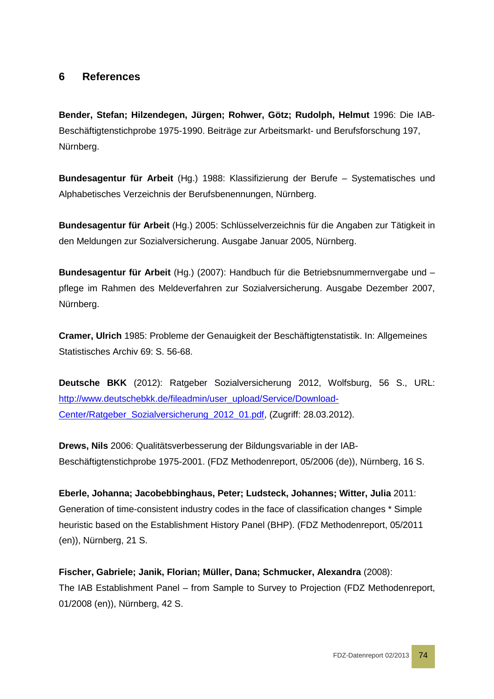## **6 References**

**Bender, Stefan; Hilzendegen, Jürgen; Rohwer, Götz; Rudolph, Helmut** 1996: Die IAB-Beschäftigtenstichprobe 1975-1990. Beiträge zur Arbeitsmarkt- und Berufsforschung 197, Nürnberg.

**Bundesagentur für Arbeit** (Hg.) 1988: Klassifizierung der Berufe – Systematisches und Alphabetisches Verzeichnis der Berufsbenennungen, Nürnberg.

**Bundesagentur für Arbeit** (Hg.) 2005: Schlüsselverzeichnis für die Angaben zur Tätigkeit in den Meldungen zur Sozialversicherung. Ausgabe Januar 2005, Nürnberg.

**Bundesagentur für Arbeit** (Hg.) (2007): Handbuch für die Betriebsnummernvergabe und – pflege im Rahmen des Meldeverfahren zur Sozialversicherung. Ausgabe Dezember 2007, Nürnberg.

**Cramer, Ulrich** 1985: Probleme der Genauigkeit der Beschäftigtenstatistik. In: Allgemeines Statistisches Archiv 69: S. 56-68.

**Deutsche BKK** (2012): Ratgeber Sozialversicherung 2012, Wolfsburg, 56 S., URL: [http://www.deutschebkk.de/fileadmin/user\\_upload/Service/Download-](http://www.deutschebkk.de/fileadmin/user_upload/Service/Download-Center/Ratgeber_Sozialversicherung_2012_01.pdf)[Center/Ratgeber\\_Sozialversicherung\\_2012\\_01.pdf,](http://www.deutschebkk.de/fileadmin/user_upload/Service/Download-Center/Ratgeber_Sozialversicherung_2012_01.pdf) (Zugriff: 28.03.2012).

**Drews, Nils** 2006: Qualitätsverbesserung der Bildungsvariable in der IAB-Beschäftigtenstichprobe 1975-2001. (FDZ Methodenreport, 05/2006 (de)), Nürnberg, 16 S.

**Eberle, Johanna; Jacobebbinghaus, Peter; Ludsteck, Johannes; Witter, Julia** 2011: Generation of time-consistent industry codes in the face of classification changes \* Simple heuristic based on the Establishment History Panel (BHP). (FDZ Methodenreport, 05/2011 (en)), Nürnberg, 21 S.

**Fischer, Gabriele; Janik, Florian; Müller, Dana; Schmucker, Alexandra** (2008): The IAB Establishment Panel – from Sample to Survey to Projection (FDZ Methodenreport, 01/2008 (en)), Nürnberg, 42 S.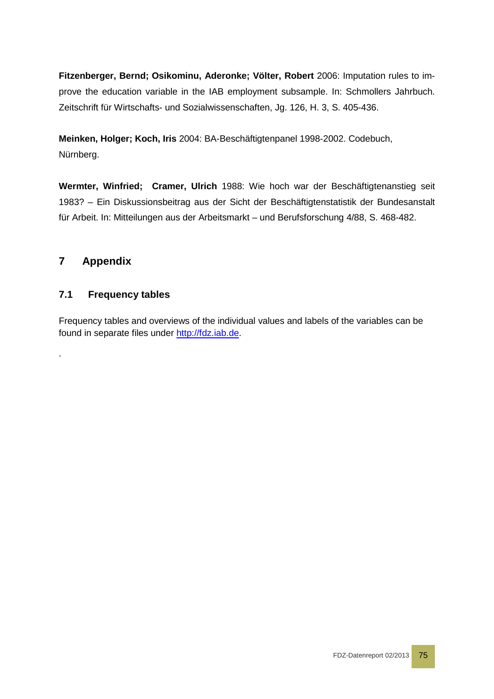**Fitzenberger, Bernd; Osikominu, Aderonke; Völter, Robert** 2006: Imputation rules to improve the education variable in the IAB employment subsample. In: Schmollers Jahrbuch. Zeitschrift für Wirtschafts- und Sozialwissenschaften, Jg. 126, H. 3, S. 405-436.

**Meinken, Holger; Koch, Iris** 2004: BA-Beschäftigtenpanel 1998-2002. Codebuch, Nürnberg.

**Wermter, Winfried; Cramer, Ulrich** 1988: Wie hoch war der Beschäftigtenanstieg seit 1983? – Ein Diskussionsbeitrag aus der Sicht der Beschäftigtenstatistik der Bundesanstalt für Arbeit. In: Mitteilungen aus der Arbeitsmarkt – und Berufsforschung 4/88, S. 468-482.

## **7 Appendix**

.

## **7.1 Frequency tables**

Frequency tables and overviews of the individual values and labels of the variables can be found in separate files under [http://fdz.iab.de.](http://fdz.iab.de/)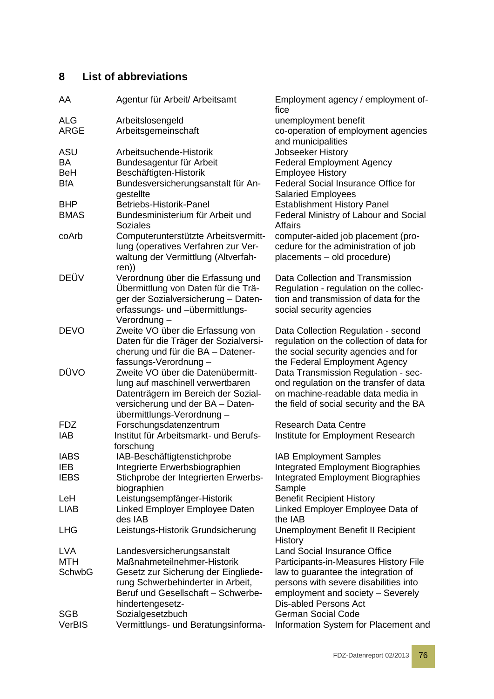# **8 List of abbreviations**

| AA          | Agentur für Arbeit/ Arbeitsamt                                                                                               | Employment agency / employment of-<br>fice                                                                        |
|-------------|------------------------------------------------------------------------------------------------------------------------------|-------------------------------------------------------------------------------------------------------------------|
| ALG         | Arbeitslosengeld                                                                                                             | unemployment benefit                                                                                              |
| ARGE        | Arbeitsgemeinschaft                                                                                                          | co-operation of employment agencies<br>and municipalities                                                         |
| ASU         | Arbeitsuchende-Historik                                                                                                      | Jobseeker History                                                                                                 |
| ΒA          | Bundesagentur für Arbeit                                                                                                     | <b>Federal Employment Agency</b>                                                                                  |
| <b>BeH</b>  | Beschäftigten-Historik                                                                                                       | <b>Employee History</b>                                                                                           |
| <b>BfA</b>  | Bundesversicherungsanstalt für An-                                                                                           | <b>Federal Social Insurance Office for</b>                                                                        |
|             | gestellte                                                                                                                    | <b>Salaried Employees</b>                                                                                         |
| <b>BHP</b>  | Betriebs-Historik-Panel                                                                                                      | <b>Establishment History Panel</b>                                                                                |
| <b>BMAS</b> | Bundesministerium für Arbeit und<br><b>Soziales</b>                                                                          | Federal Ministry of Labour and Social<br><b>Affairs</b>                                                           |
| coArb       | Computerunterstützte Arbeitsvermitt-                                                                                         | computer-aided job placement (pro-                                                                                |
|             | lung (operatives Verfahren zur Ver-<br>waltung der Vermittlung (Altverfah-<br>ren))                                          | cedure for the administration of job<br>placements - old procedure)                                               |
| DEÜV        | Verordnung über die Erfassung und                                                                                            | Data Collection and Transmission                                                                                  |
|             | Übermittlung von Daten für die Trä-<br>ger der Sozialversicherung - Daten-<br>erfassungs- und -übermittlungs-<br>Verordnung- | Regulation - regulation on the collec-<br>tion and transmission of data for the<br>social security agencies       |
| <b>DEVO</b> | Zweite VO über die Erfassung von                                                                                             | Data Collection Regulation - second                                                                               |
|             | Daten für die Träger der Sozialversi-                                                                                        | regulation on the collection of data for                                                                          |
|             | cherung und für die BA - Datener-                                                                                            | the social security agencies and for                                                                              |
|             | fassungs-Verordnung-                                                                                                         | the Federal Employment Agency                                                                                     |
| DÜVO        | Zweite VO über die Datenübermitt-                                                                                            | Data Transmission Regulation - sec-                                                                               |
|             | lung auf maschinell verwertbaren                                                                                             | ond regulation on the transfer of data                                                                            |
|             | Datenträgern im Bereich der Sozial-                                                                                          | on machine-readable data media in                                                                                 |
|             | versicherung und der BA - Daten-<br>übermittlungs-Verordnung -                                                               | the field of social security and the BA                                                                           |
| <b>FDZ</b>  | Forschungsdatenzentrum                                                                                                       | <b>Research Data Centre</b>                                                                                       |
| IAB         | Institut für Arbeitsmarkt- und Berufs-<br>forschung                                                                          | Institute for Employment Research                                                                                 |
| <b>IABS</b> | IAB-Beschäftigtenstichprobe                                                                                                  | <b>IAB Employment Samples</b>                                                                                     |
| <b>IEB</b>  | Integrierte Erwerbsbiographien                                                                                               | <b>Integrated Employment Biographies</b>                                                                          |
| <b>IEBS</b> | Stichprobe der Integrierten Erwerbs-                                                                                         | <b>Integrated Employment Biographies</b>                                                                          |
|             | biographien                                                                                                                  | Sample                                                                                                            |
| LeH         | Leistungsempfänger-Historik                                                                                                  | <b>Benefit Recipient History</b>                                                                                  |
| <b>LIAB</b> | Linked Employer Employee Daten<br>des IAB                                                                                    | Linked Employer Employee Data of<br>the IAB                                                                       |
| LHG         | Leistungs-Historik Grundsicherung                                                                                            | Unemployment Benefit II Recipient<br>History                                                                      |
| LVA         | Landesversicherungsanstalt                                                                                                   | Land Social Insurance Office                                                                                      |
| <b>MTH</b>  | Maßnahmeteilnehmer-Historik                                                                                                  | Participants-in-Measures History File                                                                             |
| SchwbG      | Gesetz zur Sicherung der Eingliede-<br>rung Schwerbehinderter in Arbeit,<br>Beruf und Gesellschaft - Schwerbe-               | law to guarantee the integration of<br>persons with severe disabilities into<br>employment and society - Severely |
|             | hindertengesetz-                                                                                                             | <b>Dis-abled Persons Act</b>                                                                                      |
| SGB         | Sozialgesetzbuch                                                                                                             | <b>German Social Code</b>                                                                                         |
| VerBIS      | Vermittlungs- und Beratungsinforma-                                                                                          | Information System for Placement and                                                                              |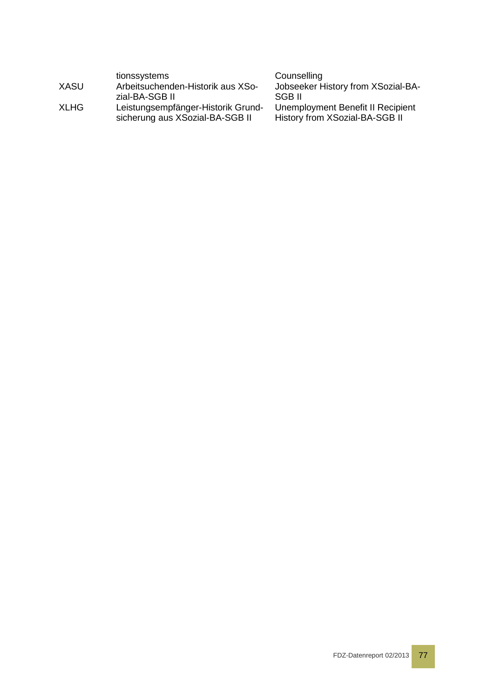|             | tionssystems                                                          | Counselling                                                         |
|-------------|-----------------------------------------------------------------------|---------------------------------------------------------------------|
| XASU        | Arbeitsuchenden-Historik aus XSo-                                     | Jobseeker History from XSozial-BA-                                  |
|             | zial-BA-SGB II                                                        | SGB II                                                              |
| <b>XLHG</b> | Leistungsempfänger-Historik Grund-<br>sicherung aus XSozial-BA-SGB II | Unemployment Benefit II Recipient<br>History from XSozial-BA-SGB II |
|             |                                                                       |                                                                     |